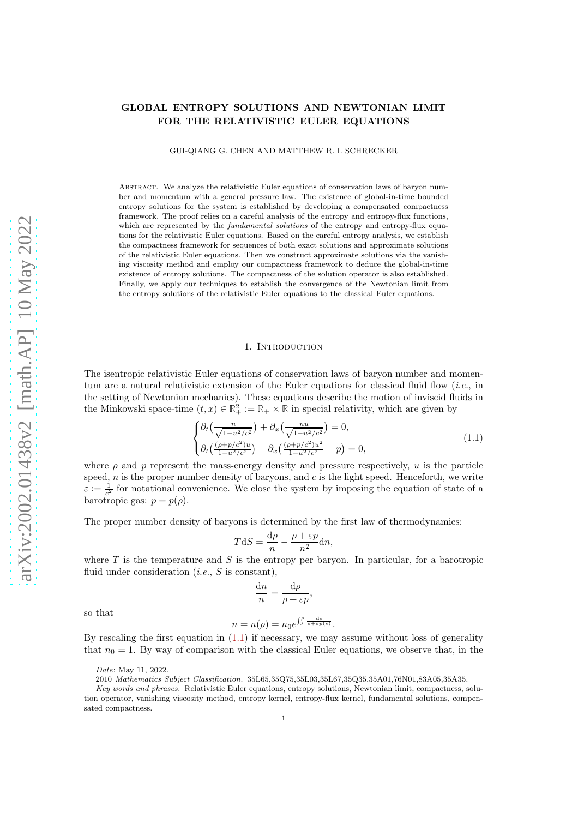# GLOBAL ENTROPY SOLUTIONS AND NEWTONIAN LIMIT FOR THE RELATIVISTIC EULER EQUATIONS

GUI-QIANG G. CHEN AND MATTHEW R. I. SCHRECKER

ABSTRACT. We analyze the relativistic Euler equations of conservation laws of baryon number and momentum with a general pressure law. The existence of global-in-time bounded entropy solutions for the system is established by developing a compensated compactness framework. The proof relies on a careful analysis of the entropy and entropy-flux functions, which are represented by the *fundamental solutions* of the entropy and entropy-flux equations for the relativistic Euler equations. Based on the careful entropy analysis, we establish the compactness framework for sequences of both exact solutions and approximate solutions of the relativistic Euler equations. Then we construct approximate solutions via the vanishing viscosity method and employ our compactness framework to deduce the global-in-time existence of entropy solutions. The compactness of the solution operator is also established. Finally, we apply our techniques to establish the convergence of the Newtonian limit from the entropy solutions of the relativistic Euler equations to the classical Euler equations.

#### 1. INTRODUCTION

The isentropic relativistic Euler equations of conservation laws of baryon number and momentum are a natural relativistic extension of the Euler equations for classical fluid flow  $(i.e.,$  in the setting of Newtonian mechanics). These equations describe the motion of inviscid fluids in the Minkowski space-time  $(t, x) \in \mathbb{R}^2_+ := \mathbb{R}_+ \times \mathbb{R}$  in special relativity, which are given by

<span id="page-0-0"></span>
$$
\begin{cases} \partial_t \left( \frac{n}{\sqrt{1 - u^2/c^2}} \right) + \partial_x \left( \frac{n u}{\sqrt{1 - u^2/c^2}} \right) = 0, \\ \partial_t \left( \frac{(\rho + p/c^2) u}{1 - u^2/c^2} \right) + \partial_x \left( \frac{(\rho + p/c^2) u^2}{1 - u^2/c^2} + p \right) = 0, \end{cases} \tag{1.1}
$$

where  $\rho$  and  $p$  represent the mass-energy density and pressure respectively, u is the particle speed,  $n$  is the proper number density of baryons, and  $c$  is the light speed. Henceforth, we write  $\varepsilon := \frac{1}{c^2}$  for notational convenience. We close the system by imposing the equation of state of a barotropic gas:  $p = p(\rho)$ .

The proper number density of baryons is determined by the first law of thermodynamics:

$$
T\mathrm{d}S = \frac{\mathrm{d}\rho}{n} - \frac{\rho + \varepsilon p}{n^2} \mathrm{d}n,
$$

where  $T$  is the temperature and  $S$  is the entropy per baryon. In particular, for a barotropic fluid under consideration  $(i.e., S$  is constant),

$$
\frac{\mathrm{d}n}{n} = \frac{\mathrm{d}\rho}{\rho + \varepsilon p},
$$

so that

$$
n = n(\rho) = n_0 e^{\int_0^{\rho} \frac{\mathrm{d}s}{s + \varepsilon p(s)}}.
$$

By rescaling the first equation in  $(1.1)$  if necessary, we may assume without loss of generality that  $n_0 = 1$ . By way of comparison with the classical Euler equations, we observe that, in the

Date: May 11, 2022.

<sup>2010</sup> Mathematics Subject Classification. 35L65,35Q75,35L03,35L67,35Q35,35A01,76N01,83A05,35A35.

Key words and phrases. Relativistic Euler equations, entropy solutions, Newtonian limit, compactness, solution operator, vanishing viscosity method, entropy kernel, entropy-flux kernel, fundamental solutions, compensated compactness.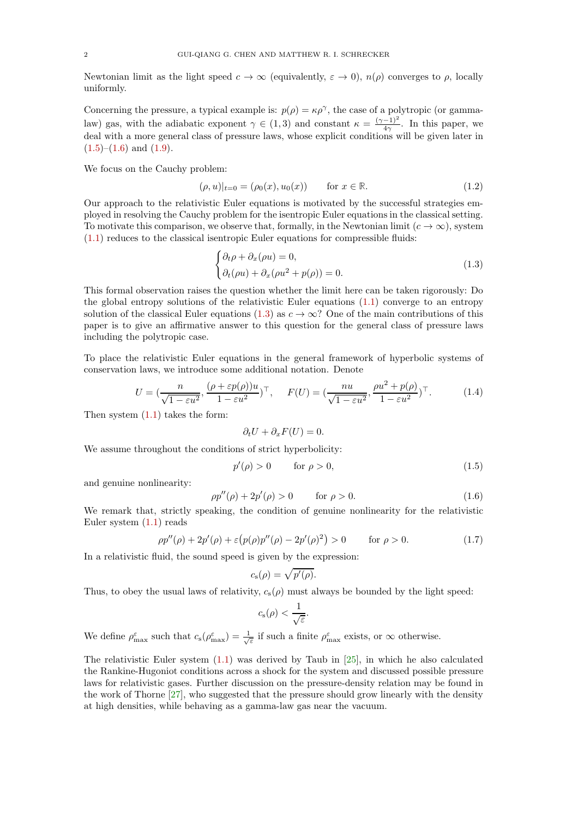Newtonian limit as the light speed  $c \to \infty$  (equivalently,  $\varepsilon \to 0$ ),  $n(\rho)$  converges to  $\rho$ , locally uniformly.

Concerning the pressure, a typical example is:  $p(\rho) = \kappa \rho^{\gamma}$ , the case of a polytropic (or gammalaw) gas, with the adiabatic exponent  $\gamma \in (1,3)$  and constant  $\kappa = \frac{(\gamma-1)^2}{4\gamma}$ . In this paper, we deal with a more general class of pressure laws, whose explicit conditions will be given later in  $(1.5)$ – $(1.6)$  and  $(1.9)$ .

We focus on the Cauchy problem:

<span id="page-1-3"></span>
$$
(\rho, u)|_{t=0} = (\rho_0(x), u_0(x)) \quad \text{for } x \in \mathbb{R}.
$$
 (1.2)

Our approach to the relativistic Euler equations is motivated by the successful strategies employed in resolving the Cauchy problem for the isentropic Euler equations in the classical setting. To motivate this comparison, we observe that, formally, in the Newtonian limit  $(c \to \infty)$ , system [\(1.1\)](#page-0-0) reduces to the classical isentropic Euler equations for compressible fluids:

<span id="page-1-2"></span>
$$
\begin{cases} \partial_t \rho + \partial_x (\rho u) = 0, \\ \partial_t (\rho u) + \partial_x (\rho u^2 + p(\rho)) = 0. \end{cases}
$$
\n(1.3)

This formal observation raises the question whether the limit here can be taken rigorously: Do the global entropy solutions of the relativistic Euler equations [\(1.1\)](#page-0-0) converge to an entropy solution of the classical Euler equations [\(1.3\)](#page-1-2) as  $c \to \infty$ ? One of the main contributions of this paper is to give an affirmative answer to this question for the general class of pressure laws including the polytropic case.

To place the relativistic Euler equations in the general framework of hyperbolic systems of conservation laws, we introduce some additional notation. Denote

<span id="page-1-4"></span>
$$
U = \left(\frac{n}{\sqrt{1 - \varepsilon u^2}}, \frac{(\rho + \varepsilon p(\rho))u}{1 - \varepsilon u^2}\right)^{\top}, \quad F(U) = \left(\frac{nu}{\sqrt{1 - \varepsilon u^2}}, \frac{\rho u^2 + p(\rho)}{1 - \varepsilon u^2}\right)^{\top}.
$$
 (1.4)

Then system [\(1.1\)](#page-0-0) takes the form:

$$
\partial_t U + \partial_x F(U) = 0.
$$

We assume throughout the conditions of strict hyperbolicity:

<span id="page-1-0"></span>
$$
p'(\rho) > 0 \qquad \text{for } \rho > 0,\tag{1.5}
$$

and genuine nonlinearity:

<span id="page-1-1"></span>
$$
\rho p''(\rho) + 2p'(\rho) > 0 \qquad \text{for } \rho > 0. \tag{1.6}
$$

We remark that, strictly speaking, the condition of genuine nonlinearity for the relativistic Euler system [\(1.1\)](#page-0-0) reads

$$
\rho p''(\rho) + 2p'(\rho) + \varepsilon (p(\rho)p''(\rho) - 2p'(\rho)^2) > 0 \quad \text{for } \rho > 0.
$$
 (1.7)

In a relativistic fluid, the sound speed is given by the expression:

$$
c_{\rm s}(\rho)=\sqrt{p'(\rho)}.
$$

Thus, to obey the usual laws of relativity,  $c_s(\rho)$  must always be bounded by the light speed:

$$
c_{\rm s}(\rho) < \frac{1}{\sqrt{\varepsilon}}.
$$

We define  $\rho_{\text{max}}^{\varepsilon}$  such that  $c_s(\rho_{\text{max}}^{\varepsilon}) = \frac{1}{\sqrt{\varepsilon}}$  if such a finite  $\rho_{\text{max}}^{\varepsilon}$  exists, or  $\infty$  otherwise.

The relativistic Euler system  $(1.1)$  was derived by Taub in [\[25\]](#page-36-0), in which he also calculated the Rankine-Hugoniot conditions across a shock for the system and discussed possible pressure laws for relativistic gases. Further discussion on the pressure-density relation may be found in the work of Thorne [\[27\]](#page-36-1), who suggested that the pressure should grow linearly with the density at high densities, while behaving as a gamma-law gas near the vacuum.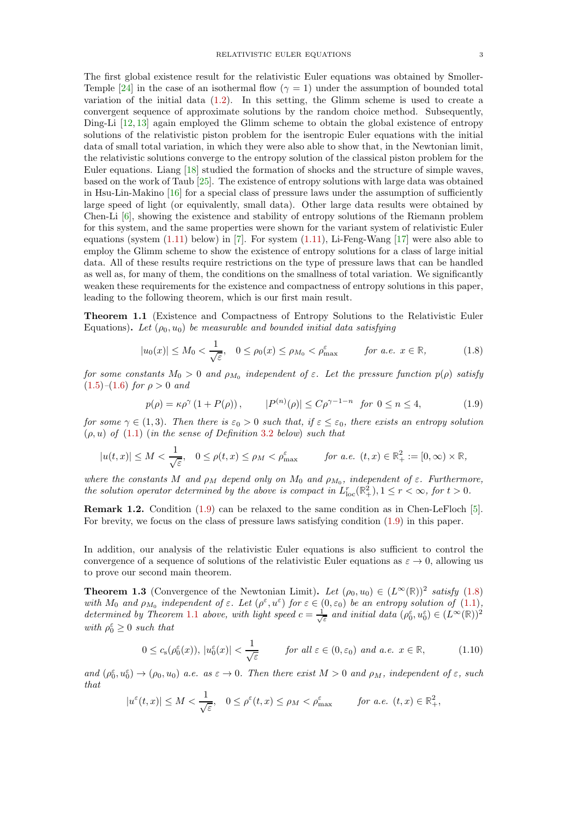The first global existence result for the relativistic Euler equations was obtained by Smoller-Temple [\[24\]](#page-36-2) in the case of an isothermal flow ( $\gamma = 1$ ) under the assumption of bounded total variation of the initial data [\(1.2\)](#page-1-3). In this setting, the Glimm scheme is used to create a convergent sequence of approximate solutions by the random choice method. Subsequently, Ding-Li [\[12,](#page-36-3) [13\]](#page-36-4) again employed the Glimm scheme to obtain the global existence of entropy solutions of the relativistic piston problem for the isentropic Euler equations with the initial data of small total variation, in which they were also able to show that, in the Newtonian limit, the relativistic solutions converge to the entropy solution of the classical piston problem for the Euler equations. Liang [\[18\]](#page-36-5) studied the formation of shocks and the structure of simple waves, based on the work of Taub [\[25\]](#page-36-0). The existence of entropy solutions with large data was obtained in Hsu-Lin-Makino [\[16\]](#page-36-6) for a special class of pressure laws under the assumption of sufficiently large speed of light (or equivalently, small data). Other large data results were obtained by Chen-Li [\[6\]](#page-36-7), showing the existence and stability of entropy solutions of the Riemann problem for this system, and the same properties were shown for the variant system of relativistic Euler equations (system  $(1.11)$  below) in [\[7\]](#page-36-8). For system  $(1.11)$ , Li-Feng-Wang  $[17]$  were also able to employ the Glimm scheme to show the existence of entropy solutions for a class of large initial data. All of these results require restrictions on the type of pressure laws that can be handled as well as, for many of them, the conditions on the smallness of total variation. We significantly weaken these requirements for the existence and compactness of entropy solutions in this paper, leading to the following theorem, which is our first main result.

<span id="page-2-2"></span>Theorem 1.1 (Existence and Compactness of Entropy Solutions to the Relativistic Euler Equations). Let  $(\rho_0, u_0)$  be measurable and bounded initial data satisfying

<span id="page-2-1"></span>
$$
|u_0(x)| \le M_0 < \frac{1}{\sqrt{\varepsilon}}, \quad 0 \le \rho_0(x) \le \rho_{M_0} < \rho_{\text{max}}^{\varepsilon} \qquad \text{for a.e. } x \in \mathbb{R}, \tag{1.8}
$$

for some constants  $M_0 > 0$  and  $\rho_{M_0}$  independent of  $\varepsilon$ . Let the pressure function  $p(\rho)$  satisfy  $(1.5)$ – $(1.6)$  for  $\rho > 0$  and

<span id="page-2-0"></span>
$$
p(\rho) = \kappa \rho^{\gamma} (1 + P(\rho)), \qquad |P^{(n)}(\rho)| \le C \rho^{\gamma - 1 - n} \text{ for } 0 \le n \le 4,
$$
 (1.9)

for some  $\gamma \in (1,3)$ . Then there is  $\varepsilon_0 > 0$  such that, if  $\varepsilon \leq \varepsilon_0$ , there exists an entropy solution  $(\rho, u)$  of  $(1.1)$  (in the sense of Definition [3.2](#page-6-0) below) such that

$$
|u(t,x)|\leq M<\frac{1}{\sqrt{\varepsilon}},\quad 0\leq \rho(t,x)\leq \rho_M<\rho_{\max}^\varepsilon\qquad\quad for\ a.e.\ \ (t,x)\in\mathbb{R}_+^2:=[0,\infty)\times\mathbb{R},
$$

where the constants M and  $\rho_M$  depend only on  $M_0$  and  $\rho_{M_0}$ , independent of  $\varepsilon$ . Furthermore, the solution operator determined by the above is compact in  $L_{loc}^r(\mathbb{R}^2_+), 1 \leq r < \infty$ , for  $t > 0$ .

Remark 1.2. Condition [\(1.9\)](#page-2-0) can be relaxed to the same condition as in Chen-LeFloch [\[5\]](#page-36-10). For brevity, we focus on the class of pressure laws satisfying condition [\(1.9\)](#page-2-0) in this paper.

In addition, our analysis of the relativistic Euler equations is also sufficient to control the convergence of a sequence of solutions of the relativistic Euler equations as  $\varepsilon \to 0$ , allowing us to prove our second main theorem.

<span id="page-2-4"></span>**Theorem 1.3** (Convergence of the Newtonian Limit). Let  $(\rho_0, u_0) \in (L^{\infty}(\mathbb{R}))^2$  satisfy [\(1.8\)](#page-2-1) with  $M_0$  and  $\rho_{M_0}$  independent of  $\varepsilon$ . Let  $(\rho^{\varepsilon}, u^{\varepsilon})$  for  $\varepsilon \in (0, \varepsilon_0)$  be an entropy solution of  $(1.1)$ , determined by Theorem [1.1](#page-2-2) above, with light speed  $c = \frac{1}{\sqrt{\varepsilon}}$  and initial data  $(\rho_0^{\varepsilon}, u_0^{\varepsilon}) \in (L^{\infty}(\mathbb{R}))^2$ with  $\rho_0^{\varepsilon} \geq 0$  such that

<span id="page-2-3"></span>
$$
0 \le c_s(\rho_0^{\varepsilon}(x)), \ |u_0^{\varepsilon}(x)| < \frac{1}{\sqrt{\varepsilon}} \qquad \text{for all } \varepsilon \in (0, \varepsilon_0) \ \text{and a.e. } x \in \mathbb{R}, \tag{1.10}
$$

and  $(\rho_0^{\varepsilon}, u_0^{\varepsilon}) \to (\rho_0, u_0)$  a.e. as  $\varepsilon \to 0$ . Then there exist  $M > 0$  and  $\rho_M$ , independent of  $\varepsilon$ , such that

$$
|u^{\varepsilon}(t,x)| \leq M < \frac{1}{\sqrt{\varepsilon}}, \quad 0 \leq \rho^{\varepsilon}(t,x) \leq \rho_M < \rho^{\varepsilon}_{\max} \qquad \text{for a.e. } (t,x) \in \mathbb{R}_+^2,
$$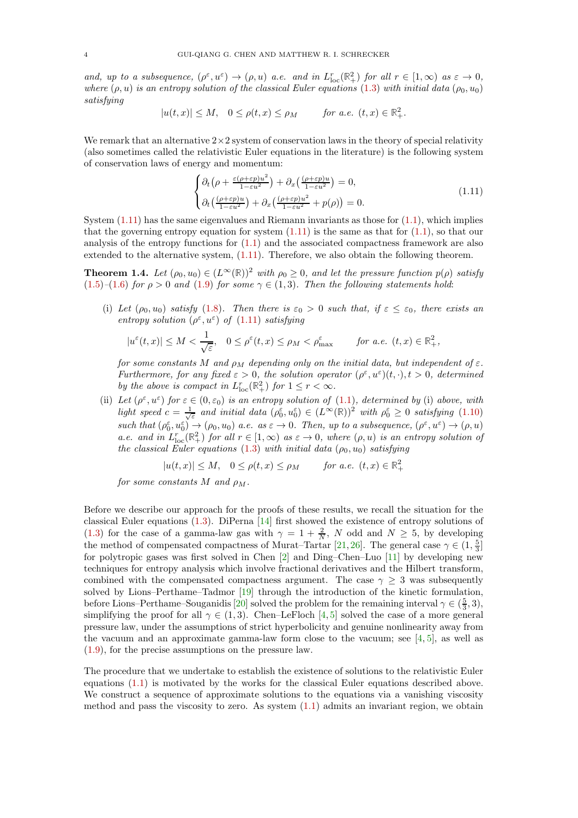and, up to a subsequence,  $(\rho^{\varepsilon}, u^{\varepsilon}) \to (\rho, u)$  a.e. and in  $L_{\text{loc}}^{r}(\mathbb{R}^{2}_{+})$  for all  $r \in [1, \infty)$  as  $\varepsilon \to 0$ , where  $(\rho, u)$  is an entropy solution of the classical Euler equations [\(1.3\)](#page-1-2) with initial data ( $\rho_0, u_0$ ) satisfying

$$
|u(t,x)|\leq M,\quad 0\leq \rho(t,x)\leq \rho_M\qquad \text{ for a.e. }(t,x)\in \mathbb{R}_+^2.
$$

We remark that an alternative  $2\times 2$  system of conservation laws in the theory of special relativity (also sometimes called the relativistic Euler equations in the literature) is the following system of conservation laws of energy and momentum:

<span id="page-3-0"></span>
$$
\begin{cases} \partial_t \left( \rho + \frac{\varepsilon(\rho + \varepsilon p)u^2}{1 - \varepsilon u^2} \right) + \partial_x \left( \frac{(\rho + \varepsilon p)u}{1 - \varepsilon u^2} \right) = 0, \\ \partial_t \left( \frac{(\rho + \varepsilon p)u}{1 - \varepsilon u^2} \right) + \partial_x \left( \frac{(\rho + \varepsilon p)u^2}{1 - \varepsilon u^2} + p(\rho) \right) = 0. \end{cases} \tag{1.11}
$$

System  $(1.11)$  has the same eigenvalues and Riemann invariants as those for  $(1.1)$ , which implies that the governing entropy equation for system  $(1.11)$  is the same as that for  $(1.1)$ , so that our analysis of the entropy functions for [\(1.1\)](#page-0-0) and the associated compactness framework are also extended to the alternative system, [\(1.11\)](#page-3-0). Therefore, we also obtain the following theorem.

<span id="page-3-1"></span>**Theorem 1.4.** Let  $(\rho_0, u_0) \in (L^{\infty}(\mathbb{R}))^2$  with  $\rho_0 \geq 0$ , and let the pressure function  $p(\rho)$  satisfy  $(1.5)-(1.6)$  $(1.5)-(1.6)$  $(1.5)-(1.6)$  for  $\rho > 0$  and  $(1.9)$  for some  $\gamma \in (1,3)$ . Then the following statements hold:

(i) Let  $(\rho_0, u_0)$  satisfy [\(1.8\)](#page-2-1). Then there is  $\varepsilon_0 > 0$  such that, if  $\varepsilon \leq \varepsilon_0$ , there exists an entropy solution  $(\rho^{\varepsilon}, u^{\varepsilon})$  of  $(1.11)$  satisfying

$$
|u^{\varepsilon}(t,x)| \leq M < \frac{1}{\sqrt{\varepsilon}}, \quad 0 \leq \rho^{\varepsilon}(t,x) \leq \rho_M < \rho_{\max}^{\varepsilon} \qquad \text{for a.e. } (t,x) \in \mathbb{R}_+^2,
$$

for some constants M and  $\rho_M$  depending only on the initial data, but independent of  $\varepsilon$ . Furthermore, for any fixed  $\varepsilon > 0$ , the solution operator  $(\rho^{\varepsilon}, u^{\varepsilon})(t, \cdot), t > 0$ , determined by the above is compact in  $L_{\text{loc}}^r(\mathbb{R}^2_+)$  for  $1 \leq r < \infty$ .

(ii) Let  $(\rho^{\varepsilon}, u^{\varepsilon})$  for  $\varepsilon \in (0, \varepsilon_0)$  is an entropy solution of  $(1.1)$ , determined by (i) above, with light speed  $c = \frac{1}{\sqrt{\varepsilon}}$  and initial data  $(\rho_0^{\varepsilon}, u_0^{\varepsilon}) \in (L^{\infty}(\mathbb{R}))^2$  with  $\rho_0^{\varepsilon} \geq 0$  satisfying [\(1.10\)](#page-2-3) such that  $(\rho_0^{\varepsilon}, u_0^{\varepsilon}) \to (\rho_0, u_0)$  a.e. as  $\varepsilon \to 0$ . Then, up to a subsequence,  $(\rho^{\varepsilon}, u^{\varepsilon}) \to (\rho, u)$ a.e. and in  $L_{\text{loc}}^{r}(\mathbb{R}^{2}_{+})$  for all  $r \in [1,\infty)$  as  $\varepsilon \to 0$ , where  $(\rho, u)$  is an entropy solution of the classical Euler equations [\(1.3\)](#page-1-2) with initial data  $(\rho_0, u_0)$  satisfying

$$
|u(t,x)| \le M, \quad 0 \le \rho(t,x) \le \rho_M \qquad \text{for a.e. } (t,x) \in \mathbb{R}_+^2
$$

for some constants M and  $\rho_M$ .

Before we describe our approach for the proofs of these results, we recall the situation for the classical Euler equations [\(1.3\)](#page-1-2). DiPerna [\[14\]](#page-36-11) first showed the existence of entropy solutions of [\(1.3\)](#page-1-2) for the case of a gamma-law gas with  $\gamma = 1 + \frac{2}{N}$ , N odd and  $N \ge 5$ , by developing the method of compensated compactness of Murat–Tartar [\[21,](#page-36-12) [26\]](#page-36-13). The general case  $\gamma \in (1, \frac{5}{3}]$ for polytropic gases was first solved in Chen [\[2\]](#page-36-14) and Ding–Chen–Luo [\[11\]](#page-36-15) by developing new techniques for entropy analysis which involve fractional derivatives and the Hilbert transform, combined with the compensated compactness argument. The case  $\gamma > 3$  was subsequently solved by Lions–Perthame–Tadmor [\[19\]](#page-36-16) through the introduction of the kinetic formulation, before Lions–Perthame–Souganidis [\[20\]](#page-36-17) solved the problem for the remaining interval  $\gamma \in (\frac{5}{3}, 3)$ , simplifying the proof for all  $\gamma \in (1,3)$ . Chen–LeFloch [\[4,](#page-36-18) [5\]](#page-36-10) solved the case of a more general pressure law, under the assumptions of strict hyperbolicity and genuine nonlinearity away from the vacuum and an approximate gamma-law form close to the vacuum; see [\[4,](#page-36-18) [5\]](#page-36-10), as well as [\(1.9\)](#page-2-0), for the precise assumptions on the pressure law.

The procedure that we undertake to establish the existence of solutions to the relativistic Euler equations [\(1.1\)](#page-0-0) is motivated by the works for the classical Euler equations described above. We construct a sequence of approximate solutions to the equations via a vanishing viscosity method and pass the viscosity to zero. As system [\(1.1\)](#page-0-0) admits an invariant region, we obtain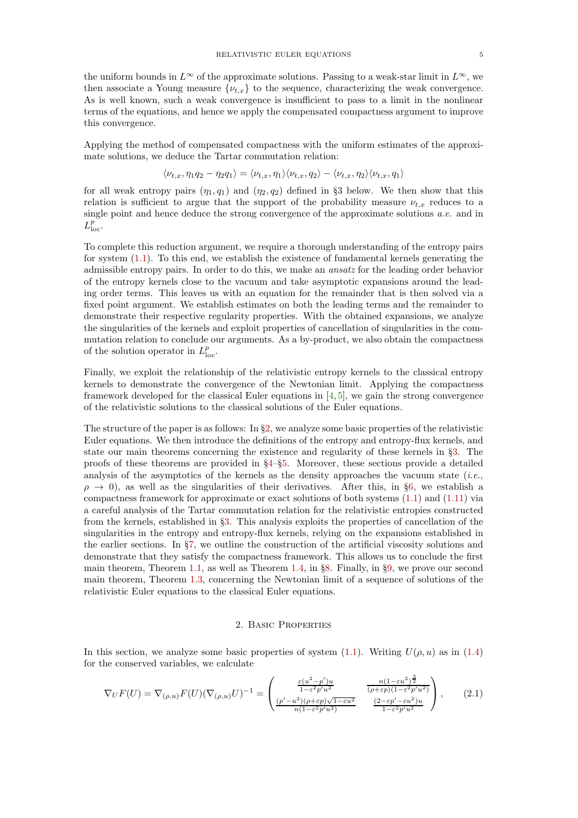Applying the method of compensated compactness with the uniform estimates of the approximate solutions, we deduce the Tartar commutation relation:

$$
\langle \nu_{t,x}, \eta_1 q_2 - \eta_2 q_1 \rangle = \langle \nu_{t,x}, \eta_1 \rangle \langle \nu_{t,x}, q_2 \rangle - \langle \nu_{t,x}, \eta_2 \rangle \langle \nu_{t,x}, q_1 \rangle
$$

for all weak entropy pairs  $(\eta_1, q_1)$  and  $(\eta_2, q_2)$  defined in §3 below. We then show that this relation is sufficient to argue that the support of the probability measure  $\nu_{t,x}$  reduces to a single point and hence deduce the strong convergence of the approximate solutions a.e. and in  $L^p_{\text{loc}}.$ 

To complete this reduction argument, we require a thorough understanding of the entropy pairs for system [\(1.1\)](#page-0-0). To this end, we establish the existence of fundamental kernels generating the admissible entropy pairs. In order to do this, we make an ansatz for the leading order behavior of the entropy kernels close to the vacuum and take asymptotic expansions around the leading order terms. This leaves us with an equation for the remainder that is then solved via a fixed point argument. We establish estimates on both the leading terms and the remainder to demonstrate their respective regularity properties. With the obtained expansions, we analyze the singularities of the kernels and exploit properties of cancellation of singularities in the commutation relation to conclude our arguments. As a by-product, we also obtain the compactness of the solution operator in  $L_{\text{loc}}^p$ .

Finally, we exploit the relationship of the relativistic entropy kernels to the classical entropy kernels to demonstrate the convergence of the Newtonian limit. Applying the compactness framework developed for the classical Euler equations in [\[4,](#page-36-18) [5\]](#page-36-10), we gain the strong convergence of the relativistic solutions to the classical solutions of the Euler equations.

The structure of the paper is as follows: In  $\S2$ , we analyze some basic properties of the relativistic Euler equations. We then introduce the definitions of the entropy and entropy-flux kernels, and state our main theorems concerning the existence and regularity of these kernels in §[3.](#page-6-1) The proofs of these theorems are provided in §[4–](#page-9-0)§[5.](#page-18-0) Moreover, these sections provide a detailed analysis of the asymptotics of the kernels as the density approaches the vacuum state  $(i.e.,$  $\rho \rightarrow 0$ ), as well as the singularities of their derivatives. After this, in §[6,](#page-22-0) we establish a compactness framework for approximate or exact solutions of both systems [\(1.1\)](#page-0-0) and [\(1.11\)](#page-3-0) via a careful analysis of the Tartar commutation relation for the relativistic entropies constructed from the kernels, established in §[3.](#page-6-1) This analysis exploits the properties of cancellation of the singularities in the entropy and entropy-flux kernels, relying on the expansions established in the earlier sections. In §[7,](#page-29-0) we outline the construction of the artificial viscosity solutions and demonstrate that they satisfy the compactness framework. This allows us to conclude the first main theorem, Theorem [1.1,](#page-2-2) as well as Theorem [1.4,](#page-3-1) in §[8.](#page-33-0) Finally, in §[9,](#page-34-0) we prove our second main theorem, Theorem [1.3,](#page-2-4) concerning the Newtonian limit of a sequence of solutions of the relativistic Euler equations to the classical Euler equations.

#### 2. Basic Properties

<span id="page-4-0"></span>In this section, we analyze some basic properties of system [\(1.1\)](#page-0-0). Writing  $U(\rho, u)$  as in [\(1.4\)](#page-1-4) for the conserved variables, we calculate

<span id="page-4-1"></span>
$$
\nabla_U F(U) = \nabla_{(\rho, u)} F(U) (\nabla_{(\rho, u)} U)^{-1} = \begin{pmatrix} \frac{\varepsilon (u^2 - p')u}{1 - \varepsilon^2 p' u^2} & \frac{n(1 - \varepsilon u^2)^{\frac{3}{2}}}{(\rho + \varepsilon p)(1 - \varepsilon^2 p' u^2)}\\ \frac{(p' - u^2)(\rho + \varepsilon p)\sqrt{1 - \varepsilon u^2}}{n(1 - \varepsilon^2 p' u^2)} & \frac{(2 - \varepsilon p' - \varepsilon u^2)u}{1 - \varepsilon^2 p' u^2} \end{pmatrix},
$$
(2.1)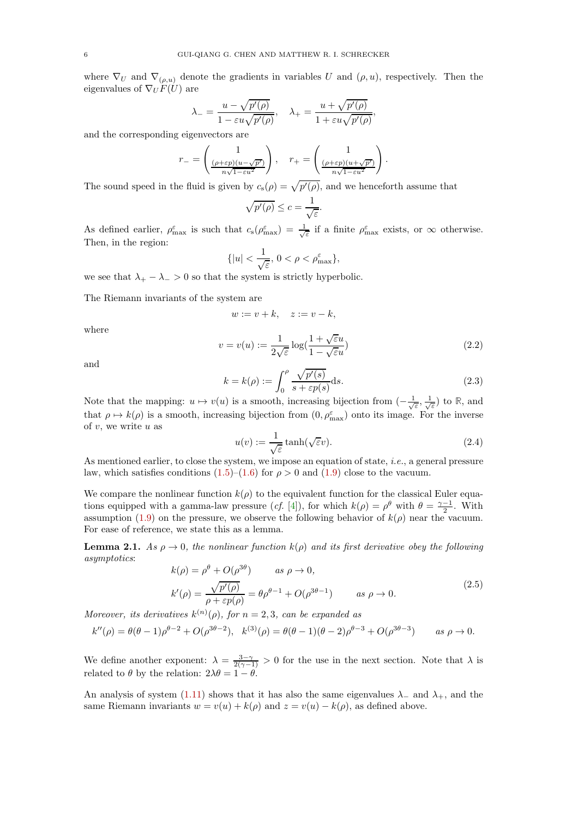where  $\nabla_U$  and  $\nabla_{(\rho,u)}$  denote the gradients in variables U and  $(\rho, u)$ , respectively. Then the eigenvalues of  $\nabla_U F(U)$  are

$$
\lambda_{-} = \frac{u - \sqrt{p'(\rho)}}{1 - \varepsilon u \sqrt{p'(\rho)}}, \quad \lambda_{+} = \frac{u + \sqrt{p'(\rho)}}{1 + \varepsilon u \sqrt{p'(\rho)}},
$$

and the corresponding eigenvectors are

$$
r_{-} = \begin{pmatrix} 1 \\ \frac{(\rho + \varepsilon p)(u - \sqrt{p'})}{n\sqrt{1 - \varepsilon u^2}} \end{pmatrix}, \quad r_{+} = \begin{pmatrix} 1 \\ \frac{(\rho + \varepsilon p)(u + \sqrt{p'})}{n\sqrt{1 - \varepsilon u^2}} \end{pmatrix}.
$$

The sound speed in the fluid is given by  $c_s(\rho) = \sqrt{p'(\rho)}$ , and we henceforth assume that

$$
\sqrt{p'(\rho)} \le c = \frac{1}{\sqrt{\varepsilon}}.
$$

As defined earlier,  $\rho_{\text{max}}^{\varepsilon}$  is such that  $c_s(\rho_{\text{max}}^{\varepsilon}) = \frac{1}{\sqrt{\varepsilon}}$  if a finite  $\rho_{\text{max}}^{\varepsilon}$  exists, or  $\infty$  otherwise. Then, in the region:

$$
\{|u| < \frac{1}{\sqrt{\varepsilon}}, \, 0 < \rho < \rho_{\text{max}}^{\varepsilon}\},
$$

we see that  $\lambda_+ - \lambda_- > 0$  so that the system is strictly hyperbolic.

The Riemann invariants of the system are

$$
w := v + k, \quad z := v - k,
$$

where

<span id="page-5-0"></span>
$$
v = v(u) := \frac{1}{2\sqrt{\varepsilon}} \log(\frac{1 + \sqrt{\varepsilon}u}{1 - \sqrt{\varepsilon}u})
$$
\n(2.2)

and

$$
k = k(\rho) := \int_0^{\rho} \frac{\sqrt{p'(s)}}{s + \varepsilon p(s)} ds.
$$
\n(2.3)

Note that the mapping:  $u \mapsto v(u)$  is a smooth, increasing bijection from  $\left(-\frac{1}{\sqrt{\varepsilon}}, \frac{1}{\sqrt{\varepsilon}}\right)$  to **R**, and that  $\rho \mapsto k(\rho)$  is a smooth, increasing bijection from  $(0, \rho_{\max}^{\varepsilon})$  onto its image. For the inverse of  $v$ , we write  $u$  as

$$
u(v) := \frac{1}{\sqrt{\varepsilon}} \tanh(\sqrt{\varepsilon}v). \tag{2.4}
$$

As mentioned earlier, to close the system, we impose an equation of state, i.e., a general pressure law, which satisfies conditions  $(1.5)$ – $(1.6)$  for  $\rho > 0$  and  $(1.9)$  close to the vacuum.

We compare the nonlinear function  $k(\rho)$  to the equivalent function for the classical Euler equations equipped with a gamma-law pressure (*cf.* [\[4\]](#page-36-18)), for which  $k(\rho) = \rho^{\theta}$  with  $\theta = \frac{\gamma - 1}{2}$ . With assumption [\(1.9\)](#page-2-0) on the pressure, we observe the following behavior of  $k(\rho)$  near the vacuum. For ease of reference, we state this as a lemma.

<span id="page-5-1"></span>**Lemma 2.1.** As  $\rho \rightarrow 0$ , the nonlinear function  $k(\rho)$  and its first derivative obey the following asymptotics:

$$
k(\rho) = \rho^{\theta} + O(\rho^{3\theta}) \qquad \text{as } \rho \to 0,
$$
  
\n
$$
k'(\rho) = \frac{\sqrt{p'(\rho)}}{\rho + \varepsilon p(\rho)} = \theta \rho^{\theta - 1} + O(\rho^{3\theta - 1}) \qquad \text{as } \rho \to 0.
$$
\n(2.5)

Moreover, its derivatives  $k^{(n)}(\rho)$ , for  $n = 2, 3$ , can be expanded as

$$
k''(\rho) = \theta(\theta - 1)\rho^{\theta - 2} + O(\rho^{3\theta - 2}), \quad k^{(3)}(\rho) = \theta(\theta - 1)(\theta - 2)\rho^{\theta - 3} + O(\rho^{3\theta - 3}) \qquad \text{as } \rho \to 0.
$$

We define another exponent:  $\lambda = \frac{3-\gamma}{2(\gamma-1)} > 0$  for the use in the next section. Note that  $\lambda$  is related to  $\theta$  by the relation:  $2\lambda\theta = 1 - \theta$ .

An analysis of system [\(1.11\)](#page-3-0) shows that it has also the same eigenvalues  $\lambda_-\,$  and  $\lambda_+$ , and the same Riemann invariants  $w = v(u) + k(\rho)$  and  $z = v(u) - k(\rho)$ , as defined above.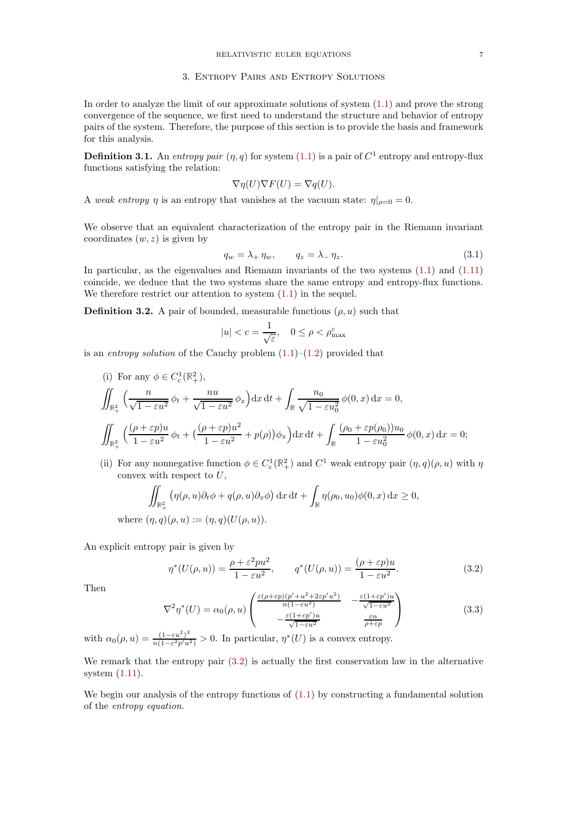#### 3. Entropy Pairs and Entropy Solutions

<span id="page-6-1"></span>In order to analyze the limit of our approximate solutions of system [\(1.1\)](#page-0-0) and prove the strong convergence of the sequence, we first need to understand the structure and behavior of entropy pairs of the system. Therefore, the purpose of this section is to provide the basis and framework for this analysis.

<span id="page-6-3"></span>**Definition 3.1.** An entropy pair  $(\eta, q)$  for system  $(1.1)$  is a pair of  $C^1$  entropy and entropy-flux functions satisfying the relation:

$$
\nabla \eta(U)\nabla F(U) = \nabla q(U).
$$

A weak entropy  $\eta$  is an entropy that vanishes at the vacuum state:  $\eta|_{\rho=0} = 0$ .

We observe that an equivalent characterization of the entropy pair in the Riemann invariant coordinates  $(w, z)$  is given by

$$
q_w = \lambda_+ \eta_w, \qquad q_z = \lambda_- \eta_z. \tag{3.1}
$$

In particular, as the eigenvalues and Riemann invariants of the two systems  $(1.1)$  and  $(1.11)$ coincide, we deduce that the two systems share the same entropy and entropy-flux functions. We therefore restrict our attention to system  $(1.1)$  in the sequel.

<span id="page-6-0"></span>**Definition 3.2.** A pair of bounded, measurable functions  $(\rho, u)$  such that

$$
|u| < c = \frac{1}{\sqrt{\varepsilon}}, \quad 0 \le \rho < \rho_{\text{max}}^{\varepsilon}
$$

is an entropy solution of the Cauchy problem  $(1.1)$ – $(1.2)$  provided that

- (i) For any  $\phi \in C^1_c(\mathbb{R}^2_+),$ ¨  $\mathbb{R}^2_+$  $\left( n \right)$  $\frac{n}{\sqrt{1-\varepsilon u^2}}\phi_t+\frac{nu}{\sqrt{1-\varepsilon u^2}}$  $\frac{nu}{\sqrt{1-\varepsilon u^2}}\phi_x\Big)dx\,dt + \int$ **R** p  $n_0$  $1 - \varepsilon u_0^2$  $\phi(0, x) dx = 0,$ ¨  $\mathbb{R}^2_+$  $( ( \rho + \varepsilon p) u$  $\frac{\rho + \varepsilon p)u}{1 - \varepsilon u^2} \phi_t + \left( \frac{(\rho + \varepsilon p)u^2}{1 - \varepsilon u^2} \right)$  $\frac{(p+ \varepsilon p)u^2}{1-\varepsilon u^2} + p(\rho)\big)\phi_x\Big)dx\,dt + \int$ **R**  $(\rho_0 + \varepsilon p(\rho_0))u_0$  $1 - \varepsilon u_0^2$  $\phi(0, x) dx = 0;$
- (ii) For any nonnegative function  $\phi \in C_c^1(\mathbb{R}^2_+)$  and  $C^1$  weak entropy pair  $(\eta, q)(\rho, u)$  with  $\eta$ convex with respect to  $U$ ,

$$
\iint_{\mathbb{R}_+^2} \left( \eta(\rho, u) \partial_t \phi + q(\rho, u) \partial_x \phi \right) dx dt + \int_{\mathbb{R}} \eta(\rho_0, u_0) \phi(0, x) dx \ge 0,
$$
  
where  $(\eta, q)(\rho, u) := (\eta, q)(U(\rho, u)).$ 

An explicit entropy pair is given by

<span id="page-6-2"></span>
$$
\eta^*(U(\rho, u)) = \frac{\rho + \varepsilon^2 p u^2}{1 - \varepsilon u^2}, \qquad q^*(U(\rho, u)) = \frac{(\rho + \varepsilon p) u}{1 - \varepsilon u^2}.
$$
\n(3.2)

Then

$$
\nabla^2 \eta^*(U) = \alpha_0(\rho, u) \begin{pmatrix} \frac{\varepsilon(\rho + \varepsilon p)(p' + u^2 + 2\varepsilon p' u^2)}{n(1 - \varepsilon u^2)} & -\frac{\varepsilon(1 + \varepsilon p')u}{\sqrt{1 - \varepsilon u^2}}\\ -\frac{\varepsilon(1 + \varepsilon p')u}{\sqrt{1 - \varepsilon u^2}} & \frac{\varepsilon n}{\rho + \varepsilon p} \end{pmatrix}
$$
(3.3)

with  $\alpha_0(\rho, u) = \frac{(1 - \varepsilon u^2)^2}{n(1 - \varepsilon^2 n)u^2}$  $\frac{(1-\varepsilon u)}{n(1-\varepsilon^2 p' u^2)} > 0$ . In particular,  $\eta^*(U)$  is a convex entropy.

We remark that the entropy pair  $(3.2)$  is actually the first conservation law in the alternative system [\(1.11\)](#page-3-0).

We begin our analysis of the entropy functions of  $(1.1)$  by constructing a fundamental solution of the entropy equation.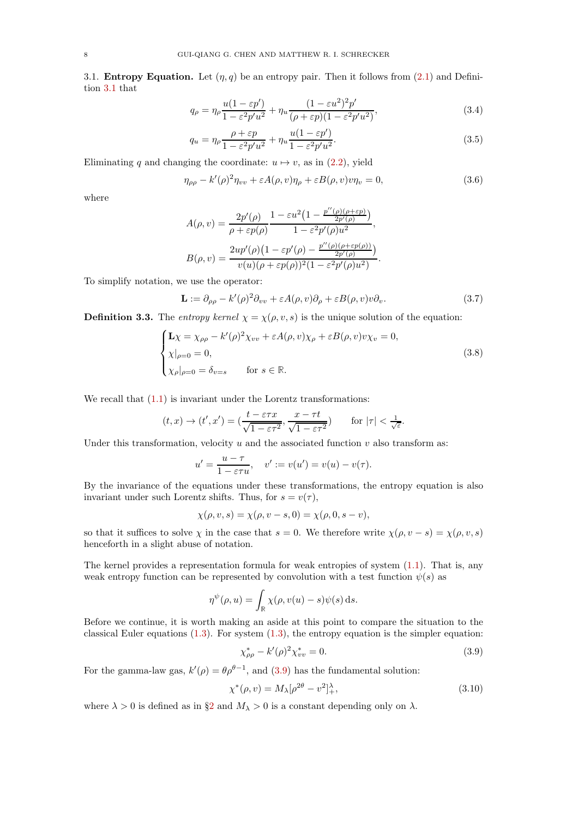3.1. **Entropy Equation.** Let  $(\eta, q)$  be an entropy pair. Then it follows from [\(2.1\)](#page-4-1) and Definition [3.1](#page-6-3) that

$$
q_{\rho} = \eta_{\rho} \frac{u(1 - \varepsilon p')}{1 - \varepsilon^2 p' u^2} + \eta_u \frac{(1 - \varepsilon u^2)^2 p'}{(\rho + \varepsilon p)(1 - \varepsilon^2 p' u^2)},
$$
(3.4)

$$
q_u = \eta_\rho \frac{\rho + \varepsilon p}{1 - \varepsilon^2 p' u^2} + \eta_u \frac{u(1 - \varepsilon p')}{1 - \varepsilon^2 p' u^2}.
$$
\n(3.5)

Eliminating q and changing the coordinate:  $u \mapsto v$ , as in [\(2.2\)](#page-5-0), yield

<span id="page-7-3"></span>
$$
\eta_{\rho\rho} - k'(\rho)^2 \eta_{vv} + \varepsilon A(\rho, v) \eta_\rho + \varepsilon B(\rho, v) v \eta_v = 0,
$$
\n(3.6)

where

$$
A(\rho, v) = \frac{2p'(\rho)}{\rho + \varepsilon p(\rho)} \frac{1 - \varepsilon u^2 \left(1 - \frac{p''(\rho)(\rho + \varepsilon p)}{2p'(\rho)}\right)}{1 - \varepsilon^2 p'(\rho) u^2},
$$
  

$$
B(\rho, v) = \frac{2up'(\rho)\left(1 - \varepsilon p'(\rho) - \frac{p''(\rho)(\rho + \varepsilon p(\rho))}{2p'(\rho)}\right)}{v(u)(\rho + \varepsilon p(\rho))^2 (1 - \varepsilon^2 p'(\rho) u^2)}.
$$

To simplify notation, we use the operator:

$$
\mathbf{L} := \partial_{\rho\rho} - k'(\rho)^2 \partial_{vv} + \varepsilon A(\rho, v) \partial_{\rho} + \varepsilon B(\rho, v) v \partial_v.
$$
 (3.7)

**Definition 3.3.** The entropy kernel  $\chi = \chi(\rho, v, s)$  is the unique solution of the equation:

<span id="page-7-1"></span>
$$
\begin{cases}\n\mathbf{L}\chi = \chi_{\rho\rho} - k'(\rho)^2 \chi_{vv} + \varepsilon A(\rho, v)\chi_{\rho} + \varepsilon B(\rho, v)v\chi_{v} = 0, \\
\chi|_{\rho=0} = 0, \\
\chi_{\rho}|_{\rho=0} = \delta_{v=s} \quad \text{for } s \in \mathbb{R}.\n\end{cases}
$$
\n(3.8)

We recall that  $(1.1)$  is invariant under the Lorentz transformations:

$$
(t,x) \to (t',x') = (\frac{t - \varepsilon \tau x}{\sqrt{1 - \varepsilon \tau^2}}, \frac{x - \tau t}{\sqrt{1 - \varepsilon \tau^2}}) \qquad \text{for } |\tau| < \frac{1}{\sqrt{\varepsilon}}.
$$

Under this transformation, velocity  $u$  and the associated function  $v$  also transform as:

$$
u' = \frac{u - \tau}{1 - \varepsilon \tau u}, \quad v' := v(u') = v(u) - v(\tau).
$$

By the invariance of the equations under these transformations, the entropy equation is also invariant under such Lorentz shifts. Thus, for  $s = v(\tau)$ ,

$$
\chi(\rho, v, s) = \chi(\rho, v - s, 0) = \chi(\rho, 0, s - v),
$$

so that it suffices to solve  $\chi$  in the case that  $s = 0$ . We therefore write  $\chi(\rho, v - s) = \chi(\rho, v, s)$ henceforth in a slight abuse of notation.

The kernel provides a representation formula for weak entropies of system  $(1.1)$ . That is, any weak entropy function can be represented by convolution with a test function  $\psi(s)$  as

$$
\eta^{\psi}(\rho, u) = \int_{\mathbb{R}} \chi(\rho, v(u) - s) \psi(s) \,ds.
$$

Before we continue, it is worth making an aside at this point to compare the situation to the classical Euler equations  $(1.3)$ . For system  $(1.3)$ , the entropy equation is the simpler equation:

<span id="page-7-0"></span>
$$
\chi_{\rho\rho}^* - k'(\rho)^2 \chi_{vv}^* = 0. \tag{3.9}
$$

For the gamma-law gas,  $k'(\rho) = \theta \rho^{\theta-1}$ , and [\(3.9\)](#page-7-0) has the fundamental solution:

<span id="page-7-2"></span>
$$
\chi^*(\rho, v) = M_\lambda [\rho^{2\theta} - v^2]_+^\lambda, \tag{3.10}
$$

where  $\lambda > 0$  is defined as in §[2](#page-4-0) and  $M_{\lambda} > 0$  is a constant depending only on  $\lambda$ .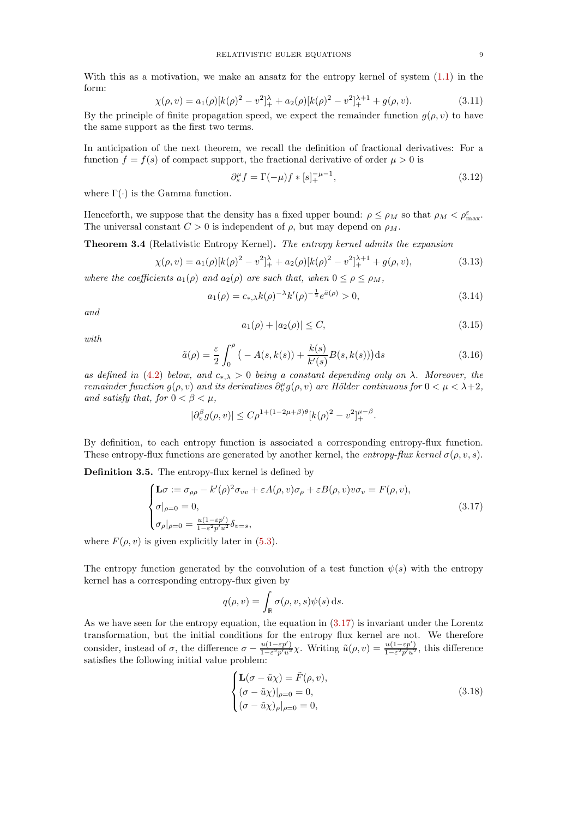With this as a motivation, we make an ansatz for the entropy kernel of system [\(1.1\)](#page-0-0) in the form:

<span id="page-8-4"></span>
$$
\chi(\rho, v) = a_1(\rho)[k(\rho)^2 - v^2]_+^{\lambda} + a_2(\rho)[k(\rho)^2 - v^2]_+^{\lambda + 1} + g(\rho, v). \tag{3.11}
$$

By the principle of finite propagation speed, we expect the remainder function  $g(\rho, v)$  to have the same support as the first two terms.

In anticipation of the next theorem, we recall the definition of fractional derivatives: For a function  $f = f(s)$  of compact support, the fractional derivative of order  $\mu > 0$  is

<span id="page-8-6"></span>
$$
\partial_s^{\mu} f = \Gamma(-\mu) f * [s]_+^{-\mu - 1},\tag{3.12}
$$

where  $\Gamma(\cdot)$  is the Gamma function.

Henceforth, we suppose that the density has a fixed upper bound:  $\rho \le \rho_M$  so that  $\rho_M < \rho_{\text{max}}^{\varepsilon}$ . The universal constant  $C > 0$  is independent of  $\rho$ , but may depend on  $\rho_M$ .

<span id="page-8-2"></span>Theorem 3.4 (Relativistic Entropy Kernel). The entropy kernel admits the expansion

<span id="page-8-3"></span>
$$
\chi(\rho, v) = a_1(\rho)[k(\rho)^2 - v^2]_+^{\lambda} + a_2(\rho)[k(\rho)^2 - v^2]_+^{\lambda + 1} + g(\rho, v), \tag{3.13}
$$

where the coefficients  $a_1(\rho)$  and  $a_2(\rho)$  are such that, when  $0 \leq \rho \leq \rho_M$ ,

$$
a_1(\rho) = c_{*,\lambda} k(\rho)^{-\lambda} k'(\rho)^{-\frac{1}{2}} e^{\tilde{a}(\rho)} > 0,
$$
\n(3.14)

and

$$
a_1(\rho) + |a_2(\rho)| \le C,\tag{3.15}
$$

with

<span id="page-8-5"></span>
$$
\tilde{a}(\rho) = \frac{\varepsilon}{2} \int_0^{\rho} \left( -A(s, k(s)) + \frac{k(s)}{k'(s)} B(s, k(s)) \right) ds \tag{3.16}
$$

as defined in [\(4.2\)](#page-10-0) below, and  $c_{*,\lambda} > 0$  being a constant depending only on  $\lambda$ . Moreover, the remainder function  $g(\rho, v)$  and its derivatives  $\partial_v^{\mu} g(\rho, v)$  are Hölder continuous for  $0 < \mu < \lambda + 2$ , and satisfy that, for  $0 < \beta < \mu$ ,

$$
|\partial_v^{\beta} g(\rho, v)| \leq C \rho^{1+(1-2\mu+\beta)\theta} [k(\rho)^2 - v^2]_+^{\mu-\beta}.
$$

By definition, to each entropy function is associated a corresponding entropy-flux function. These entropy-flux functions are generated by another kernel, the entropy-flux kernel  $\sigma(\rho, v, s)$ .

Definition 3.5. The entropy-flux kernel is defined by

<span id="page-8-0"></span>
$$
\begin{cases}\n\mathbf{L}\sigma := \sigma_{\rho\rho} - k'(\rho)^2 \sigma_{vv} + \varepsilon A(\rho, v) \sigma_\rho + \varepsilon B(\rho, v) v \sigma_v = F(\rho, v), \\
\sigma|_{\rho=0} = 0, \\
\sigma_\rho|_{\rho=0} = \frac{u(1-\varepsilon p')}{1-\varepsilon^2 p' u^2} \delta_{v=s},\n\end{cases}
$$
\n(3.17)

where  $F(\rho, v)$  is given explicitly later in [\(5.3\)](#page-19-0).

The entropy function generated by the convolution of a test function  $\psi(s)$  with the entropy kernel has a corresponding entropy-flux given by

$$
q(\rho, v) = \int_{\mathbb{R}} \sigma(\rho, v, s) \psi(s) \,ds.
$$

As we have seen for the entropy equation, the equation in  $(3.17)$  is invariant under the Lorentz transformation, but the initial conditions for the entropy flux kernel are not. We therefore consider, instead of  $\sigma$ , the difference  $\sigma - \frac{u(1-\varepsilon p')}{1-\varepsilon^2 p' u^2}$  $\frac{u(1-\varepsilon p')}{1-\varepsilon^2 p' u^2} \chi$ . Writing  $\tilde{u}(\rho, v) = \frac{u(1-\varepsilon p')}{1-\varepsilon^2 p' u^2}$  $\frac{u(1-\epsilon p)}{1-\epsilon^2 p'u^2}$ , this difference satisfies the following initial value problem:

<span id="page-8-1"></span>
$$
\begin{cases}\n\mathbf{L}(\sigma - \tilde{u}\chi) = \tilde{F}(\rho, v), \\
(\sigma - \tilde{u}\chi)|_{\rho=0} = 0, \\
(\sigma - \tilde{u}\chi)_{\rho} |_{\rho=0} = 0,\n\end{cases}
$$
\n(3.18)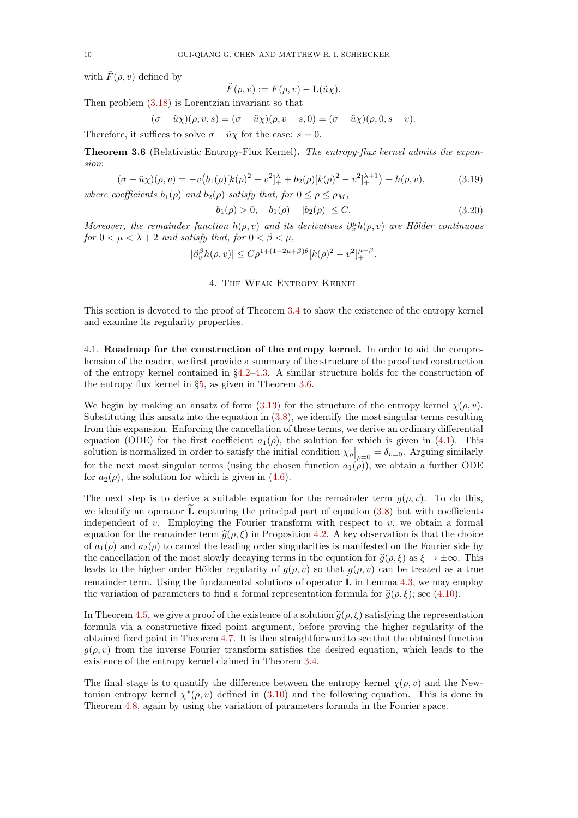with  $\tilde{F}(\rho, v)$  defined by

$$
\tilde{F}(\rho, v) := F(\rho, v) - \mathbf{L}(\tilde{u}\chi).
$$

Then problem [\(3.18\)](#page-8-1) is Lorentzian invariant so that

$$
(\sigma - \tilde{u}\chi)(\rho, v, s) = (\sigma - \tilde{u}\chi)(\rho, v - s, 0) = (\sigma - \tilde{u}\chi)(\rho, 0, s - v).
$$

Therefore, it suffices to solve  $\sigma - \tilde{u}\chi$  for the case:  $s = 0$ .

<span id="page-9-1"></span>Theorem 3.6 (Relativistic Entropy-Flux Kernel). The entropy-flux kernel admits the expansion:

<span id="page-9-2"></span>
$$
(\sigma - \tilde{u}\chi)(\rho, v) = -v(b_1(\rho)[k(\rho)^2 - v^2]_+^{\lambda} + b_2(\rho)[k(\rho)^2 - v^2]_+^{\lambda+1}) + h(\rho, v),
$$
(3.19)

where coefficients  $b_1(\rho)$  and  $b_2(\rho)$  satisfy that, for  $0 \le \rho \le \rho_M$ ,

$$
b_1(\rho) > 0, \quad b_1(\rho) + |b_2(\rho)| \le C. \tag{3.20}
$$

<span id="page-9-0"></span>Moreover, the remainder function  $h(\rho, v)$  and its derivatives  $\partial_v^{\mu} h(\rho, v)$  are Hölder continuous for  $0 < \mu < \lambda + 2$  and satisfy that, for  $0 < \beta < \mu$ ,

$$
|\partial_v^{\beta} h(\rho, v)| \le C\rho^{1+(1-2\mu+\beta)\theta} [k(\rho)^2 - v^2]_+^{\mu-\beta}.
$$

4. The Weak Entropy Kernel

This section is devoted to the proof of Theorem [3.4](#page-8-2) to show the existence of the entropy kernel and examine its regularity properties.

4.1. Roadmap for the construction of the entropy kernel. In order to aid the comprehension of the reader, we first provide a summary of the structure of the proof and construction of the entropy kernel contained in  $\S4.2-4.3$ . A similar structure holds for the construction of the entropy flux kernel in §[5,](#page-18-0) as given in Theorem [3.6.](#page-9-1)

We begin by making an ansatz of form  $(3.13)$  for the structure of the entropy kernel  $\chi(\rho, v)$ . Substituting this ansatz into the equation in [\(3.8\)](#page-7-1), we identify the most singular terms resulting from this expansion. Enforcing the cancellation of these terms, we derive an ordinary differential equation (ODE) for the first coefficient  $a_1(\rho)$ , the solution for which is given in [\(4.1\)](#page-10-2). This solution is normalized in order to satisfy the initial condition  $\chi_{\rho}|_{\rho=0} = \delta_{v=0}$ . Arguing similarly for the next most singular terms (using the chosen function  $a_1(\rho)$ ), we obtain a further ODE for  $a_2(\rho)$ , the solution for which is given in [\(4.6\)](#page-11-1).

The next step is to derive a suitable equation for the remainder term  $g(\rho, v)$ . To do this, we identify an operator  $\tilde{\bf{L}}$  capturing the principal part of equation [\(3.8\)](#page-7-1) but with coefficients independent of v. Employing the Fourier transform with respect to v, we obtain a formal equation for the remainder term  $\hat{g}(\rho, \xi)$  in Proposition [4.2.](#page-12-0) A key observation is that the choice of  $a_1(\rho)$  and  $a_2(\rho)$  to cancel the leading order singularities is manifested on the Fourier side by the cancellation of the most slowly decaying terms in the equation for  $\hat{g}(\rho, \xi)$  as  $\xi \to \pm \infty$ . This leads to the higher order Hölder regularity of  $g(\rho, v)$  so that  $g(\rho, v)$  can be treated as a true remainder term. Using the fundamental solutions of operator  $\tilde{\bf L}$  in Lemma [4.3,](#page-13-0) we may employ the variation of parameters to find a formal representation formula for  $\hat{g}(\rho, \xi)$ ; see [\(4.10\)](#page-13-1).

In Theorem [4.5,](#page-14-0) we give a proof of the existence of a solution  $\hat{g}(\rho, \xi)$  satisfying the representation formula via a constructive fixed point argument, before proving the higher regularity of the obtained fixed point in Theorem [4.7.](#page-16-0) It is then straightforward to see that the obtained function  $g(\rho, v)$  from the inverse Fourier transform satisfies the desired equation, which leads to the existence of the entropy kernel claimed in Theorem [3.4.](#page-8-2)

The final stage is to quantify the difference between the entropy kernel  $\chi(\rho, v)$  and the Newtonian entropy kernel  $\chi^*(\rho, v)$  defined in [\(3.10\)](#page-7-2) and the following equation. This is done in Theorem [4.8,](#page-18-1) again by using the variation of parameters formula in the Fourier space.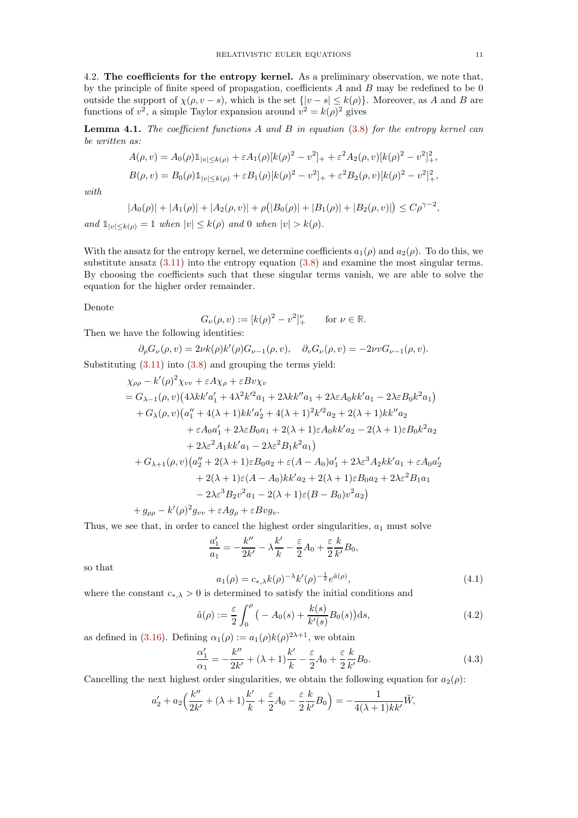<span id="page-10-1"></span>4.2. The coefficients for the entropy kernel. As a preliminary observation, we note that, by the principle of finite speed of propagation, coefficients  $A$  and  $B$  may be redefined to be 0 outside the support of  $\chi(\rho, v - s)$ , which is the set  $\{|v - s| \leq k(\rho)\}\$ . Moreover, as A and B are functions of  $v^2$ , a simple Taylor expansion around  $v^2 = k(\rho)^2$  gives

<span id="page-10-4"></span>**Lemma 4.1.** The coefficient functions A and B in equation  $(3.8)$  for the entropy kernel can be written as:

$$
A(\rho, v) = A_0(\rho) \mathbb{1}_{|v| \le k(\rho)} + \varepsilon A_1(\rho) [k(\rho)^2 - v^2]_+ + \varepsilon^2 A_2(\rho, v) [k(\rho)^2 - v^2]_+^2,
$$
  
\n
$$
B(\rho, v) = B_0(\rho) \mathbb{1}_{|v| \le k(\rho)} + \varepsilon B_1(\rho) [k(\rho)^2 - v^2]_+ + \varepsilon^2 B_2(\rho, v) [k(\rho)^2 - v^2]_+^2,
$$

with

$$
|A_0(\rho)| + |A_1(\rho)| + |A_2(\rho, v)| + \rho (|B_0(\rho)| + |B_1(\rho)| + |B_2(\rho, v)|) \le C\rho^{\gamma - 2},
$$

and  $\mathbb{1}_{|v|<\kappa(\rho)}=1$  when  $|v|\leq k(\rho)$  and 0 when  $|v|>k(\rho)$ .

With the ansatz for the entropy kernel, we determine coefficients  $a_1(\rho)$  and  $a_2(\rho)$ . To do this, we substitute ansatz  $(3.11)$  into the entropy equation  $(3.8)$  and examine the most singular terms. By choosing the coefficients such that these singular terms vanish, we are able to solve the equation for the higher order remainder.

Denote

$$
G_{\nu}(\rho, v) := [k(\rho)^2 - v^2]_{+}^{\nu}
$$
 for  $\nu \in \mathbb{R}$ .

Then we have the following identities:

$$
\partial_{\rho}G_{\nu}(\rho,v)=2\nu k(\rho)k'(\rho)G_{\nu-1}(\rho,v),\quad \partial_{v}G_{\nu}(\rho,v)=-2\nu vG_{\nu-1}(\rho,v).
$$

Substituting  $(3.11)$  into  $(3.8)$  and grouping the terms yield:

$$
\chi_{\rho\rho} - k'(\rho)^2 \chi_{vv} + \varepsilon A \chi_{\rho} + \varepsilon B v \chi_{v}
$$
  
=  $G_{\lambda-1}(\rho, v) (4\lambda k k' a'_1 + 4\lambda^2 k'^2 a_1 + 2\lambda k k'' a_1 + 2\lambda \varepsilon A_0 k k' a_1 - 2\lambda \varepsilon B_0 k^2 a_1)$   
+  $G_{\lambda}(\rho, v) (a''_1 + 4(\lambda + 1) k k' a'_2 + 4(\lambda + 1)^2 k'^2 a_2 + 2(\lambda + 1) k k'' a_2$   
+  $\varepsilon A_0 a'_1 + 2\lambda \varepsilon B_0 a_1 + 2(\lambda + 1) \varepsilon A_0 k k' a_2 - 2(\lambda + 1) \varepsilon B_0 k^2 a_2$   
+  $2\lambda \varepsilon^2 A_1 k k' a_1 - 2\lambda \varepsilon^2 B_1 k^2 a_1$   
+  $G_{\lambda+1}(\rho, v) (a''_2 + 2(\lambda + 1) \varepsilon B_0 a_2 + \varepsilon (A - A_0) a'_1 + 2\lambda \varepsilon^3 A_2 k k' a_1 + \varepsilon A_0 a'_2$   
+  $2(\lambda + 1) \varepsilon (A - A_0) k k' a_2 + 2(\lambda + 1) \varepsilon B_0 a_2 + 2\lambda \varepsilon^2 B_1 a_1$   
-  $2\lambda \varepsilon^3 B_2 v^2 a_1 - 2(\lambda + 1) \varepsilon (B - B_0) v^2 a_2$   
+  $g_{\rho\rho} - k'(\rho)^2 g_{vv} + \varepsilon A g_{\rho} + \varepsilon B v g_{v}.$ 

Thus, we see that, in order to cancel the highest order singularities,  $a_1$  must solve

$$
\frac{a_1'}{a_1} = -\frac{k''}{2k'} - \lambda \frac{k'}{k} - \frac{\varepsilon}{2}A_0 + \frac{\varepsilon}{2}\frac{k}{k'}B_0,
$$

so that

<span id="page-10-2"></span>
$$
a_1(\rho) = c_{*,\lambda} k(\rho)^{-\lambda} k'(\rho)^{-\frac{1}{2}} e^{\tilde{a}(\rho)},
$$
\n(4.1)

where the constant  $c_{\ast,\lambda} > 0$  is determined to satisfy the initial conditions and

<span id="page-10-0"></span>
$$
\tilde{a}(\rho) := \frac{\varepsilon}{2} \int_0^{\rho} \left( -A_0(s) + \frac{k(s)}{k'(s)} B_0(s) \right) ds,
$$
\n(4.2)

as defined in [\(3.16\)](#page-8-5). Defining  $\alpha_1(\rho) := a_1(\rho)k(\rho)^{2\lambda+1}$ , we obtain

<span id="page-10-3"></span>
$$
\frac{\alpha_1'}{\alpha_1} = -\frac{k''}{2k'} + (\lambda + 1)\frac{k'}{k} - \frac{\varepsilon}{2}A_0 + \frac{\varepsilon}{2}\frac{k}{k'}B_0.
$$
\n(4.3)

Cancelling the next highest order singularities, we obtain the following equation for  $a_2(\rho)$ :

$$
a_2' + a_2 \Big(\frac{k''}{2k'} + (\lambda + 1)\frac{k'}{k} + \frac{\varepsilon}{2}A_0 - \frac{\varepsilon}{2}\frac{k}{k'}B_0\Big) = -\frac{1}{4(\lambda + 1)kk'}\tilde{W},
$$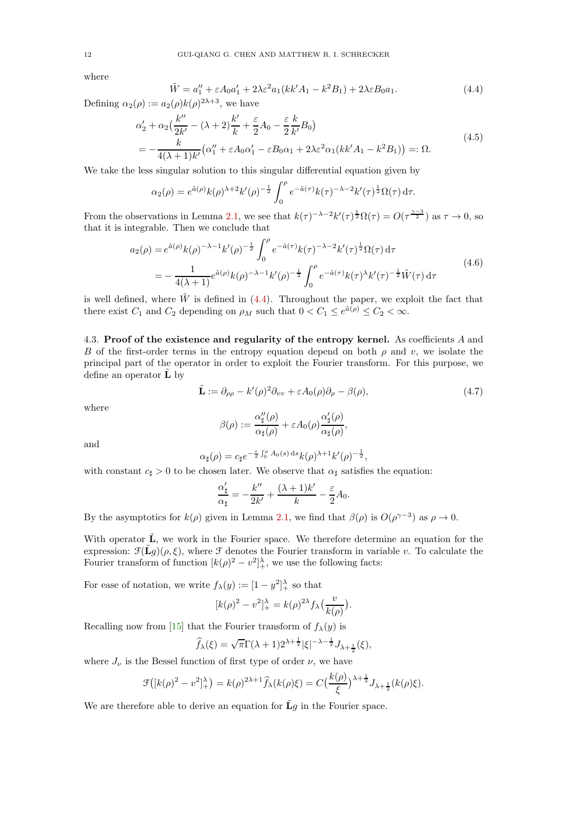where

<span id="page-11-2"></span>
$$
\tilde{W} = a_1'' + \varepsilon A_0 a_1' + 2\lambda \varepsilon^2 a_1 (kk' A_1 - k^2 B_1) + 2\lambda \varepsilon B_0 a_1.
$$
\n
$$
(4.4)
$$

Defining  $\alpha_2(\rho) := a_2(\rho) k(\rho)^{2\lambda+3}$ , we have

<span id="page-11-3"></span>
$$
\alpha'_2 + \alpha_2 \left(\frac{k''}{2k'} - (\lambda + 2)\frac{k'}{k} + \frac{\varepsilon}{2} A_0 - \frac{\varepsilon}{2} \frac{k}{k'} B_0\right)
$$
  
= 
$$
-\frac{k}{4(\lambda + 1)k'} \left(\alpha''_1 + \varepsilon A_0 \alpha'_1 - \varepsilon B_0 \alpha_1 + 2\lambda \varepsilon^2 \alpha_1 (kk'A_1 - k^2 B_1)\right) =: \Omega.
$$
 (4.5)

We take the less singular solution to this singular differential equation given by

$$
\alpha_2(\rho) = e^{\tilde{a}(\rho)} k(\rho)^{\lambda+2} k'(\rho)^{-\frac{1}{2}} \int_0^{\rho} e^{-\tilde{a}(\tau)} k(\tau)^{-\lambda-2} k'(\tau)^{\frac{1}{2}} \Omega(\tau) d\tau.
$$

From the observations in Lemma [2.1,](#page-5-1) we see that  $k(\tau)^{-\lambda-2}k'(\tau)^{\frac{1}{2}}\Omega(\tau) = O(\tau^{\frac{\gamma-3}{2}})$  as  $\tau \to 0$ , so that it is integrable. Then we conclude that

$$
a_2(\rho) = e^{\tilde{a}(\rho)} k(\rho)^{-\lambda - 1} k'(\rho)^{-\frac{1}{2}} \int_0^{\rho} e^{-\tilde{a}(\tau)} k(\tau)^{-\lambda - 2} k'(\tau)^{\frac{1}{2}} \Omega(\tau) d\tau
$$
  
= 
$$
- \frac{1}{4(\lambda + 1)} e^{\tilde{a}(\rho)} k(\rho)^{-\lambda - 1} k'(\rho)^{-\frac{1}{2}} \int_0^{\rho} e^{-\tilde{a}(\tau)} k(\tau)^{\lambda} k'(\tau)^{-\frac{1}{2}} \tilde{W}(\tau) d\tau
$$
(4.6)

<span id="page-11-1"></span><span id="page-11-0"></span>is well defined, where  $\tilde{W}$  is defined in [\(4.4\)](#page-11-2). Throughout the paper, we exploit the fact that there exist  $C_1$  and  $C_2$  depending on  $\rho_M$  such that  $0 < C_1 \le e^{\tilde{a}(\rho)} \le C_2 < \infty$ .

4.3. Proof of the existence and regularity of the entropy kernel. As coefficients A and B of the first-order terms in the entropy equation depend on both  $\rho$  and v, we isolate the principal part of the operator in order to exploit the Fourier transform. For this purpose, we define an operator  $\tilde{\mathbf{L}}$  by

<span id="page-11-4"></span>
$$
\tilde{\mathbf{L}} := \partial_{\rho\rho} - k'(\rho)^2 \partial_{vv} + \varepsilon A_0(\rho) \partial_{\rho} - \beta(\rho), \tag{4.7}
$$

where

$$
\beta(\rho):=\frac{\alpha_{\sharp}''(\rho)}{\alpha_{\sharp}(\rho)}+\varepsilon A_0(\rho)\frac{\alpha_{\sharp}'(\rho)}{\alpha_{\sharp}(\rho)},
$$

and

$$
\alpha_{\sharp}(\rho) = c_{\sharp}e^{-\frac{\varepsilon}{2}\int_0^{\rho} A_0(s) \,ds} k(\rho)^{\lambda+1} k'(\rho)^{-\frac{1}{2}},
$$

with constant  $c_{\sharp} > 0$  to be chosen later. We observe that  $\alpha_{\sharp}$  satisfies the equation:

$$
\frac{\alpha'_{\sharp}}{\alpha_{\sharp}} = -\frac{k''}{2k'} + \frac{(\lambda+1)k'}{k} - \frac{\varepsilon}{2}A_0.
$$

By the asymptotics for  $k(\rho)$  given in Lemma [2.1,](#page-5-1) we find that  $\beta(\rho)$  is  $O(\rho^{\gamma-3})$  as  $\rho \to 0$ .

With operator  $\tilde{\mathbf{L}}$ , we work in the Fourier space. We therefore determine an equation for the expression:  $\mathcal{F}(\tilde{\mathbf{L}}g)(\rho,\xi)$ , where  $\mathcal F$  denotes the Fourier transform in variable v. To calculate the Fourier transform of function  $[k(\rho)^2 - v^2]_+^{\lambda}$ , we use the following facts:

For ease of notation, we write  $f_{\lambda}(y) := [1 - y^2]_+^{\lambda}$  so that

$$
[k(\rho)^{2} - v^{2}]_{+}^{\lambda} = k(\rho)^{2\lambda} f_{\lambda} \left(\frac{v}{k(\rho)}\right).
$$

Recalling now from [\[15\]](#page-36-19) that the Fourier transform of  $f_{\lambda}(y)$  is

$$
\widehat{f}_{\lambda}(\xi)=\sqrt{\pi}\Gamma(\lambda+1)2^{\lambda+\frac{1}{2}}|\xi|^{-\lambda-\frac{1}{2}}J_{\lambda+\frac{1}{2}}(\xi),
$$

where  $J_{\nu}$  is the Bessel function of first type of order  $\nu$ , we have

$$
\mathcal{F}([k(\rho)^2 - v^2]_+^{\lambda}) = k(\rho)^{2\lambda + 1} \widehat{f}_{\lambda}(k(\rho)\xi) = C\left(\frac{k(\rho)}{\xi}\right)^{\lambda + \frac{1}{2}} J_{\lambda + \frac{1}{2}}(k(\rho)\xi).
$$

We are therefore able to derive an equation for  $\tilde{L}g$  in the Fourier space.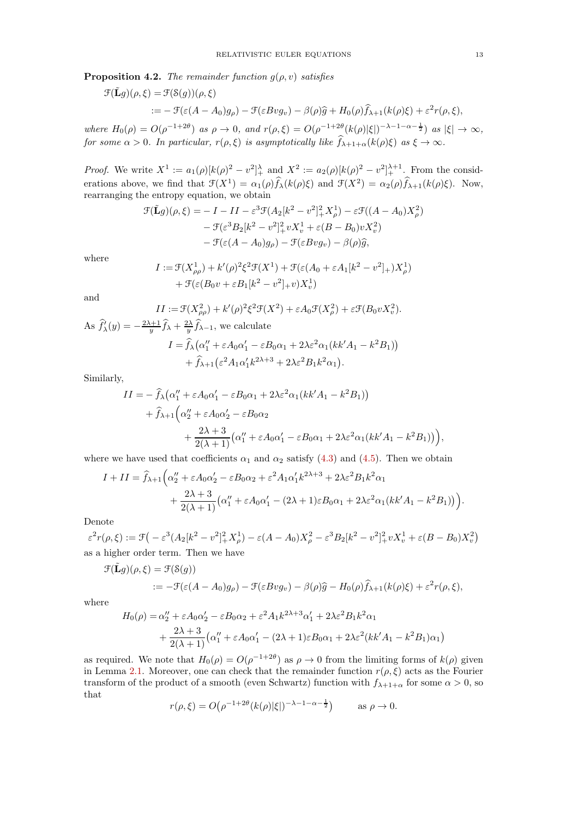<span id="page-12-0"></span>**Proposition 4.2.** The remainder function  $g(\rho, v)$  satisfies

$$
\mathcal{F}(\tilde{\mathbf{L}}g)(\rho,\xi) = \mathcal{F}(\mathcal{S}(g))(\rho,\xi)
$$
  
 :=  $-\mathcal{F}(\varepsilon(A-A_0)g_\rho) - \mathcal{F}(\varepsilon B v g_v) - \beta(\rho)\hat{g} + H_0(\rho)\hat{f}_{\lambda+1}(k(\rho)\xi) + \varepsilon^2 r(\rho,\xi),$ 

where  $H_0(\rho) = O(\rho^{-1+2\theta})$  as  $\rho \to 0$ , and  $r(\rho, \xi) = O(\rho^{-1+2\theta} (k(\rho)|\xi|)^{-\lambda-1-\alpha-\frac{1}{2}})$  as  $|\xi| \to \infty$ , for some  $\alpha > 0$ . In particular,  $r(\rho, \xi)$  is asymptotically like  $\widehat{f}_{\lambda+1+\alpha}(k(\rho)\xi)$  as  $\xi \to \infty$ .

*Proof.* We write  $X^1 := a_1(\rho)[k(\rho)^2 - v^2]_+^{\lambda}$  and  $X^2 := a_2(\rho)[k(\rho)^2 - v^2]_+^{\lambda+1}$ . From the considerations above, we find that  $\mathcal{F}(X^1) = \alpha_1(\rho)\widehat{f}_\lambda(k(\rho)\xi)$  and  $\mathcal{F}(X^2) = \alpha_2(\rho)\widehat{f}_{\lambda+1}(k(\rho)\xi)$ . Now, rearranging the entropy equation, we obtain

$$
\mathcal{F}(\tilde{\mathbf{L}}g)(\rho,\xi) = -I - II - \varepsilon^3 \mathcal{F}(A_2[k^2 - v^2]_+^2 X_\rho^1) - \varepsilon \mathcal{F}((A - A_0)X_\rho^2)
$$

$$
- \mathcal{F}(\varepsilon^3 B_2[k^2 - v^2]_+^2 v X_v^1 + \varepsilon (B - B_0) v X_v^2)
$$

$$
- \mathcal{F}(\varepsilon (A - A_0)g_\rho) - \mathcal{F}(\varepsilon B v g_v) - \beta(\rho)\widehat{g},
$$

where

$$
I := \mathcal{F}(X_{\rho\rho}^1) + k'(\rho)^2 \xi^2 \mathcal{F}(X^1) + \mathcal{F}(\varepsilon(A_0 + \varepsilon A_1[k^2 - v^2] +) X_{\rho}^1) + \mathcal{F}(\varepsilon(B_0 v + \varepsilon B_1[k^2 - v^2] + v) X_v^1)
$$

and

$$
II := \mathcal{F}(X_{\rho\rho}^2) + k'(\rho)^2 \xi^2 \mathcal{F}(X^2) + \varepsilon A_0 \mathcal{F}(X_{\rho}^2) + \varepsilon \mathcal{F}(B_0 v X_v^2).
$$
  
As  $\hat{f}'_{\lambda}(y) = -\frac{2\lambda + 1}{y} \hat{f}_{\lambda} + \frac{2\lambda}{y} \hat{f}_{\lambda-1}$ , we calculate  

$$
I = \hat{f}_{\lambda} (\alpha_1'' + \varepsilon A_0 \alpha_1' - \varepsilon B_0 \alpha_1 + 2\lambda \varepsilon^2 \alpha_1 (kk' A_1 - k^2 B_1))
$$

$$
+ \hat{f}_{\lambda+1} (\varepsilon^2 A_1 \alpha_1' k^{2\lambda+3} + 2\lambda \varepsilon^2 B_1 k^2 \alpha_1).
$$

Similarly,

$$
II = -\hat{f}_{\lambda}(\alpha_1'' + \varepsilon A_0 \alpha_1' - \varepsilon B_0 \alpha_1 + 2\lambda \varepsilon^2 \alpha_1 (kk'A_1 - k^2 B_1))
$$
  
+  $\hat{f}_{\lambda+1}(\alpha_2'' + \varepsilon A_0 \alpha_2' - \varepsilon B_0 \alpha_2$   
+  $\frac{2\lambda + 3}{2(\lambda + 1)}(\alpha_1'' + \varepsilon A_0 \alpha_1' - \varepsilon B_0 \alpha_1 + 2\lambda \varepsilon^2 \alpha_1 (kk'A_1 - k^2 B_1))$ ,

where we have used that coefficients  $\alpha_1$  and  $\alpha_2$  satisfy [\(4.3\)](#page-10-3) and [\(4.5\)](#page-11-3). Then we obtain

$$
I + II = \hat{f}_{\lambda+1} \Big( \alpha_2'' + \varepsilon A_0 \alpha_2' - \varepsilon B_0 \alpha_2 + \varepsilon^2 A_1 \alpha_1' k^{2\lambda+3} + 2\lambda \varepsilon^2 B_1 k^2 \alpha_1 + \frac{2\lambda + 3}{2(\lambda + 1)} \big( \alpha_1'' + \varepsilon A_0 \alpha_1' - (2\lambda + 1) \varepsilon B_0 \alpha_1 + 2\lambda \varepsilon^2 \alpha_1 (kk' A_1 - k^2 B_1) \big) \Big).
$$

Denote

 $\varepsilon^2 r(\rho, \xi) := \mathcal{F} \big( - \varepsilon^3 (A_2 [k^2 - v^2]_+^2 X_\rho^1) - \varepsilon (A - A_0) X_\rho^2 - \varepsilon^3 B_2 [k^2 - v^2]_+^2 v X_v^1 + \varepsilon (B - B_0) X_v^2 \big)$ as a higher order term. Then we have

$$
\mathcal{F}(\tilde{\mathbf{L}}g)(\rho,\xi) = \mathcal{F}(\mathcal{S}(g))
$$
  
 :=  $-\mathcal{F}(\varepsilon(A - A_0)g_\rho) - \mathcal{F}(\varepsilon B v g_v) - \beta(\rho)\widehat{g} - H_0(\rho)\widehat{f}_{\lambda+1}(k(\rho)\xi) + \varepsilon^2 r(\rho,\xi),$ 

where

$$
H_0(\rho) = \alpha_2'' + \varepsilon A_0 \alpha_2' - \varepsilon B_0 \alpha_2 + \varepsilon^2 A_1 k^{2\lambda + 3} \alpha_1' + 2\lambda \varepsilon^2 B_1 k^2 \alpha_1 + \frac{2\lambda + 3}{2(\lambda + 1)} (\alpha_1'' + \varepsilon A_0 \alpha_1' - (2\lambda + 1) \varepsilon B_0 \alpha_1 + 2\lambda \varepsilon^2 (kk' A_1 - k^2 B_1) \alpha_1)
$$

as required. We note that  $H_0(\rho) = O(\rho^{-1+2\theta})$  as  $\rho \to 0$  from the limiting forms of  $k(\rho)$  given in Lemma [2.1.](#page-5-1) Moreover, one can check that the remainder function  $r(\rho, \xi)$  acts as the Fourier transform of the product of a smooth (even Schwartz) function with  $f_{\lambda+1+\alpha}$  for some  $\alpha > 0$ , so that

$$
r(\rho, \xi) = O(\rho^{-1+2\theta} (k(\rho)|\xi|)^{-\lambda - 1 - \alpha - \frac{1}{2}})
$$
 as  $\rho \to 0$ .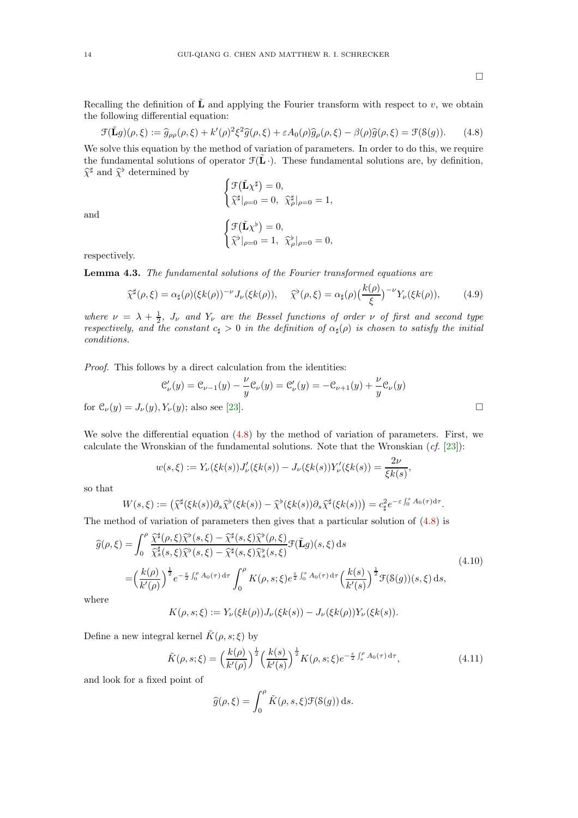$\Box$ 

Recalling the definition of  $\tilde{\bf{L}}$  and applying the Fourier transform with respect to v, we obtain the following differential equation:

<span id="page-13-2"></span>
$$
\mathcal{F}(\tilde{\mathbf{L}}g)(\rho,\xi) := \hat{g}_{\rho\rho}(\rho,\xi) + k'(\rho)^2 \xi^2 \hat{g}(\rho,\xi) + \varepsilon A_0(\rho) \hat{g}_{\rho}(\rho,\xi) - \beta(\rho) \hat{g}(\rho,\xi) = \mathcal{F}(\mathcal{S}(g)). \tag{4.8}
$$

We solve this equation by the method of variation of parameters. In order to do this, we require the fundamental solutions of operator  $\mathcal{F}(\mathbf{L} \cdot)$ . These fundamental solutions are, by definition,  $\hat{\chi}^{\sharp}$  and  $\hat{\chi}^{\flat}$  determined by

$$
\begin{cases} \mathcal{F}(\tilde{\mathbf{L}}\chi^{\sharp}) = 0, \\ \hat{\chi}^{\sharp}|_{\rho=0} = 0, \ \hat{\chi}^{\sharp}_{\rho}|_{\rho=0} = 1, \end{cases}
$$

and

$$
\begin{cases} \mathcal{F}(\tilde{\mathbf{L}}\chi^{\flat}) = 0, \\ \tilde{\chi}^{\flat}|_{\rho=0} = 1, \ \tilde{\chi}^{\flat}_{\rho}|_{\rho=0} = 0, \end{cases}
$$

respectively.

<span id="page-13-0"></span>Lemma 4.3. The fundamental solutions of the Fourier transformed equations are

$$
\widehat{\chi}^{\sharp}(\rho,\xi) = \alpha_{\sharp}(\rho)(\xi k(\rho))^{-\nu} J_{\nu}(\xi k(\rho)), \quad \widehat{\chi}^{\flat}(\rho,\xi) = \alpha_{\sharp}(\rho) \left(\frac{k(\rho)}{\xi}\right)^{-\nu} Y_{\nu}(\xi k(\rho)), \tag{4.9}
$$

where  $\nu = \lambda + \frac{1}{2}$ ,  $J_{\nu}$  and  $Y_{\nu}$  are the Bessel functions of order  $\nu$  of first and second type respectively, and the constant  $c_{\sharp} > 0$  in the definition of  $\alpha_{\sharp}(\rho)$  is chosen to satisfy the initial conditions.

Proof. This follows by a direct calculation from the identities:

$$
\mathcal{C}'_{\nu}(y) = \mathcal{C}_{\nu-1}(y) - \frac{\nu}{y} \mathcal{C}_{\nu}(y) = \mathcal{C}'_{\nu}(y) = -\mathcal{C}_{\nu+1}(y) + \frac{\nu}{y} \mathcal{C}_{\nu}(y)
$$
  
for  $\mathcal{C}_{\nu}(y) = J_{\nu}(y), Y_{\nu}(y)$ ; also see [23].

We solve the differential equation [\(4.8\)](#page-13-2) by the method of variation of parameters. First, we calculate the Wronskian of the fundamental solutions. Note that the Wronskian  $(cf. [23])$  $(cf. [23])$  $(cf. [23])$ :

$$
w(s,\xi) := Y_{\nu}(\xi k(s))J_{\nu}'(\xi k(s)) - J_{\nu}(\xi k(s))Y_{\nu}'(\xi k(s)) = \frac{2\nu}{\xi k(s)},
$$

so that

$$
W(s,\xi) := \left(\widehat{\chi}^{\sharp}(\xi k(s))\partial_{s}\widehat{\chi}^{b}(\xi k(s)) - \widehat{\chi}^{b}(\xi k(s))\partial_{s}\widehat{\chi}^{\sharp}(\xi k(s))\right) = c_{\sharp}^{2}e^{-\varepsilon\int_{0}^{s} A_{0}(\tau)d\tau}.
$$

The method of variation of parameters then gives that a particular solution of [\(4.8\)](#page-13-2) is

<span id="page-13-1"></span>
$$
\widehat{g}(\rho,\xi) = \int_0^{\rho} \frac{\widehat{\chi}^{\sharp}(\rho,\xi)\widehat{\chi}^{\flat}(s,\xi) - \widehat{\chi}^{\sharp}(s,\xi)\widehat{\chi}^{\flat}(\rho,\xi)}{\widehat{\chi}^{\sharp}_{s}(s,\xi)\widehat{\chi}^{\flat}(s,\xi) - \widehat{\chi}^{\sharp}(s,\xi)\widehat{\chi}^{\flat}_{s}(s,\xi)} \mathcal{F}(\tilde{\mathbf{L}}g)(s,\xi) ds
$$
\n
$$
= \left(\frac{k(\rho)}{k'(\rho)}\right)^{\frac{1}{2}} e^{-\frac{\varepsilon}{2} \int_0^{\rho} A_0(\tau) d\tau} \int_0^{\rho} K(\rho,s;\xi) e^{\frac{\varepsilon}{2} \int_0^s A_0(\tau) d\tau} \left(\frac{k(s)}{k'(s)}\right)^{\frac{1}{2}} \mathcal{F}(\mathcal{S}(g))(s,\xi) ds,
$$
\nwhere\n
$$
\tag{4.10}
$$

wh

$$
K(\rho, s; \xi) := Y_{\nu}(\xi k(\rho)) J_{\nu}(\xi k(s)) - J_{\nu}(\xi k(\rho)) Y_{\nu}(\xi k(s)).
$$

Define a new integral kernel  $\tilde{K}(\rho, s; \xi)$  by

<span id="page-13-3"></span>
$$
\tilde{K}(\rho, s; \xi) = \left(\frac{k(\rho)}{k'(\rho)}\right)^{\frac{1}{2}} \left(\frac{k(s)}{k'(s)}\right)^{\frac{1}{2}} K(\rho, s; \xi) e^{-\frac{\varepsilon}{2} \int_{s}^{\rho} A_0(\tau) d\tau},
$$
\n(4.11)

and look for a fixed point of

$$
\widehat{g}(\rho,\xi) = \int_0^{\rho} \tilde{K}(\rho,s,\xi) \mathcal{F}(\mathcal{S}(g)) \, \mathrm{d}s.
$$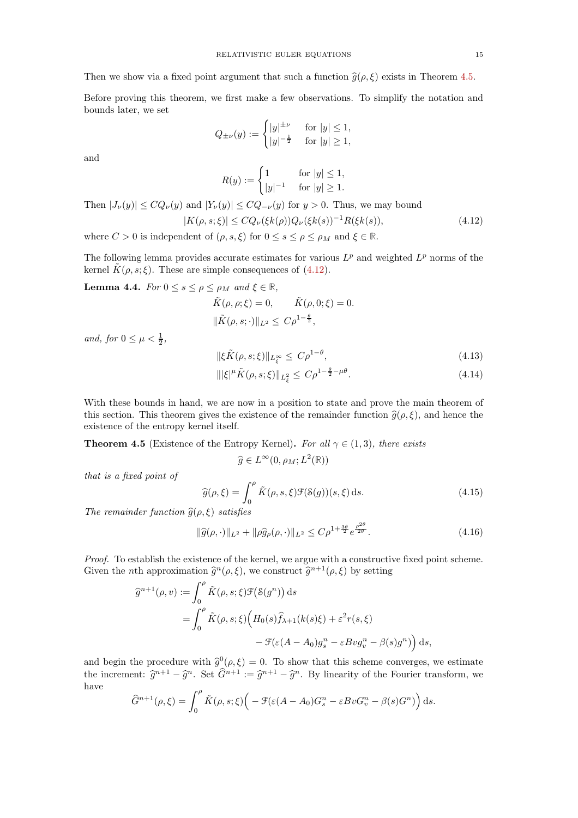Then we show via a fixed point argument that such a function  $\hat{g}(\rho, \xi)$  exists in Theorem [4.5.](#page-14-0)

Before proving this theorem, we first make a few observations. To simplify the notation and bounds later, we set

$$
Q_{\pm \nu}(y):=\begin{cases} |y|^{\pm \nu} & \text{ for } |y|\leq 1,\\ |y|^{-\frac{1}{2}} & \text{ for } |y|\geq 1,\end{cases}
$$

and

<span id="page-14-1"></span>
$$
R(y) := \begin{cases} 1 & \text{for } |y| \le 1, \\ |y|^{-1} & \text{for } |y| \ge 1. \end{cases}
$$

Then  $|J_{\nu}(y)| \le CQ_{\nu}(y)$  and  $|Y_{\nu}(y)| \le CQ_{-\nu}(y)$  for  $y > 0$ . Thus, we may bound  $|K(\rho, s; \xi)| \leq C Q_{\nu}(\xi k(\rho)) Q_{\nu}(\xi k(s))^{-1} R(\xi k(s)),$  (4.12)

where  $C > 0$  is independent of  $(\rho, s, \xi)$  for  $0 \le s \le \rho \le \rho_M$  and  $\xi \in \mathbb{R}$ .

The following lemma provides accurate estimates for various  $L^p$  and weighted  $L^p$  norms of the kernel  $K(\rho, s; \xi)$ . These are simple consequences of [\(4.12\)](#page-14-1).

<span id="page-14-2"></span>Lemma 4.4. For  $0 \leq s \leq \rho \leq \rho_M$  and  $\xi \in \mathbb{R}$ ,

$$
\tilde{K}(\rho, \rho; \xi) = 0, \qquad \tilde{K}(\rho, 0; \xi) = 0.
$$
  

$$
\|\tilde{K}(\rho, s; \cdot)\|_{L^2} \le C\rho^{1 - \frac{\theta}{2}},
$$

and, for  $0 \leq \mu < \frac{1}{2}$ ,

$$
\|\xi \tilde{K}(\rho, s; \xi)\|_{L^{\infty}_{\xi}} \le C\rho^{1-\theta},\tag{4.13}
$$

$$
\| |\xi|^\mu \tilde{K}(\rho, s; \xi) \|_{L^2_{\xi}} \le C \rho^{1 - \frac{\theta}{2} - \mu \theta}.
$$
\n(4.14)

With these bounds in hand, we are now in a position to state and prove the main theorem of this section. This theorem gives the existence of the remainder function  $\hat{g}(\rho, \xi)$ , and hence the existence of the entropy kernel itself.

<span id="page-14-0"></span>**Theorem 4.5** (Existence of the Entropy Kernel). For all  $\gamma \in (1,3)$ , there exists

$$
\widehat{g} \in L^{\infty}(0, \rho_M; L^2(\mathbb{R}))
$$

that is a fixed point of

$$
\widehat{g}(\rho,\xi) = \int_0^{\rho} \tilde{K}(\rho,s,\xi) \mathcal{F}(\mathcal{S}(g))(s,\xi) \,ds. \tag{4.15}
$$

The remainder function  $\widehat{g}(\rho, \xi)$  satisfies

$$
\|\widehat{g}(\rho,\cdot)\|_{L^2} + \|\rho \widehat{g}_{\rho}(\rho,\cdot)\|_{L^2} \le C\rho^{1 + \frac{3\theta}{2}} e^{\frac{\rho^{2\theta}}{2\theta}}.
$$
\n(4.16)

2θ

Proof. To establish the existence of the kernel, we argue with a constructive fixed point scheme. Given the *n*th approximation  $\hat{g}^n(\rho, \xi)$ , we construct  $\hat{g}^{n+1}(\rho, \xi)$  by setting

$$
\begin{aligned}\n\widehat{g}^{n+1}(\rho, v) &:= \int_0^\rho \tilde{K}(\rho, s; \xi) \mathcal{F}(\mathcal{S}(g^n)) \, \mathrm{d}s \\
&= \int_0^\rho \tilde{K}(\rho, s; \xi) \Big( H_0(s) \widehat{f}_{\lambda+1}(k(s)\xi) + \varepsilon^2 r(s, \xi) \\
&\quad - \mathcal{F}(\varepsilon (A - A_0) g_s^n - \varepsilon B v g_v^n - \beta(s) g^n) \Big) \, \mathrm{d}s,\n\end{aligned}
$$

and begin the procedure with  $\hat{g}^0(\rho,\xi) = 0$ . To show that this scheme converges, we estimate the increment:  $\hat{g}^{n+1} - \hat{g}^n$ . Set  $\hat{G}^{n+1} := \hat{g}^{n+1} - \hat{g}^n$ . By linearity of the Fourier transform, we have

$$
\widehat{G}^{n+1}(\rho,\xi) = \int_0^{\rho} \tilde{K}(\rho,s;\xi) \Big( -\mathcal{F}(\varepsilon(A-A_0)G_s^n - \varepsilon BvG_v^n - \beta(s)G^n) \Big) ds.
$$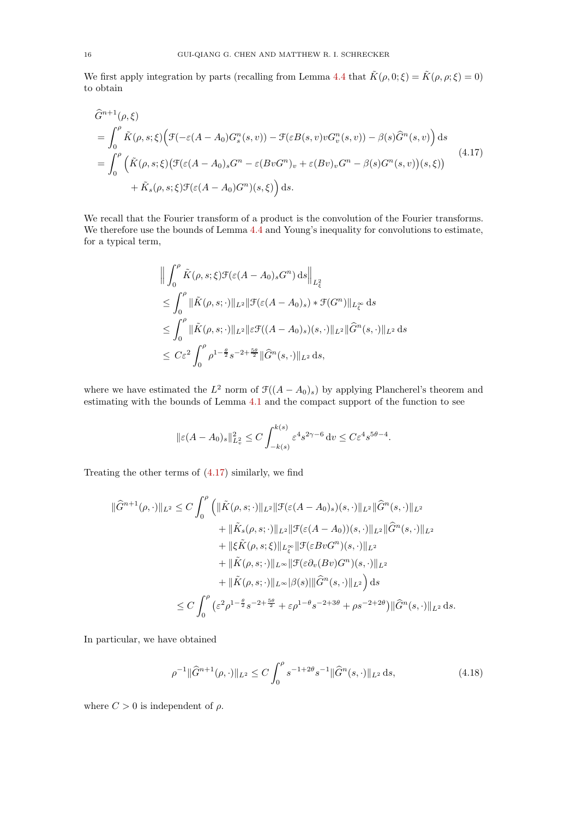We first apply integration by parts (recalling from Lemma [4.4](#page-14-2) that  $\tilde{K}(\rho, 0; \xi) = \tilde{K}(\rho, \rho; \xi) = 0$ ) to obtain

<span id="page-15-0"></span>
$$
\begin{split}\n\widehat{G}^{n+1}(\rho,\xi) \\
&= \int_0^\rho \tilde{K}(\rho,s;\xi) \Big( \mathcal{F}(-\varepsilon(A-A_0)G_s^n(s,v)) - \mathcal{F}(\varepsilon B(s,v)vG_v^n(s,v)) - \beta(s)\widehat{G}^n(s,v) \Big) ds \\
&= \int_0^\rho \Big( \tilde{K}(\rho,s;\xi) \big( \mathcal{F}(\varepsilon(A-A_0)_s G^n - \varepsilon (BvG^n)_v + \varepsilon (Bv)_v G^n - \beta(s)G^n(s,v) \big)(s,\xi) \Big) \\
&+ \tilde{K}_s(\rho,s;\xi) \mathcal{F}(\varepsilon(A-A_0)G^n)(s,\xi) \Big) ds.\n\end{split} \tag{4.17}
$$

We recall that the Fourier transform of a product is the convolution of the Fourier transforms. We therefore use the bounds of Lemma [4.4](#page-14-2) and Young's inequality for convolutions to estimate, for a typical term,

$$
\left\| \int_0^{\rho} \tilde{K}(\rho, s; \xi) \mathcal{F}(\varepsilon (A - A_0)_s G^n) \, ds \right\|_{L^2_{\xi}} \n\leq \int_0^{\rho} \| \tilde{K}(\rho, s; \cdot) \|_{L^2} \| \mathcal{F}(\varepsilon (A - A_0)_s) * \mathcal{F}(G^n) \|_{L^{\infty}_{\xi}} \, ds \n\leq \int_0^{\rho} \| \tilde{K}(\rho, s; \cdot) \|_{L^2} \| \varepsilon \mathcal{F}((A - A_0)_s)(s, \cdot) \|_{L^2} \| \widehat{G}^n(s, \cdot) \|_{L^2} \, ds \n\leq C \varepsilon^2 \int_0^{\rho} \rho^{1 - \frac{\theta}{2}} s^{-2 + \frac{5\theta}{2}} \| \widehat{G}^n(s, \cdot) \|_{L^2} \, ds,
$$

where we have estimated the  $L^2$  norm of  $\mathcal{F}((A - A_0)_s)$  by applying Plancherel's theorem and estimating with the bounds of Lemma [4.1](#page-10-4) and the compact support of the function to see

$$
\|\varepsilon(A-A_0)_s\|_{L^2_v}^2 \le C \int_{-k(s)}^{k(s)} \varepsilon^4 s^{2\gamma-6} \, dv \le C \varepsilon^4 s^{5\theta-4}.
$$

Treating the other terms of [\(4.17\)](#page-15-0) similarly, we find

$$
\|\hat{G}^{n+1}(\rho,\cdot)\|_{L^{2}} \leq C \int_{0}^{\rho} \left( \|\tilde{K}(\rho,s;\cdot)\|_{L^{2}} \|\mathcal{F}(\varepsilon(A-A_{0})_{s})(s,\cdot)\|_{L^{2}} \|\hat{G}^{n}(s,\cdot)\|_{L^{2}} \n+ \|\tilde{K}_{s}(\rho,s;\cdot)\|_{L^{2}} \|\mathcal{F}(\varepsilon(A-A_{0}))(s,\cdot)\|_{L^{2}} \|\hat{G}^{n}(s,\cdot)\|_{L^{2}} \n+ \|\xi \tilde{K}(\rho,s;\xi)\|_{L^{\infty}_{\xi}} \|\mathcal{F}(\varepsilon BvG^{n})(s,\cdot)\|_{L^{2}} \n+ \|\tilde{K}(\rho,s;\cdot)\|_{L^{\infty}} \|\mathcal{F}(\varepsilon \partial_{v}(Bv)G^{n})(s,\cdot)\|_{L^{2}} \n+ \|\tilde{K}(\rho,s;\cdot)\|_{L^{\infty}} |\beta(s)| \|\hat{G}^{n}(s,\cdot)\|_{L^{2}} \right) ds \n\leq C \int_{0}^{\rho} \left(\varepsilon^{2} \rho^{1-\frac{\theta}{2}} s^{-2+\frac{5\theta}{2}} + \varepsilon \rho^{1-\theta} s^{-2+3\theta} + \rho s^{-2+2\theta}\right) \|\hat{G}^{n}(s,\cdot)\|_{L^{2}} ds.
$$

In particular, we have obtained

<span id="page-15-1"></span>
$$
\rho^{-1} \|\widehat{G}^{n+1}(\rho,\cdot)\|_{L^2} \le C \int_0^\rho s^{-1+2\theta} s^{-1} \|\widehat{G}^n(s,\cdot)\|_{L^2} \,\mathrm{d}s,\tag{4.18}
$$

where  $C > 0$  is independent of  $\rho$ .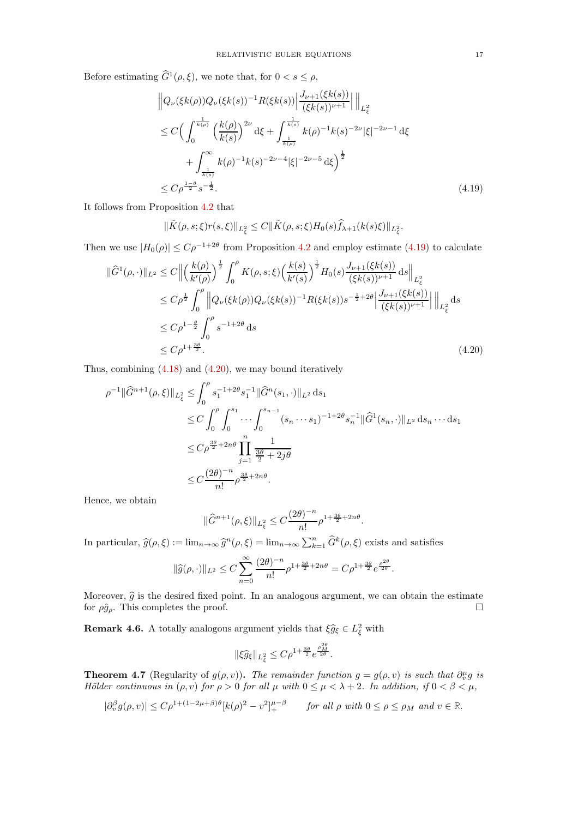Before estimating  $\hat{G}^1(\rho,\xi)$ , we note that, for  $0 < s \leq \rho$ ,

$$
\left\|Q_{\nu}(\xi k(\rho))Q_{\nu}(\xi k(s))^{-1}R(\xi k(s))\right\|\frac{J_{\nu+1}(\xi k(s))}{(\xi k(s))^{\nu+1}}\right\|_{L_{\xi}^{2}}\n\leq C\Big(\int_{0}^{\frac{1}{k(\rho)}} \left(\frac{k(\rho)}{k(s)}\right)^{2\nu} d\xi + \int_{\frac{1}{k(\rho)}}^{\frac{1}{k(s)}} k(\rho)^{-1}k(s)^{-2\nu}| \xi|^{-2\nu-1} d\xi\n+\int_{\frac{1}{k(s)}}^{\infty} k(\rho)^{-1}k(s)^{-2\nu-4}|\xi|^{-2\nu-5} d\xi\Big)^{\frac{1}{2}}\n\leq C\rho^{\frac{1-\theta}{2}}s^{-\frac{1}{2}}.
$$
\n(4.19)

It follows from Proposition [4.2](#page-12-0) that

<span id="page-16-1"></span>
$$
\|\tilde{K}(\rho,s;\xi)r(s,\xi)\|_{L_{\xi}^{2}} \leq C\|\tilde{K}(\rho,s;\xi)H_{0}(s)\hat{f}_{\lambda+1}(k(s)\xi)\|_{L_{\xi}^{2}}.
$$

Then we use  $|H_0(\rho)| \leq C\rho^{-1+2\theta}$  from Proposition [4.2](#page-12-0) and employ estimate [\(4.19\)](#page-16-1) to calculate

$$
\|\hat{G}^{1}(\rho,\cdot)\|_{L^{2}} \leq C \left\| \left(\frac{k(\rho)}{k'(\rho)}\right)^{\frac{1}{2}} \int_{0}^{\rho} K(\rho,s;\xi) \left(\frac{k(s)}{k'(s)}\right)^{\frac{1}{2}} H_{0}(s) \frac{J_{\nu+1}(\xi k(s))}{(\xi k(s))^{\nu+1}} ds \right\|_{L^{2}_{\xi}}
$$
  
\n
$$
\leq C \rho^{\frac{1}{2}} \int_{0}^{\rho} \left\| Q_{\nu}(\xi k(\rho)) Q_{\nu}(\xi k(s))^{-1} R(\xi k(s)) s^{-\frac{1}{2}+2\theta} \left|\frac{J_{\nu+1}(\xi k(s))}{(\xi k(s))^{\nu+1}}\right| \right\|_{L^{2}_{\xi}} ds
$$
  
\n
$$
\leq C \rho^{1-\frac{\theta}{2}} \int_{0}^{\rho} s^{-1+2\theta} ds
$$
  
\n
$$
\leq C \rho^{1+\frac{3\theta}{2}}.
$$
\n(4.20)

Thus, combining [\(4.18\)](#page-15-1) and [\(4.20\)](#page-16-2), we may bound iteratively

$$
\rho^{-1} \|\widehat{G}^{n+1}(\rho,\xi)\|_{L_{\xi}^{2}} \leq \int_{0}^{\rho} s_{1}^{-1+2\theta} s_{1}^{-1} \|\widehat{G}^{n}(s_{1},\cdot)\|_{L^{2}} ds_{1}
$$
  
\n
$$
\leq C \int_{0}^{\rho} \int_{0}^{s_{1}} \cdots \int_{0}^{s_{n-1}} (s_{n} \cdots s_{1})^{-1+2\theta} s_{n}^{-1} \|\widehat{G}^{1}(s_{n},\cdot)\|_{L^{2}} ds_{n} \cdots ds_{1}
$$
  
\n
$$
\leq C \rho^{\frac{3\theta}{2}+2n\theta} \prod_{j=1}^{n} \frac{1}{\frac{3\theta}{2}+2j\theta}
$$
  
\n
$$
\leq C \frac{(2\theta)^{-n}}{n!} \rho^{\frac{3\theta}{2}+2n\theta}.
$$

Hence, we obtain

<span id="page-16-2"></span>
$$
\|\widehat{G}^{n+1}(\rho,\xi)\|_{L^2_{\xi}} \le C \frac{(2\theta)^{-n}}{n!} \rho^{1 + \frac{3\theta}{2} + 2n\theta}.
$$

In particular,  $\hat{g}(\rho, \xi) := \lim_{n \to \infty} \hat{g}^n(\rho, \xi) = \lim_{n \to \infty} \sum_{k=1}^n \hat{G}^k(\rho, \xi)$  exists and satisfies

$$
\|\widehat{g}(\rho,\cdot)\|_{L^2} \le C \sum_{n=0}^{\infty} \frac{(2\theta)^{-n}}{n!} \rho^{1+\frac{3\theta}{2}+2n\theta} = C\rho^{1+\frac{3\theta}{2}} e^{\frac{\rho^{2\theta}}{2\theta}}.
$$

Moreover,  $\hat{g}$  is the desired fixed point. In an analogous argument, we can obtain the estimate for  $\rho \hat{q}_o$ . This completes the proof. for  $\rho \hat{g}_{\rho}$ . This completes the proof.

**Remark 4.6.** A totally analogous argument yields that  $\xi \hat{g}_{\xi} \in L_{\xi}^2$  with

$$
\|\xi\hat{g}_{\xi}\|_{L_{\xi}^2} \leq C\rho^{1+\frac{3\theta}{2}}e^{\frac{\rho_M^{2\theta}}{2\theta}}.
$$

<span id="page-16-0"></span>**Theorem 4.7** (Regularity of  $g(\rho, v)$ ). The remainder function  $g = g(\rho, v)$  is such that  $\partial_v^{\mu} g$  is Hölder continuous in  $(\rho, v)$  for  $\rho > 0$  for all  $\mu$  with  $0 \leq \mu < \lambda + 2$ . In addition, if  $0 < \beta < \mu$ ,

$$
|\partial_v^{\beta} g(\rho, v)| \le C\rho^{1 + (1 - 2\mu + \beta)\theta} [k(\rho)^2 - v^2]_+^{\mu - \beta} \qquad \text{for all } \rho \text{ with } 0 \le \rho \le \rho_M \text{ and } v \in \mathbb{R}.
$$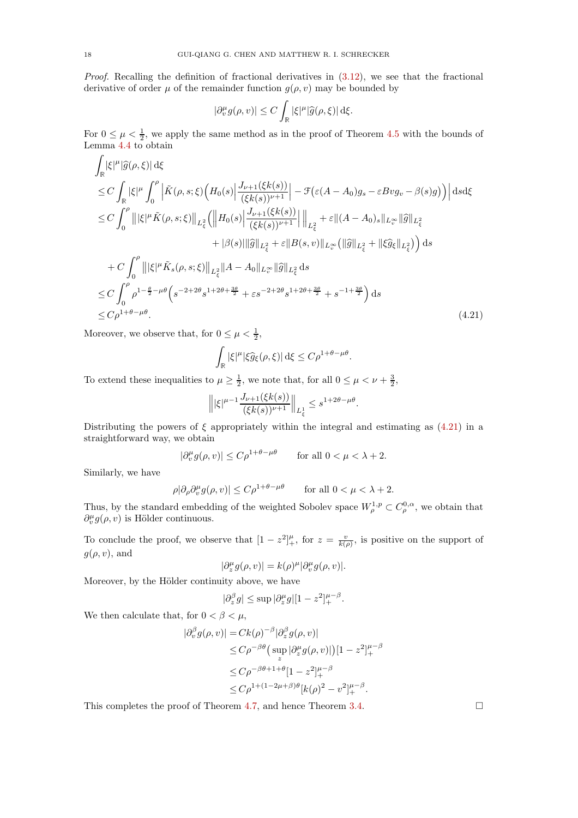*Proof.* Recalling the definition of fractional derivatives in  $(3.12)$ , we see that the fractional derivative of order  $\mu$  of the remainder function  $g(\rho, v)$  may be bounded by

$$
|\partial_v^{\mu} g(\rho, v)| \le C \int_{\mathbb{R}} |\xi|^{\mu} |\widehat{g}(\rho, \xi)| d\xi.
$$

For  $0 \leq \mu < \frac{1}{2}$ , we apply the same method as in the proof of Theorem [4.5](#page-14-0) with the bounds of Lemma [4.4](#page-14-2) to obtain

$$
\int_{\mathbb{R}} |\xi|^{\mu} |\hat{g}(\rho, \xi)| d\xi \n\leq C \int_{\mathbb{R}} |\xi|^{\mu} \int_{0}^{\rho} \left| \tilde{K}(\rho, s; \xi) \left( H_{0}(s) \Big| \frac{J_{\nu+1}(\xi k(s))}{(\xi k(s))^{\nu+1}} \right| - \mathcal{F}(\varepsilon (A - A_{0}) g_{s} - \varepsilon B v g_{v} - \beta(s) g) \right) \right| ds d\xi \n\leq C \int_{0}^{\rho} \left| \|\xi|^{\mu} \tilde{K}(\rho, s; \xi) \right\|_{L_{\xi}^{2}} \left( \left\| H_{0}(s) \Big| \frac{J_{\nu+1}(\xi k(s))}{(\xi k(s))^{\nu+1}} \right| \right\|_{L_{\xi}^{2}} + \varepsilon \| (A - A_{0})_{s} \|_{L_{\nu}^{\infty}} \| \hat{g} \|_{L_{\xi}^{2}} \n+ |\beta(s)| \| \hat{g} \|_{L_{\xi}^{2}} + \varepsilon \| B(s, v) \|_{L_{\nu}^{\infty}} \left( \| \hat{g} \|_{L_{\xi}^{2}} + \| \xi \hat{g}_{\xi} \|_{L_{\xi}^{2}} \right) \right) ds \n+ C \int_{0}^{\rho} \left| \|\xi|^{\mu} \tilde{K}_{s}(\rho, s; \xi) \right\|_{L_{\xi}^{2}} \|A - A_{0} \|_{L_{\nu}^{\infty}} \| \hat{g} \|_{L_{\xi}^{2}} ds \n\leq C \int_{0}^{\rho} \rho^{1 - \frac{\theta}{2} - \mu \theta} \left( s^{-2 + 2\theta} s^{1 + 2\theta + \frac{3\theta}{2}} + s^{-2 + 2\theta} s^{1 + 2\theta + \frac{3\theta}{2}} + s^{-1 + \frac{3\theta}{2}} \right) ds \n\leq C \rho^{1 + \theta - \mu \theta}.
$$
\n(4.21)

Moreover, we observe that, for  $0 \leq \mu < \frac{1}{2}$ ,

$$
\int_{\mathbb{R}} |\xi|^{\mu} |\xi \hat{g}_{\xi}(\rho,\xi)| d\xi \leq C \rho^{1+\theta-\mu\theta}.
$$

To extend these inequalities to  $\mu \ge \frac{1}{2}$ , we note that, for all  $0 \le \mu < \nu + \frac{3}{2}$ ,

$$
\left\| |\xi|^{\mu-1} \frac{J_{\nu+1}(\xi k(s))}{(\xi k(s))^{\nu+1}} \right\|_{L^1_{\xi}} \le s^{1+2\theta-\mu\theta}
$$

<span id="page-17-0"></span>.

Distributing the powers of  $\xi$  appropriately within the integral and estimating as [\(4.21\)](#page-17-0) in a straightforward way, we obtain

$$
|\partial_v^{\mu} g(\rho, v)| \le C\rho^{1+\theta-\mu\theta} \qquad \text{for all } 0 < \mu < \lambda + 2.
$$

Similarly, we have

$$
\rho |\partial_\rho \partial^\mu_v g(\rho, v)| \leq C \rho^{1 + \theta - \mu \theta} \qquad \text{for all } 0 < \mu < \lambda + 2.
$$

Thus, by the standard embedding of the weighted Sobolev space  $W^{1,p}_{\rho} \subset C^{0,\alpha}_{\rho}$ , we obtain that  $\partial_v^{\mu} g(\rho, v)$  is Hölder continuous.

To conclude the proof, we observe that  $[1-z^2]_+^{\mu}$ , for  $z=\frac{v}{k(\rho)}$ , is positive on the support of  $g(\rho, v)$ , and

$$
|\partial_z^{\mu} g(\rho, v)| = k(\rho)^{\mu} |\partial_v^{\mu} g(\rho, v)|.
$$

Moreover, by the Hölder continuity above, we have

$$
|\partial_z^{\beta} g| \leq \sup |\partial_z^{\mu} g| [1-z^2]_+^{\mu-\beta}.
$$

We then calculate that, for  $0 < \beta < \mu$ ,

$$
\begin{split} |\partial_v^{\beta} g(\rho, v)| &= Ck(\rho)^{-\beta} |\partial_z^{\beta} g(\rho, v)| \\ &\leq C\rho^{-\beta\theta} \big(\sup_z |\partial_z^{\mu} g(\rho, v)|\big) [1 - z^2]_+^{\mu - \beta} \\ &\leq C\rho^{-\beta\theta + 1 + \theta} [1 - z^2]_+^{\mu - \beta} \\ &\leq C\rho^{1 + (1 - 2\mu + \beta)\theta} [k(\rho)^2 - v^2]_+^{\mu - \beta}. \end{split}
$$

This completes the proof of Theorem [4.7,](#page-16-0) and hence Theorem [3.4.](#page-8-2)  $\Box$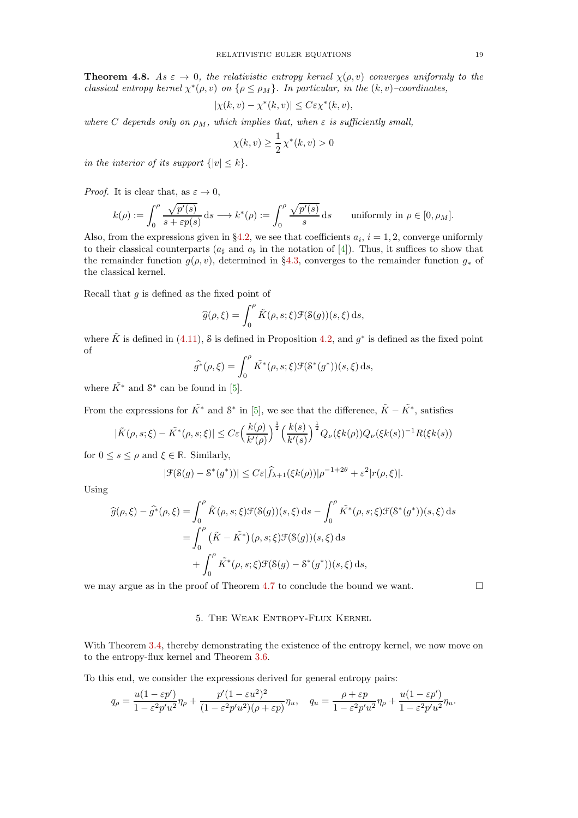<span id="page-18-1"></span>**Theorem 4.8.** As  $\varepsilon \to 0$ , the relativistic entropy kernel  $\chi(\rho, v)$  converges uniformly to the classical entropy kernel  $\chi^*(\rho, v)$  on  $\{\rho \leq \rho_M\}$ . In particular, in the  $(k, v)$ -coordinates,

$$
|\chi(k,v) - \chi^*(k,v)| \le C\varepsilon \chi^*(k,v),
$$

where C depends only on  $\rho_M$ , which implies that, when  $\varepsilon$  is sufficiently small,

$$
\chi(k, v) \ge \frac{1}{2} \chi^*(k, v) > 0
$$

in the interior of its support  $\{|v| \leq k\}$ .

*Proof.* It is clear that, as  $\varepsilon \to 0$ ,

$$
k(\rho) := \int_0^{\rho} \frac{\sqrt{p'(s)}}{s + \varepsilon p(s)} ds \longrightarrow k^*(\rho) := \int_0^{\rho} \frac{\sqrt{p'(s)}}{s} ds \quad \text{ uniformly in } \rho \in [0, \rho_M].
$$

Also, from the expressions given in §[4.2,](#page-10-1) we see that coefficients  $a_i$ ,  $i = 1, 2$ , converge uniformly to their classical counterparts ( $a<sub>‡</sub>$  and  $a<sub>flat</sub>$  in the notation of [\[4\]](#page-36-18)). Thus, it suffices to show that the remainder function  $g(\rho, v)$ , determined in §[4.3,](#page-11-0) converges to the remainder function  $g_*$  of the classical kernel.

Recall that  $q$  is defined as the fixed point of

$$
\widehat{g}(\rho,\xi) = \int_0^{\rho} \tilde{K}(\rho,s;\xi) \mathcal{F}(\mathcal{S}(g))(s,\xi) \,ds,
$$

where  $\tilde{K}$  is defined in [\(4.11\)](#page-13-3), S is defined in Proposition [4.2,](#page-12-0) and  $g^*$  is defined as the fixed point of

$$
\widehat{g^*}(\rho,\xi) = \int_0^{\rho} \tilde{K^*}(\rho,s;\xi) \mathcal{F}(\mathcal{S^*}(g^*))(s,\xi) \,ds,
$$

where  $\tilde{K}^*$  and  $S^*$  can be found in [\[5\]](#page-36-10).

From the expressions for  $\tilde{K}^*$  and  $S^*$  in [\[5\]](#page-36-10), we see that the difference,  $\tilde{K} - \tilde{K}^*$ , satisfies

$$
|\tilde{K}(\rho, s; \xi) - \tilde{K}^*(\rho, s; \xi)| \le C \varepsilon \Big(\frac{k(\rho)}{k'(\rho)}\Big)^{\frac{1}{2}} \Big(\frac{k(s)}{k'(s)}\Big)^{\frac{1}{2}} Q_{\nu}(\xi k(\rho)) Q_{\nu}(\xi k(s))^{-1} R(\xi k(s))
$$

for  $0 \leq s \leq \rho$  and  $\xi \in \mathbb{R}$ . Similarly,

$$
|\mathcal{F}(\mathcal{S}(g) - \mathcal{S}^*(g^*))| \leq C\varepsilon |\widehat{f}_{\lambda+1}(\xi k(\rho))|\rho^{-1+2\theta} + \varepsilon^2|r(\rho,\xi)|.
$$

Using

$$
\widehat{g}(\rho,\xi) - \widehat{g^*}(\rho,\xi) = \int_0^{\rho} \tilde{K}(\rho,s;\xi) \mathcal{F}(\mathcal{S}(g))(s,\xi) ds - \int_0^{\rho} \tilde{K^*}(\rho,s;\xi) \mathcal{F}(\mathcal{S^*}(g^*))(s,\xi) ds
$$

$$
= \int_0^{\rho} (\tilde{K} - \tilde{K^*})(\rho,s;\xi) \mathcal{F}(\mathcal{S}(g))(s,\xi) ds
$$

$$
+ \int_0^{\rho} \tilde{K^*}(\rho,s;\xi) \mathcal{F}(\mathcal{S}(g) - \mathcal{S^*}(g^*))(s,\xi) ds,
$$

<span id="page-18-0"></span>we may argue as in the proof of Theorem [4.7](#page-16-0) to conclude the bound we want.  $\Box$ 

## 5. The Weak Entropy-Flux Kernel

With Theorem [3.4,](#page-8-2) thereby demonstrating the existence of the entropy kernel, we now move on to the entropy-flux kernel and Theorem [3.6.](#page-9-1)

To this end, we consider the expressions derived for general entropy pairs:

$$
q_{\rho} = \frac{u(1 - \varepsilon p')}{1 - \varepsilon^2 p' u^2} \eta_{\rho} + \frac{p'(1 - \varepsilon u^2)^2}{(1 - \varepsilon^2 p' u^2)(\rho + \varepsilon p)} \eta_u, \quad q_u = \frac{\rho + \varepsilon p}{1 - \varepsilon^2 p' u^2} \eta_{\rho} + \frac{u(1 - \varepsilon p')}{1 - \varepsilon^2 p' u^2} \eta_u.
$$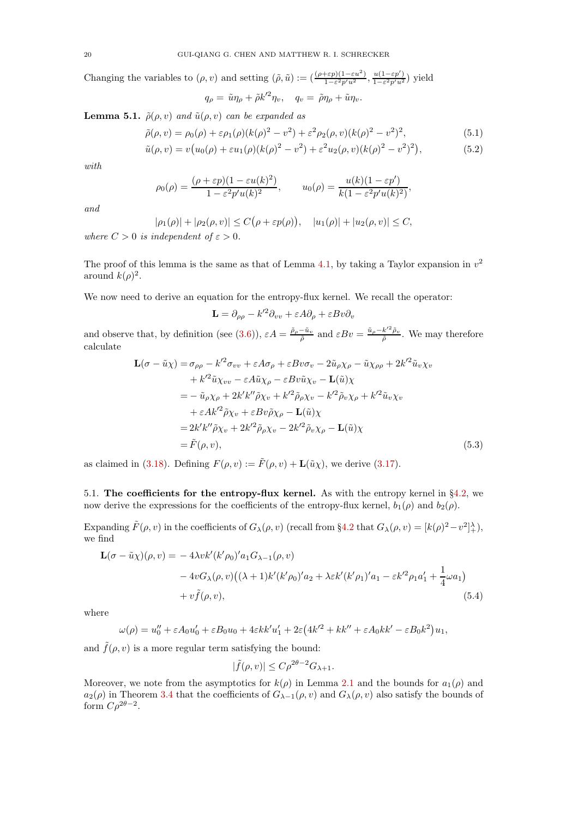Changing the variables to  $(\rho, v)$  and setting  $(\tilde{\rho}, \tilde{u}) := \left( \frac{(\rho + \varepsilon p)(1 - \varepsilon u^2)}{1 - \varepsilon^2 n^2 u^2} \right)$  $\frac{(\epsilon p)(1-\varepsilon u^2)}{1-\varepsilon^2 p' u^2}, \frac{u(1-\varepsilon p')}{1-\varepsilon^2 p' u^2}$  $\frac{u(1-\varepsilon p)}{1-\varepsilon^2 p'u^2}$ ) yield

$$
q_{\rho} = \tilde{u}\eta_{\rho} + \tilde{\rho}k'^2\eta_{v}, \quad q_{v} = \tilde{\rho}\eta_{\rho} + \tilde{u}\eta_{v}.
$$

<span id="page-19-2"></span>**Lemma 5.1.**  $\tilde{\rho}(\rho, v)$  and  $\tilde{u}(\rho, v)$  can be expanded as

$$
\tilde{\rho}(\rho, v) = \rho_0(\rho) + \varepsilon \rho_1(\rho)(k(\rho)^2 - v^2) + \varepsilon^2 \rho_2(\rho, v)(k(\rho)^2 - v^2)^2,
$$
\n(5.1)

$$
\tilde{u}(\rho, v) = v(u_0(\rho) + \varepsilon u_1(\rho)(k(\rho)^2 - v^2) + \varepsilon^2 u_2(\rho, v)(k(\rho)^2 - v^2)^2),
$$
\n(5.2)

with

$$
\rho_0(\rho) = \frac{(\rho + \varepsilon p)(1 - \varepsilon u(k)^2)}{1 - \varepsilon^2 p' u(k)^2}, \qquad u_0(\rho) = \frac{u(k)(1 - \varepsilon p')}{k(1 - \varepsilon^2 p' u(k)^2)},
$$

and

$$
|\rho_1(\rho)| + |\rho_2(\rho, v)| \le C(\rho + \varepsilon p(\rho)), \quad |u_1(\rho)| + |u_2(\rho, v)| \le C,
$$
  
independent of  $\varepsilon > 0$ 

where  $C > 0$  is independent of  $\varepsilon > 0$ .

The proof of this lemma is the same as that of Lemma [4.1,](#page-10-4) by taking a Taylor expansion in  $v^2$ around  $k(\rho)^2$ .

We now need to derive an equation for the entropy-flux kernel. We recall the operator:

<span id="page-19-0"></span>
$$
\mathbf{L} = \partial_{\rho\rho} - k'^2 \partial_{vv} + \varepsilon A \partial_{\rho} + \varepsilon B v \partial_{v}
$$

and observe that, by definition (see [\(3.6\)](#page-7-3)),  $\varepsilon A = \frac{\tilde{\rho}_{\rho} - \tilde{u}_{\nu}}{\tilde{\rho}}$  and  $\varepsilon B v = \frac{\tilde{u}_{\rho} - k'^2 \tilde{\rho}_{\nu}}{\tilde{\rho}}$ . We may therefore calculate

$$
\mathbf{L}(\sigma - \tilde{u}\chi) = \sigma_{\rho\rho} - k'^2 \sigma_{vv} + \varepsilon A \sigma_{\rho} + \varepsilon B v \sigma_v - 2\tilde{u}_{\rho} \chi_{\rho} - \tilde{u} \chi_{\rho\rho} + 2k'^2 \tilde{u}_v \chi_v \n+ k'^2 \tilde{u} \chi_{vv} - \varepsilon A \tilde{u} \chi_{\rho} - \varepsilon B v \tilde{u} \chi_v - \mathbf{L}(\tilde{u}) \chi \n= - \tilde{u}_{\rho} \chi_{\rho} + 2k' k'' \tilde{\rho} \chi_v + k'^2 \tilde{\rho}_{\rho} \chi_v - k'^2 \tilde{\rho}_v \chi_{\rho} + k'^2 \tilde{u}_v \chi_v \n+ \varepsilon A k'^2 \tilde{\rho} \chi_v + \varepsilon B v \tilde{\rho} \chi_{\rho} - \mathbf{L}(\tilde{u}) \chi \n= 2k' k'' \tilde{\rho} \chi_v + 2k'^2 \tilde{\rho}_{\rho} \chi_v - 2k'^2 \tilde{\rho}_v \chi_{\rho} - \mathbf{L}(\tilde{u}) \chi \n= \tilde{F}(\rho, v),
$$
\n(5.3)

as claimed in [\(3.18\)](#page-8-1). Defining  $F(\rho, v) := \tilde{F}(\rho, v) + \mathbf{L}(\tilde{u}\chi)$ , we derive [\(3.17\)](#page-8-0).

5.1. The coefficients for the entropy-flux kernel. As with the entropy kernel in §[4.2,](#page-10-1) we now derive the expressions for the coefficients of the entropy-flux kernel,  $b_1(\rho)$  and  $b_2(\rho)$ .

Expanding  $\tilde{F}(\rho, v)$  in the coefficients of  $G_{\lambda}(\rho, v)$  (recall from §[4.2](#page-10-1) that  $G_{\lambda}(\rho, v) = [k(\rho)^2 - v^2]_{+}^{\lambda}$ ), we find

$$
\mathbf{L}(\sigma - \tilde{u}\chi)(\rho, v) = -4\lambda v k'(k'\rho_0)' a_1 G_{\lambda - 1}(\rho, v) \n-4v G_{\lambda}(\rho, v) ((\lambda + 1)k'(k'\rho_0)' a_2 + \lambda \varepsilon k'(k'\rho_1)' a_1 - \varepsilon k'^2 \rho_1 a'_1 + \frac{1}{4}\omega a_1) \n+ v \tilde{f}(\rho, v),
$$
\n(5.4)

where

$$
\omega(\rho) = u_0'' + \varepsilon A_0 u_0' + \varepsilon B_0 u_0 + 4\varepsilon k k' u_1' + 2\varepsilon (4k'^2 + k k'' + \varepsilon A_0 k k' - \varepsilon B_0 k^2) u_1,
$$

and  $\tilde{f}(\rho, v)$  is a more regular term satisfying the bound:

<span id="page-19-1"></span>
$$
|\tilde{f}(\rho, v)| \le C\rho^{2\theta - 2} G_{\lambda + 1}.
$$

Moreover, we note from the asymptotics for  $k(\rho)$  in Lemma [2.1](#page-5-1) and the bounds for  $a_1(\rho)$  and  $a_2(\rho)$  in Theorem [3.4](#page-8-2) that the coefficients of  $G_{\lambda-1}(\rho, v)$  and  $G_{\lambda}(\rho, v)$  also satisfy the bounds of form  $C\rho^{2\theta-2}$ .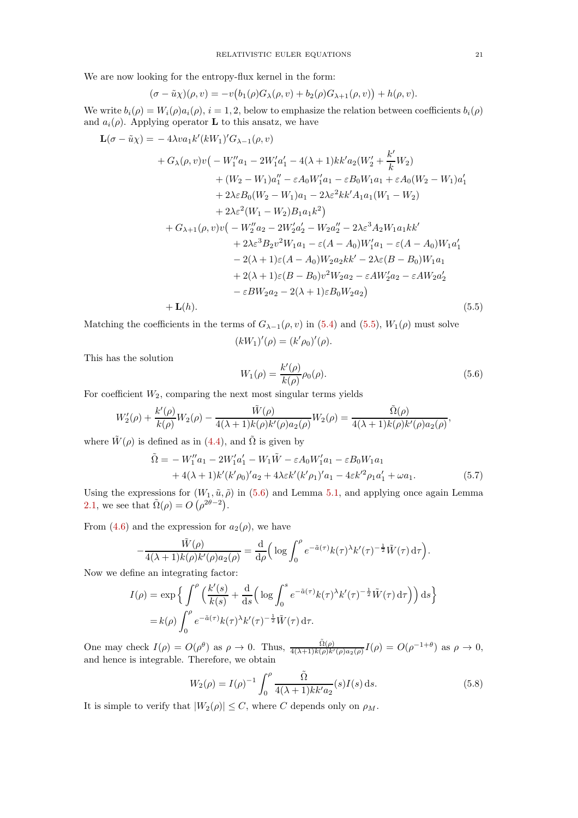We are now looking for the entropy-flux kernel in the form:

$$
(\sigma - \tilde{u}\chi)(\rho, v) = -v(b_1(\rho)G_\lambda(\rho, v) + b_2(\rho)G_{\lambda+1}(\rho, v)) + h(\rho, v).
$$

We write  $b_i(\rho) = W_i(\rho) a_i(\rho)$ ,  $i = 1, 2$ , below to emphasize the relation between coefficients  $b_i(\rho)$ and  $a_i(\rho)$ . Applying operator **L** to this ansatz, we have

$$
\mathbf{L}(\sigma - \tilde{u}\chi) = -4\lambda v a_1 k'(kW_1)' G_{\lambda-1}(\rho, v)
$$
  
+  $G_{\lambda}(\rho, v)v(-W_1''a_1 - 2W_1'a_1' - 4(\lambda + 1)kk'a_2(W_2' + \frac{k'}{k}W_2)$   
+  $(W_2 - W_1)a_1'' - \varepsilon A_0 W_1'a_1 - \varepsilon B_0 W_1a_1 + \varepsilon A_0(W_2 - W_1)a_1'$   
+  $2\lambda \varepsilon B_0(W_2 - W_1)a_1 - 2\lambda \varepsilon^2 kk'A_1a_1(W_1 - W_2)$   
+  $2\lambda \varepsilon^2 (W_1 - W_2)B_1a_1k^2$   
+  $G_{\lambda+1}(\rho, v)v(-W_2''a_2 - 2W_2'a_2' - W_2a_2'' - 2\lambda \varepsilon^3 A_2W_1a_1kk'$   
+  $2\lambda \varepsilon^3 B_2v^2W_1a_1 - \varepsilon(A - A_0)W_1'a_1 - \varepsilon(A - A_0)W_1a_1'$   
-  $2(\lambda + 1)\varepsilon(A - A_0)W_2a_2kk' - 2\lambda \varepsilon(B - B_0)W_1a_1$   
+  $2(\lambda + 1)\varepsilon(B - B_0)v^2W_2a_2 - \varepsilon AW_2'a_2' - \varepsilon AW_2a_2'$   
-  $\varepsilon BW_2a_2 - 2(\lambda + 1)\varepsilon B_0W_2a_2$ ) (5.5)

Matching the coefficients in the terms of  $G_{\lambda-1}(\rho, v)$  in [\(5.4\)](#page-19-1) and [\(5.5\)](#page-20-0),  $W_1(\rho)$  must solve

<span id="page-20-0"></span>
$$
(kW_1)'(\rho) = (k'\rho_0)'(\rho).
$$

This has the solution

<span id="page-20-1"></span>
$$
W_1(\rho) = \frac{k'(\rho)}{k(\rho)} \rho_0(\rho).
$$
\n(5.6)

For coefficient  $W_2$ , comparing the next most singular terms yields

$$
W_2'(\rho) + \frac{k'(\rho)}{k(\rho)}W_2(\rho) - \frac{\tilde{W}(\rho)}{4(\lambda+1)k(\rho)k'(\rho)a_2(\rho)}W_2(\rho) = \frac{\tilde{\Omega}(\rho)}{4(\lambda+1)k(\rho)k'(\rho)a_2(\rho)},
$$

where  $\tilde{W}(\rho)$  is defined as in [\(4.4\)](#page-11-2), and  $\tilde{\Omega}$  is given by

$$
\tilde{\Omega} = -W_1'' a_1 - 2W_1' a_1' - W_1 \tilde{W} - \varepsilon A_0 W_1' a_1 - \varepsilon B_0 W_1 a_1 \n+ 4(\lambda + 1)k'(k'\rho_0)' a_2 + 4\lambda \varepsilon k'(k'\rho_1)' a_1 - 4\varepsilon k'^2 \rho_1 a_1' + \omega a_1.
$$
\n(5.7)

Using the expressions for  $(W_1, \tilde{u}, \tilde{\rho})$  in [\(5.6\)](#page-20-1) and Lemma [5.1,](#page-19-2) and applying once again Lemma [2.1,](#page-5-1) we see that  $\tilde{\Omega}(\rho) = O\left(\rho^{2\theta-2}\right)$ .

From [\(4.6\)](#page-11-1) and the expression for  $a_2(\rho)$ , we have

$$
-\frac{\tilde{W}(\rho)}{4(\lambda+1)k(\rho)k'(\rho)a_2(\rho)}=\frac{\mathrm{d}}{\mathrm{d}\rho}\left(\log\int_0^{\rho}e^{-\tilde{a}(\tau)}k(\tau)^{\lambda}k'(\tau)^{-\frac{1}{2}}\tilde{W}(\tau)\,\mathrm{d}\tau\right).
$$

Now we define an integrating factor:

$$
I(\rho) = \exp\left\{ \int^{\rho} \left( \frac{k'(s)}{k(s)} + \frac{d}{ds} \left( \log \int_0^s e^{-\tilde{a}(\tau)} k(\tau)^{\lambda} k'(\tau)^{-\frac{1}{2}} \tilde{W}(\tau) d\tau \right) \right) ds \right\}
$$
  
=  $k(\rho) \int_0^{\rho} e^{-\tilde{a}(\tau)} k(\tau)^{\lambda} k'(\tau)^{-\frac{1}{2}} \tilde{W}(\tau) d\tau.$ 

One may check  $I(\rho) = O(\rho^{\theta})$  as  $\rho \to 0$ . Thus,  $\frac{\tilde{\Omega}(\rho)}{4(\lambda+1)k(\rho)k'(\rho)a_2(\rho)}I(\rho) = O(\rho^{-1+\theta})$  as  $\rho \to 0$ , and hence is integrable. Therefore, we obtain

$$
W_2(\rho) = I(\rho)^{-1} \int_0^{\rho} \frac{\tilde{\Omega}}{4(\lambda+1)kk'a_2}(s)I(s) ds.
$$
 (5.8)

It is simple to verify that  $|W_2(\rho)| \leq C$ , where C depends only on  $\rho_M$ .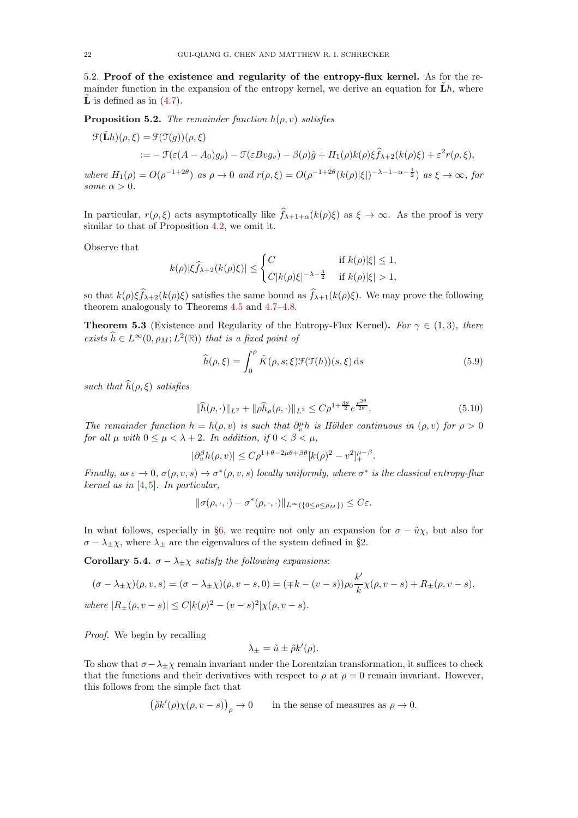5.2. Proof of the existence and regularity of the entropy-flux kernel. As for the remainder function in the expansion of the entropy kernel, we derive an equation for  $\mathbf{L}h$ , where  $\tilde{\mathbf{L}}$  is defined as in [\(4.7\)](#page-11-4).

**Proposition 5.2.** The remainder function  $h(\rho, v)$  satisfies

$$
\mathcal{F}(\tilde{\mathbf{L}}h)(\rho,\xi) = \mathcal{F}(\mathcal{T}(g))(\rho,\xi)
$$
  
 :=  $-\mathcal{F}(\varepsilon(A-A_0)g_\rho) - \mathcal{F}(\varepsilon B v g_v) - \beta(\rho)\hat{g} + H_1(\rho)k(\rho)\xi\hat{f}_{\lambda+2}(k(\rho)\xi) + \varepsilon^2 r(\rho,\xi),$ 

where  $H_1(\rho) = O(\rho^{-1+2\theta})$  as  $\rho \to 0$  and  $r(\rho, \xi) = O(\rho^{-1+2\theta}(k(\rho)|\xi|)^{-\lambda-1-\alpha-\frac{1}{2}})$  as  $\xi \to \infty$ , for some  $\alpha > 0$ .

In particular,  $r(\rho, \xi)$  acts asymptotically like  $\widehat{f}_{\lambda+1+\alpha}(k(\rho)\xi)$  as  $\xi \to \infty$ . As the proof is very similar to that of Proposition [4.2,](#page-12-0) we omit it.

Observe that

$$
k(\rho)|\xi\widehat{f}_{\lambda+2}(k(\rho)\xi)| \leq \begin{cases} C & \text{if } k(\rho)|\xi| \leq 1, \\ C|k(\rho)\xi|^{-\lambda-\frac{3}{2}} & \text{if } k(\rho)|\xi| > 1, \end{cases}
$$

so that  $k(\rho)\xi\widehat{f}_{\lambda+2}(k(\rho)\xi)$  satisfies the same bound as  $\widehat{f}_{\lambda+1}(k(\rho)\xi)$ . We may prove the following theorem analogously to Theorems [4.5](#page-14-0) and [4.7–](#page-16-0)[4.8.](#page-18-1)

<span id="page-21-1"></span>**Theorem 5.3** (Existence and Regularity of the Entropy-Flux Kernel). For  $\gamma \in (1,3)$ , there exists  $\widehat{h} \in L^{\infty}(0, \rho_M; L^2(\mathbb{R}))$  that is a fixed point of

$$
\widehat{h}(\rho,\xi) = \int_0^\rho \tilde{K}(\rho,s;\xi)\mathcal{F}(\mathcal{T}(h))(s,\xi)\,\mathrm{d}s\tag{5.9}
$$

such that  $\widehat{h}(\rho, \xi)$  satisfies

$$
\|\widehat{h}(\rho,\cdot)\|_{L^2} + \|\rho \widehat{h}_{\rho}(\rho,\cdot)\|_{L^2} \le C\rho^{1 + \frac{3\theta}{2}} e^{\frac{\rho^{2\theta}}{2\theta}}.
$$
\n(5.10)

The remainder function  $h = h(\rho, v)$  is such that  $\partial_v^{\mu} h$  is Hölder continuous in  $(\rho, v)$  for  $\rho > 0$ for all  $\mu$  with  $0 \leq \mu < \lambda + 2$ . In addition, if  $0 < \beta < \mu$ ,

 $|\partial_v^{\beta} h(\rho, v)| \leq C \rho^{1+\theta-2\mu\theta+\beta\theta} [k(\rho)^2 - v^2]_+^{\mu-\beta}.$ 

Finally, as  $\varepsilon \to 0$ ,  $\sigma(\rho, v, s) \to \sigma^*(\rho, v, s)$  locally uniformly, where  $\sigma^*$  is the classical entropy-flux kernel as in [\[4,](#page-36-18) [5\]](#page-36-10). In particular,

$$
\|\sigma(\rho,\cdot,\cdot)-\sigma^*(\rho,\cdot,\cdot)\|_{L^\infty(\{0\leq \rho\leq \rho_M\})}\leq C\varepsilon.
$$

In what follows, especially in §[6,](#page-22-0) we require not only an expansion for  $\sigma - \tilde{u}\chi$ , but also for  $\sigma - \lambda_{\pm} \chi$ , where  $\lambda_{\pm}$  are the eigenvalues of the system defined in §2.

<span id="page-21-0"></span>Corollary 5.4.  $\sigma - \lambda_{\pm} \chi$  satisfy the following expansions:

$$
(\sigma - \lambda_{\pm} \chi)(\rho, v, s) = (\sigma - \lambda_{\pm} \chi)(\rho, v - s, 0) = (\mp k - (v - s))\rho_0 \frac{k'}{k} \chi(\rho, v - s) + R_{\pm}(\rho, v - s),
$$
  
where  $|R_{\pm}(\rho, v - s)| \le C|k(\rho)^2 - (v - s)^2|\chi(\rho, v - s).$ 

Proof. We begin by recalling

$$
\lambda_{\pm} = \tilde{u} \pm \tilde{\rho} k'(\rho).
$$

To show that  $\sigma - \lambda_+ \chi$  remain invariant under the Lorentzian transformation, it suffices to check that the functions and their derivatives with respect to  $\rho$  at  $\rho = 0$  remain invariant. However, this follows from the simple fact that

$$
(\tilde{\rho}k'(\rho)\chi(\rho,v-s))_{\rho}\to 0
$$
 in the sense of measures as  $\rho\to 0$ .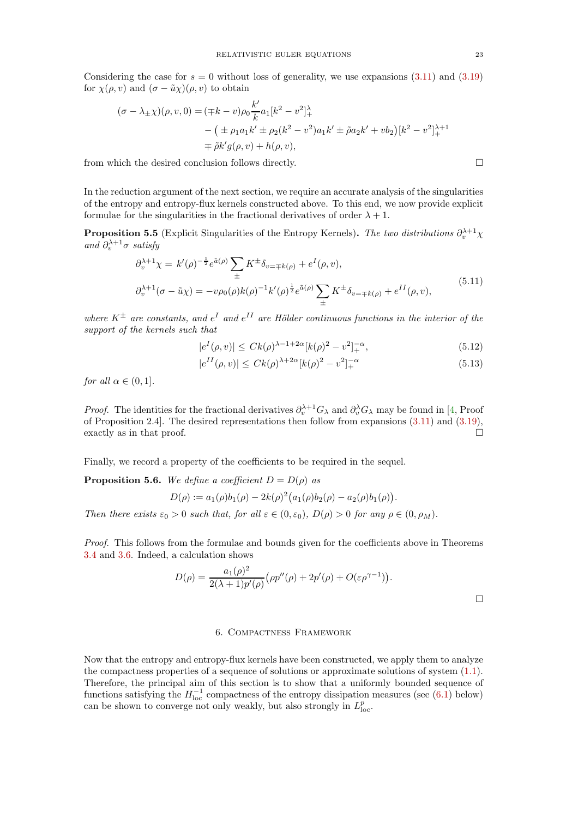Considering the case for  $s = 0$  without loss of generality, we use expansions [\(3.11\)](#page-8-4) and [\(3.19\)](#page-9-2)

$$
(\sigma - \lambda_{\pm} \chi)(\rho, v, 0) = (\mp k - v)\rho_0 \frac{k'}{k} a_1 [k^2 - v^2]_+^{\lambda}
$$
  
–  $(\pm \rho_1 a_1 k' \pm \rho_2 (k^2 - v^2) a_1 k' \pm \tilde{\rho} a_2 k' + v b_2) [k^2 - v^2]_+^{\lambda+1}$   
 $\mp \tilde{\rho} k' g(\rho, v) + h(\rho, v),$ 

from which the desired conclusion follows directly.  $\Box$ 

for  $\chi(\rho, v)$  and  $(\sigma - \tilde{u}\chi)(\rho, v)$  to obtain

In the reduction argument of the next section, we require an accurate analysis of the singularities of the entropy and entropy-flux kernels constructed above. To this end, we now provide explicit formulae for the singularities in the fractional derivatives of order  $\lambda + 1$ .

<span id="page-22-2"></span>**Proposition 5.5** (Explicit Singularities of the Entropy Kernels). The two distributions  $\partial_v^{\lambda+1}\chi$ and  $\partial_{v}^{\lambda+1}\sigma$  satisfy

$$
\partial_v^{\lambda+1} \chi = k'(\rho)^{-\frac{1}{2}} e^{\tilde{a}(\rho)} \sum_{\pm} K^{\pm} \delta_{v=\mp k(\rho)} + e^I(\rho, v),
$$
  

$$
\partial_v^{\lambda+1}(\sigma - \tilde{u}\chi) = -v\rho_0(\rho)k(\rho)^{-1}k'(\rho)^{\frac{1}{2}} e^{\tilde{a}(\rho)} \sum_{\pm} K^{\pm} \delta_{v=\mp k(\rho)} + e^{II}(\rho, v),
$$
(5.11)

where  $K^{\pm}$  are constants, and  $e^{I}$  and  $e^{II}$  are Hölder continuous functions in the interior of the support of the kernels such that

$$
|e^{I}(\rho, v)| \leq C k(\rho)^{\lambda - 1 + 2\alpha} [k(\rho)^{2} - v^{2}]_{+}^{-\alpha}, \tag{5.12}
$$

$$
|e^{II}(\rho, v)| \le C k(\rho)^{\lambda + 2\alpha} [k(\rho)^2 - v^2]_+^{-\alpha}
$$
\n(5.13)

for all  $\alpha \in (0,1]$ .

*Proof.* The identities for the fractional derivatives  $\partial_t^{\lambda+1} G_\lambda$  and  $\partial_v^{\lambda} G_\lambda$  may be found in [\[4,](#page-36-18) Proof of Proposition 2.4]. The desired representations then follow from expansions [\(3.11\)](#page-8-4) and [\(3.19\)](#page-9-2), exactly as in that proof.  $\Box$ 

Finally, we record a property of the coefficients to be required in the sequel.

<span id="page-22-1"></span>**Proposition 5.6.** We define a coefficient  $D = D(\rho)$  as  $D(\rho) := a_1(\rho) b_1(\rho) - 2k(\rho)^2 (a_1(\rho) b_2(\rho) - a_2(\rho) b_1(\rho)).$ 

Then there exists  $\varepsilon_0 > 0$  such that, for all  $\varepsilon \in (0, \varepsilon_0)$ ,  $D(\rho) > 0$  for any  $\rho \in (0, \rho_M)$ .

Proof. This follows from the formulae and bounds given for the coefficients above in Theorems [3.4](#page-8-2) and [3.6.](#page-9-1) Indeed, a calculation shows

$$
D(\rho) = \frac{a_1(\rho)^2}{2(\lambda+1)p'(\rho)} \left(\rho p''(\rho) + 2p'(\rho) + O(\varepsilon \rho^{\gamma-1})\right).
$$

### 6. Compactness Framework

<span id="page-22-0"></span>Now that the entropy and entropy-flux kernels have been constructed, we apply them to analyze the compactness properties of a sequence of solutions or approximate solutions of system [\(1.1\)](#page-0-0). Therefore, the principal aim of this section is to show that a uniformly bounded sequence of functions satisfying the  $H_{\text{loc}}^{-1}$  compactness of the entropy dissipation measures (see [\(6.1\)](#page-23-0) below) can be shown to converge not only weakly, but also strongly in  $L_{loc}^p$ .

<span id="page-22-4"></span><span id="page-22-3"></span>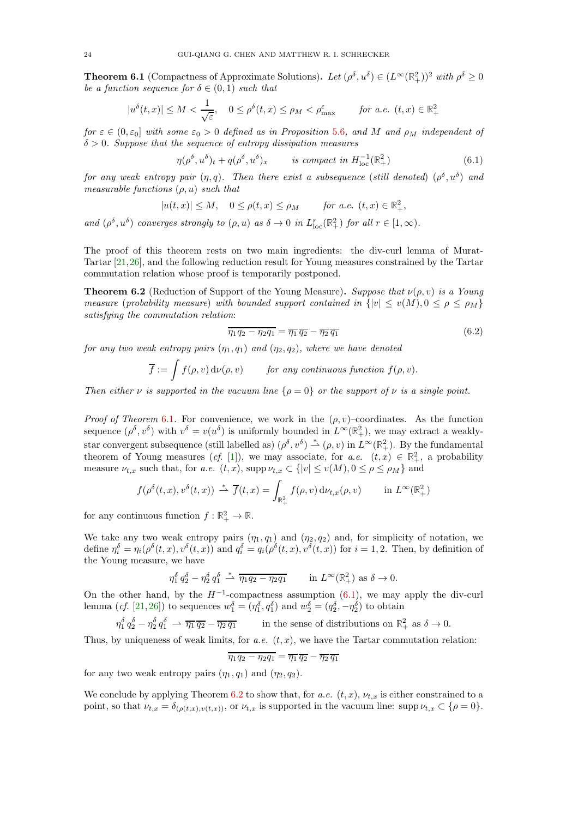<span id="page-23-1"></span>**Theorem 6.1** (Compactness of Approximate Solutions). Let  $(\rho^{\delta}, u^{\delta}) \in (L^{\infty}(\mathbb{R}^2_+))^2$  with  $\rho^{\delta} \geq 0$ be a function sequence for  $\delta \in (0,1)$  such that

$$
|u^{\delta}(t,x)| \le M < \frac{1}{\sqrt{\varepsilon}}, \quad 0 \le \rho^{\delta}(t,x) \le \rho_M < \rho_{\text{max}}^{\varepsilon} \qquad \text{for a.e. } (t,x) \in \mathbb{R}_+^2
$$

for  $\varepsilon \in (0, \varepsilon_0]$  with some  $\varepsilon_0 > 0$  defined as in Proposition [5.6](#page-22-1), and M and  $\rho_M$  independent of  $\delta > 0$ . Suppose that the sequence of entropy dissipation measures

<span id="page-23-0"></span>
$$
\eta(\rho^{\delta}, u^{\delta})_t + q(\rho^{\delta}, u^{\delta})_x \qquad \text{is compact in } H^{-1}_{\text{loc}}(\mathbb{R}^2_+) \tag{6.1}
$$

for any weak entropy pair  $(\eta, q)$ . Then there exist a subsequence (still denoted)  $(\rho^{\delta}, u^{\delta})$  and measurable functions  $(\rho, u)$  such that

$$
|u(t,x)| \le M, \quad 0 \le \rho(t,x) \le \rho_M \qquad \text{for a.e. } (t,x) \in \mathbb{R}_+^2,
$$

and  $(\rho^{\delta}, u^{\delta})$  converges strongly to  $(\rho, u)$  as  $\delta \to 0$  in  $L^{r}_{loc}(\mathbb{R}^{2}_{+})$  for all  $r \in [1, \infty)$ .

The proof of this theorem rests on two main ingredients: the div-curl lemma of Murat-Tartar [\[21,](#page-36-12)[26\]](#page-36-13), and the following reduction result for Young measures constrained by the Tartar commutation relation whose proof is temporarily postponed.

<span id="page-23-2"></span>**Theorem 6.2** (Reduction of Support of the Young Measure). Suppose that  $\nu(\rho, v)$  is a Young measure (probability measure) with bounded support contained in  $\{|v| \le v(M), 0 \le \rho \le \rho_M\}$ satisfying the commutation relation:

<span id="page-23-3"></span>
$$
\overline{\eta_1 q_2 - \eta_2 q_1} = \overline{\eta_1} \overline{q_2} - \overline{\eta_2} \overline{q_1} \tag{6.2}
$$

for any two weak entropy pairs  $(\eta_1, q_1)$  and  $(\eta_2, q_2)$ , where we have denoted

$$
\overline{f} := \int f(\rho, v) d\nu(\rho, v) \qquad \text{for any continuous function } f(\rho, v).
$$

Then either  $\nu$  is supported in the vacuum line  $\{\rho = 0\}$  or the support of  $\nu$  is a single point.

*Proof of Theorem* [6.1](#page-23-1). For convenience, we work in the  $(\rho, v)$ –coordinates. As the function sequence  $(\rho^{\delta}, v^{\delta})$  with  $v^{\delta} = v(u^{\delta})$  is uniformly bounded in  $L^{\infty}(\mathbb{R}^2_+)$ , we may extract a weaklystar convergent subsequence (still labelled as)  $(\rho^{\delta}, v^{\delta}) \stackrel{*}{\rightharpoonup} (\rho, v)$  in  $L^{\infty}(\mathbb{R}^2_+)$ . By the fundamental theorem of Young measures (*cf.* [\[1\]](#page-36-21)), we may associate, for  $a.e.$   $(t, x) \in \mathbb{R}^2_+$ , a probability measure  $\nu_{t,x}$  such that, for a.e.  $(t, x)$ , supp  $\nu_{t,x} \subset \{|v| \le v(M), 0 \le \rho \le \rho_M\}$  and

$$
f(\rho^{\delta}(t,x), v^{\delta}(t,x)) \stackrel{*}{\rightharpoonup} \overline{f}(t,x) = \int_{\mathbb{R}^2_+} f(\rho, v) \, \mathrm{d}\nu_{t,x}(\rho, v) \qquad \text{in } L^{\infty}(\mathbb{R}^2_+)
$$

for any continuous function  $f : \mathbb{R}^2_+ \to \mathbb{R}$ .

We take any two weak entropy pairs  $(\eta_1, q_1)$  and  $(\eta_2, q_2)$  and, for simplicity of notation, we define  $\eta_i^{\delta} = \eta_i(\rho^{\delta}(t,x), v^{\delta}(t,x))$  and  $q_i^{\delta} = q_i(\rho^{\delta}(t,x), v^{\delta}(t,x))$  for  $i = 1, 2$ . Then, by definition of the Young measure, we have

$$
\eta_1^{\delta} q_2^{\delta} - \eta_2^{\delta} q_1^{\delta} \stackrel{*}{\rightharpoonup} \overline{\eta_1 q_2 - \eta_2 q_1} \quad \text{in } L^{\infty}(\mathbb{R}^2_+) \text{ as } \delta \to 0.
$$

On the other hand, by the  $H^{-1}$ -compactness assumption [\(6.1\)](#page-23-0), we may apply the div-curl lemma (*cf.* [\[21,](#page-36-12) [26\]](#page-36-13)) to sequences  $w_1^{\delta} = (\eta_1^{\delta}, \eta_1^{\delta})$  and  $w_2^{\delta} = (q_2^{\delta}, -\eta_2^{\delta})$  to obtain

 $\eta_1^{\delta} \, q_2^{\delta} - \eta_2^{\delta} \, q_1^{\delta} \, \rightarrow \, \overline{\eta_1} \, \overline{q_2} - \overline{\eta_2} \, \overline{q_1}$  in the sense of distributions on  $\mathbb{R}^2_+$  as  $\delta \rightarrow 0$ .

Thus, by uniqueness of weak limits, for  $a.e.$   $(t, x)$ , we have the Tartar commutation relation:

$$
\overline{\eta_1 q_2 - \eta_2 q_1} = \overline{\eta_1} \, \overline{q_2} - \overline{\eta_2} \, \overline{q_1}
$$

for any two weak entropy pairs  $(\eta_1, q_1)$  and  $(\eta_2, q_2)$ .

We conclude by applying Theorem [6.2](#page-23-2) to show that, for a.e.  $(t, x)$ ,  $\nu_{t, x}$  is either constrained to a point, so that  $\nu_{t,x} = \delta_{(\rho(t,x),v(t,x))}$ , or  $\nu_{t,x}$  is supported in the vacuum line: supp $\nu_{t,x} \subset {\rho = 0}$ .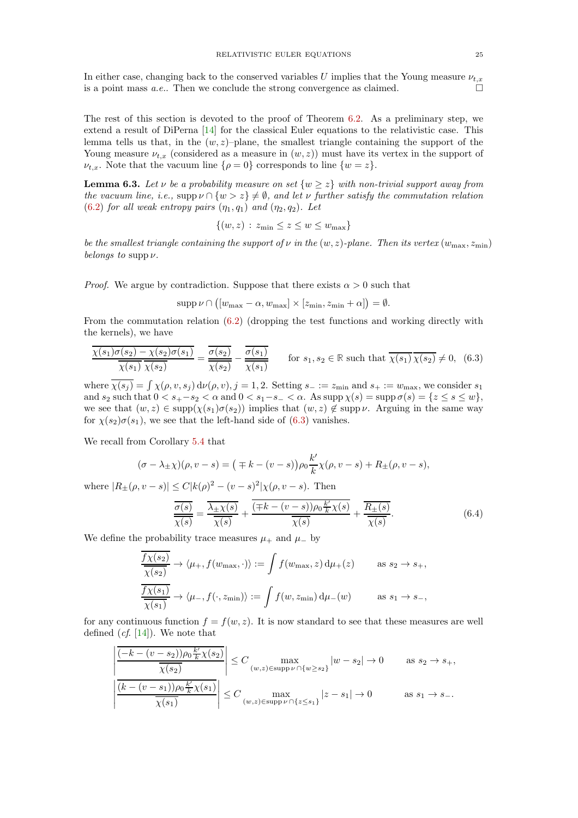In either case, changing back to the conserved variables U implies that the Young measure  $\nu_{t,x}$ is a point mass *a.e.*. Then we conclude the strong convergence as claimed.  $\square$ 

The rest of this section is devoted to the proof of Theorem [6.2.](#page-23-2) As a preliminary step, we extend a result of DiPerna [\[14\]](#page-36-11) for the classical Euler equations to the relativistic case. This lemma tells us that, in the  $(w, z)$ –plane, the smallest triangle containing the support of the Young measure  $\nu_{t,x}$  (considered as a measure in  $(w, z)$ ) must have its vertex in the support of  $\nu_{t,x}$ . Note that the vacuum line  $\{\rho = 0\}$  corresponds to line  $\{w = z\}$ .

<span id="page-24-2"></span>**Lemma 6.3.** Let  $\nu$  be a probability measure on set  $\{w \geq z\}$  with non-trivial support away from the vacuum line, i.e., supp  $\nu \cap \{w > z\} \neq \emptyset$ , and let  $\nu$  further satisfy the commutation relation [\(6.2\)](#page-23-3) for all weak entropy pairs  $(\eta_1, q_1)$  and  $(\eta_2, q_2)$ . Let

$$
\{(w, z) : z_{\min} \le z \le w \le w_{\max}\}\
$$

be the smallest triangle containing the support of  $\nu$  in the  $(w, z)$ -plane. Then its vertex  $(w_{\text{max}}, z_{\text{min}})$ belongs to supp  $\nu$ .

*Proof.* We argue by contradiction. Suppose that there exists  $\alpha > 0$  such that

$$
supp \nu \cap ([w_{\max} - \alpha, w_{\max}] \times [z_{\min}, z_{\min} + \alpha]) = \emptyset.
$$

From the commutation relation [\(6.2\)](#page-23-3) (dropping the test functions and working directly with the kernels), we have

<span id="page-24-0"></span>
$$
\frac{\overline{\chi(s_1)}\sigma(s_2) - \chi(s_2)\sigma(s_1)}{\overline{\chi(s_1)}\ \overline{\chi(s_2)}} = \frac{\overline{\sigma(s_2)}}{\overline{\chi(s_2)}} - \frac{\overline{\sigma(s_1)}}{\overline{\chi(s_1)}} \qquad \text{for } s_1, s_2 \in \mathbb{R} \text{ such that } \overline{\chi(s_1)}\ \overline{\chi(s_2)} \neq 0, \tag{6.3}
$$

where  $\chi(s_j) = \int \chi(\rho, v, s_j) d\nu(\rho, v), j = 1, 2$ . Setting  $s_- := z_{\min}$  and  $s_+ := w_{\max}$ , we consider  $s_1$ and  $s_2$  such that  $0 < s_+ - s_2 < \alpha$  and  $0 < s_1 - s_- < \alpha$ . As supp  $\chi(s) = \sup \sigma(s) = \{z \le s \le w\}$ , we see that  $(w, z) \in \text{supp}(\chi(s_1)\sigma(s_2))$  implies that  $(w, z) \notin \text{supp }\nu$ . Arguing in the same way for  $\chi(s_2)\sigma(s_1)$ , we see that the left-hand side of [\(6.3\)](#page-24-0) vanishes.

We recall from Corollary [5.4](#page-21-0) that

$$
(\sigma - \lambda_{\pm} \chi)(\rho, v - s) = (\mp k - (v - s))\rho_0 \frac{k'}{k} \chi(\rho, v - s) + R_{\pm}(\rho, v - s),
$$

where  $|R_{\pm}(\rho, v - s)| \le C |k(\rho)^{2} - (v - s)^{2}| \chi(\rho, v - s)$ . Then

<span id="page-24-1"></span>
$$
\frac{\overline{\sigma(s)}}{\overline{\chi(s)}} = \frac{\overline{\lambda_{\pm}\chi(s)}}{\overline{\chi(s)}} + \frac{\overline{(\mp k - (v - s))\rho_0 \frac{k'}{k}\chi(s)}}{\overline{\chi(s)}} + \frac{\overline{R_{\pm}(s)}}{\overline{\chi(s)}}.
$$
(6.4)

We define the probability trace measures  $\mu_+$  and  $\mu_-$  by

$$
\frac{\overline{f\chi(s_2)}}{\overline{\chi(s_2)}} \to \langle \mu_+, f(w_{\text{max}}, \cdot) \rangle := \int f(w_{\text{max}}, z) d\mu_+(z) \quad \text{as } s_2 \to s_+,
$$
  

$$
\frac{\overline{f\chi(s_1)}}{\overline{\chi(s_1)}} \to \langle \mu_-, f(\cdot, z_{\text{min}}) \rangle := \int f(w, z_{\text{min}}) d\mu_-(w) \quad \text{as } s_1 \to s_-,
$$

for any continuous function  $f = f(w, z)$ . It is now standard to see that these measures are well defined  $(cf. [14])$  $(cf. [14])$  $(cf. [14])$ . We note that

$$
\left| \frac{\overline{(-k - (v - s_2))\rho_0 \frac{k'}{k}\chi(s_2)}}{\overline{\chi(s_2)}} \right| \le C \max_{(w,z) \in \text{supp}\,\nu \cap \{w \ge s_2\}} |w - s_2| \to 0 \quad \text{as } s_2 \to s_+,
$$
  

$$
\left| \frac{\overline{(k - (v - s_1))\rho_0 \frac{k'}{k}\chi(s_1)}}{\overline{\chi(s_1)}} \right| \le C \max_{(w,z) \in \text{supp}\,\nu \cap \{z \le s_1\}} |z - s_1| \to 0 \quad \text{as } s_1 \to s_-.
$$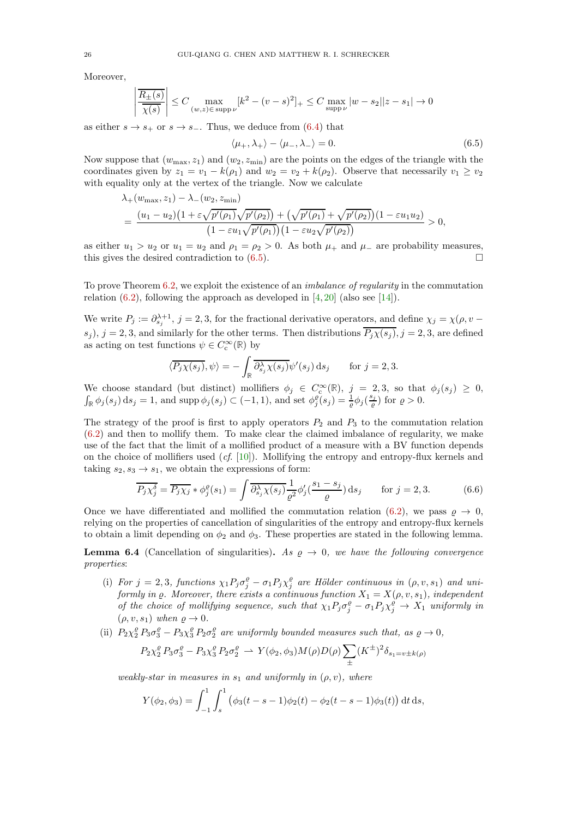Moreover,

$$
\left|\frac{\overline{R_\pm(s)}}{\overline{\chi(s)}}\right| \leq C \max_{(w,z)\in \text{ supp }\nu}[k^2-(v-s)^2]_+ \leq C \max_{\text{supp }\nu}|w-s_2||z-s_1| \to 0
$$

as either  $s \to s_+$  or  $s \to s_-$ . Thus, we deduce from [\(6.4\)](#page-24-1) that

<span id="page-25-0"></span>
$$
\langle \mu_+, \lambda_+ \rangle - \langle \mu_-, \lambda_- \rangle = 0. \tag{6.5}
$$

Now suppose that  $(w_{\text{max}}, z_1)$  and  $(w_2, z_{\text{min}})$  are the points on the edges of the triangle with the coordinates given by  $z_1 = v_1 - k(\rho_1)$  and  $w_2 = v_2 + k(\rho_2)$ . Observe that necessarily  $v_1 \ge v_2$ with equality only at the vertex of the triangle. Now we calculate

$$
\lambda_{+}(w_{\max}, z_{1}) - \lambda_{-}(w_{2}, z_{\min})
$$
\n
$$
= \frac{(u_{1} - u_{2})(1 + \varepsilon\sqrt{p'(\rho_{1})}\sqrt{p'(\rho_{2})}) + (\sqrt{p'(\rho_{1})} + \sqrt{p'(\rho_{2})})(1 - \varepsilon u_{1}u_{2})}{(1 - \varepsilon u_{1}\sqrt{p'(\rho_{1})})(1 - \varepsilon u_{2}\sqrt{p'(\rho_{2})})} > 0,
$$

as either  $u_1 > u_2$  or  $u_1 = u_2$  and  $\rho_1 = \rho_2 > 0$ . As both  $\mu_+$  and  $\mu_-$  are probability measures, this gives the desired contradiction to (6.5) this gives the desired contradiction to [\(6.5\)](#page-25-0).

To prove Theorem [6.2,](#page-23-2) we exploit the existence of an imbalance of regularity in the commutation relation  $(6.2)$ , following the approach as developed in  $[4, 20]$  $[4, 20]$  (also see [\[14\]](#page-36-11)).

We write  $P_j := \partial_{s_j}^{\lambda+1}$ ,  $j = 2, 3$ , for the fractional derivative operators, and define  $\chi_j = \chi(\rho, v - \rho)$  $(s_j)$ ,  $j = 2, 3$ , and similarly for the other terms. Then distributions  $\overline{P_j \chi(s_j)}$ ,  $j = 2, 3$ , are defined as acting on test functions  $\psi \in C_c^{\infty}(\mathbb{R})$  by

$$
\langle \overline{P_j \chi(s_j)}, \psi \rangle = -\int_{\mathbb{R}} \overline{\partial_{s_j}^{\lambda} \chi(s_j)} \psi'(s_j) \, \mathrm{d}s_j \qquad \text{for } j = 2, 3.
$$

We choose standard (but distinct) mollifiers  $\phi_j \in C_c^{\infty}(\mathbb{R})$ ,  $j = 2, 3$ , so that  $\phi_j(s_j) \geq 0$ ,  $\int_{\mathbb{R}} \phi_j(s_j) ds_j = 1$ , and supp  $\phi_j(s_j) \subset (-1, 1)$ , and set  $\phi_j^{\varrho}(s_j) = \frac{1}{\varrho} \phi_j(\frac{s_j}{\varrho})$  for  $\varrho > 0$ .

The strategy of the proof is first to apply operators  $P_2$  and  $P_3$  to the commutation relation [\(6.2\)](#page-23-3) and then to mollify them. To make clear the claimed imbalance of regularity, we make use of the fact that the limit of a mollified product of a measure with a BV function depends on the choice of mollifiers used  $(cf. [10])$  $(cf. [10])$  $(cf. [10])$ . Mollifying the entropy and entropy-flux kernels and taking  $s_2, s_3 \rightarrow s_1$ , we obtain the expressions of form:

<span id="page-25-2"></span>
$$
\overline{P_j \chi_j^{\delta}} = \overline{P_j \chi_j} * \phi_j^{\rho}(s_1) = \int \overline{\partial_{s_j}^{\lambda} \chi(s_j)} \frac{1}{\rho^2} \phi_j'(\frac{s_1 - s_j}{\rho}) ds_j \quad \text{for } j = 2, 3.
$$
 (6.6)

Once we have differentiated and mollified the commutation relation [\(6.2\)](#page-23-3), we pass  $\rho \to 0$ , relying on the properties of cancellation of singularities of the entropy and entropy-flux kernels to obtain a limit depending on  $\phi_2$  and  $\phi_3$ . These properties are stated in the following lemma.

<span id="page-25-1"></span>**Lemma 6.4** (Cancellation of singularities). As  $\rho \rightarrow 0$ , we have the following convergence properties:

- (i) For  $j = 2, 3$ , functions  $\chi_1 P_j \sigma_j^{\varrho} \sigma_1 P_j \chi_j^{\varrho}$  are Hölder continuous in  $(\rho, v, s_1)$  and uniformly in  $\rho$ . Moreover, there exists a continuous function  $X_1 = X(\rho, v, s_1)$ , independent of the choice of mollifying sequence, such that  $\chi_1 P_j \sigma_j^{\rho} - \sigma_1 P_j \chi_j^{\rho} \to X_1$  uniformly in  $(\rho, v, s_1)$  when  $\rho \to 0$ .
- (ii)  $P_2\chi_2^{\varrho}P_3\sigma_3^{\varrho}-P_3\chi_3^{\varrho}P_2\sigma_2^{\varrho}$  are uniformly bounded measures such that, as  $\varrho\to 0$ ,

$$
P_2 \chi_2^{\rho} P_3 \sigma_3^{\rho} - P_3 \chi_3^{\rho} P_2 \sigma_2^{\rho} \rightharpoonup Y(\phi_2, \phi_3) M(\rho) D(\rho) \sum_{\pm} (K^{\pm})^2 \delta_{s_1 = v \pm k(\rho)}
$$

weakly-star in measures in  $s_1$  and uniformly in  $(\rho, v)$ , where

$$
Y(\phi_2, \phi_3) = \int_{-1}^1 \int_s^1 (\phi_3(t - s - 1)\phi_2(t) - \phi_2(t - s - 1)\phi_3(t)) dt ds,
$$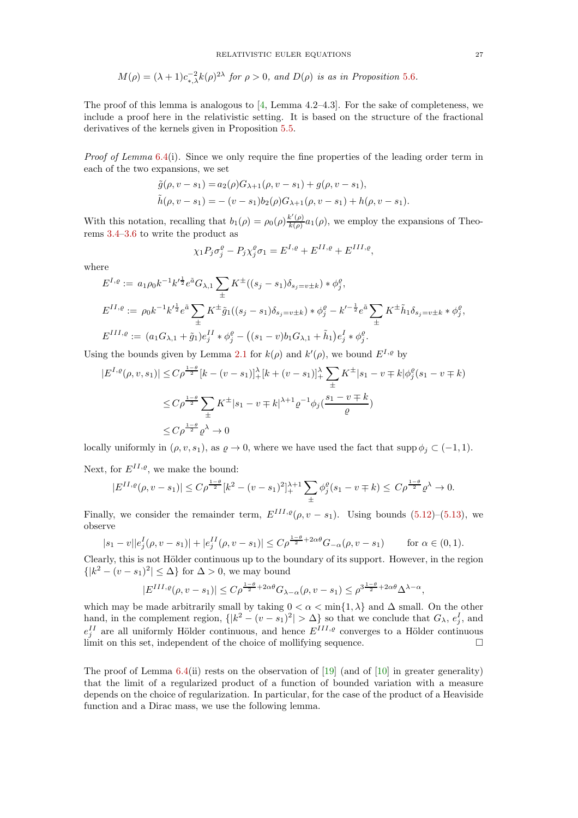$$
M(\rho) = (\lambda + 1)c_{*,\lambda}^{-2}k(\rho)^{2\lambda} \text{ for } \rho > 0, \text{ and } D(\rho) \text{ is as in Proposition 5.6.}
$$

The proof of this lemma is analogous to  $[4, \text{Lemma } 4.2-4.3]$ . For the sake of completeness, we include a proof here in the relativistic setting. It is based on the structure of the fractional derivatives of the kernels given in Proposition [5.5.](#page-22-2)

Proof of Lemma [6.4\(](#page-25-1)i). Since we only require the fine properties of the leading order term in each of the two expansions, we set

$$
\tilde{g}(\rho, v - s_1) = a_2(\rho)G_{\lambda+1}(\rho, v - s_1) + g(\rho, v - s_1),
$$
  
\n
$$
\tilde{h}(\rho, v - s_1) = -(v - s_1)b_2(\rho)G_{\lambda+1}(\rho, v - s_1) + h(\rho, v - s_1).
$$

With this notation, recalling that  $b_1(\rho) = \rho_0(\rho) \frac{k'(\rho)}{k(\rho)}$  $\frac{\kappa(\rho)}{k(\rho)}a_1(\rho)$ , we employ the expansions of Theorems [3.4–](#page-8-2)[3.6](#page-9-1) to write the product as

$$
\chi_1 P_j \sigma_j^{\varrho} - P_j \chi_j^{\varrho} \sigma_1 = E^{I,\varrho} + E^{II,\varrho} + E^{III,\varrho},
$$

where

$$
E^{I,\varrho} := a_1 \rho_0 k^{-1} k^{\prime \frac{1}{2}} e^{\tilde{a}} G_{\lambda,1} \sum_{\pm} K^{\pm} ((s_j - s_1) \delta_{s_j = v \pm k}) * \phi_j^{\varrho},
$$
  
\n
$$
E^{II,\varrho} := \rho_0 k^{-1} k^{\prime \frac{1}{2}} e^{\tilde{a}} \sum_{\pm} K^{\pm} \tilde{g}_1 ((s_j - s_1) \delta_{s_j = v \pm k}) * \phi_j^{\varrho} - k^{\prime - \frac{1}{2}} e^{\tilde{a}} \sum_{\pm} K^{\pm} \tilde{h}_1 \delta_{s_j = v \pm k} * \phi_j^{\varrho},
$$
  
\n
$$
E^{III,\varrho} := (a_1 G_{\lambda,1} + \tilde{g}_1) e_j^{II} * \phi_j^{\varrho} - ((s_1 - v) b_1 G_{\lambda,1} + \tilde{h}_1) e_j^I * \phi_j^{\varrho}.
$$

Using the bounds given by Lemma [2.1](#page-5-1) for  $k(\rho)$  and  $k'(\rho)$ , we bound  $E^{I,\rho}$  by

$$
|E^{I,g}(\rho, v, s_1)| \le C\rho^{\frac{1-\theta}{2}}[k - (v - s_1)]_+^{\lambda}[k + (v - s_1)]_+^{\lambda} \sum_{\pm} K^{\pm}|s_1 - v \mp k|\phi_j^{\theta}(s_1 - v \mp k)
$$
  

$$
\le C\rho^{\frac{1-\theta}{2}} \sum_{\pm} K^{\pm}|s_1 - v \mp k|^{\lambda+1} \varrho^{-1} \phi_j(\frac{s_1 - v \mp k}{\varrho})
$$
  

$$
\le C\rho^{\frac{1-\theta}{2}} \varrho^{\lambda} \to 0
$$

locally uniformly in  $(\rho, v, s_1)$ , as  $\rho \to 0$ , where we have used the fact that supp  $\phi_j \subset (-1, 1)$ .

Next, for  $E^{II,\varrho}$ , we make the bound:

$$
|E^{II,\varrho}(\rho, v-s_1)| \le C\rho^{\frac{1-\theta}{2}}[k^2 - (v-s_1)^2]_+^{\lambda+1} \sum_{\pm} \phi_j^{\varrho}(s_1 - v \mp k) \le C\rho^{\frac{1-\theta}{2}}\varrho^{\lambda} \to 0.
$$

Finally, we consider the remainder term,  $E^{III,\varrho}(\rho, v - s_1)$ . Using bounds [\(5.12\)](#page-22-3)–[\(5.13\)](#page-22-4), we observe

$$
|s_1 - v||e_j^I(\rho, v - s_1)| + |e_j^{II}(\rho, v - s_1)| \le C\rho^{\frac{1-\theta}{2} + 2\alpha\theta} G_{-\alpha}(\rho, v - s_1) \qquad \text{for } \alpha \in (0, 1).
$$

Clearly, this is not Hölder continuous up to the boundary of its support. However, in the region  $\{|k^2 - (v - s_1)^2| \leq \Delta\}$  for  $\Delta > 0$ , we may bound

$$
|E^{III,\varrho}(\rho, v-s_1)| \le C\rho^{\frac{1-\theta}{2}+2\alpha\theta}G_{\lambda-\alpha}(\rho, v-s_1) \le \rho^{3\frac{1-\theta}{2}+2\alpha\theta} \Delta^{\lambda-\alpha},
$$

which may be made arbitrarily small by taking  $0 < \alpha < \min\{1, \lambda\}$  and  $\Delta$  small. On the other hand, in the complement region,  $\{|k^2 - (v - s_1)^2| > \Delta\}$  so that we conclude that  $G_\lambda$ ,  $e_j^I$ , and  $e_j^{II}$  are all uniformly Hölder continuous, and hence  $E^{III,\varrho}$  converges to a Hölder continuous limit on this set, independent of the choice of mollifying sequence.  $\Box$ 

The proof of Lemma [6.4\(](#page-25-1)ii) rests on the observation of [\[19\]](#page-36-16) (and of [\[10\]](#page-36-22) in greater generality) that the limit of a regularized product of a function of bounded variation with a measure depends on the choice of regularization. In particular, for the case of the product of a Heaviside function and a Dirac mass, we use the following lemma.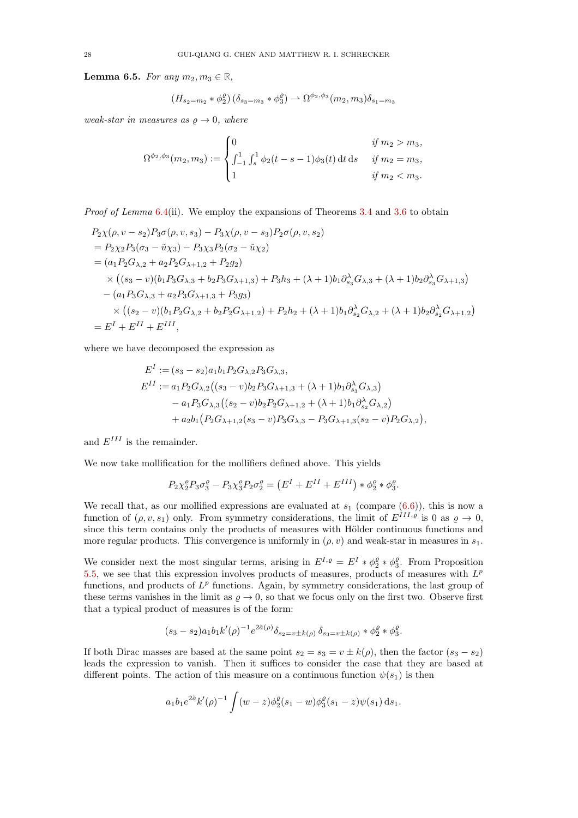<span id="page-27-0"></span>Lemma 6.5. For any  $m_2, m_3 \in \mathbb{R}$ ,

$$
(H_{s_2=m_2} * \phi_2^{\rho})(\delta_{s_3=m_3} * \phi_3^{\rho}) \rightharpoonup \Omega^{\phi_2,\phi_3}(m_2,m_3)\delta_{s_1=m_3}
$$

weak-star in measures as  $\rho \rightarrow 0$ , where

$$
\Omega^{\phi_2,\phi_3}(m_2,m_3) := \begin{cases} 0 & \text{if } m_2 > m_3, \\ \int_{-1}^1 \int_s^1 \phi_2(t-s-1)\phi_3(t) dt ds & \text{if } m_2 = m_3, \\ 1 & \text{if } m_2 < m_3. \end{cases}
$$

Proof of Lemma [6.4\(](#page-25-1)ii). We employ the expansions of Theorems [3.4](#page-8-2) and [3.6](#page-9-1) to obtain

$$
P_2\chi(\rho, v-s_2)P_3\sigma(\rho, v,s_3) - P_3\chi(\rho, v-s_3)P_2\sigma(\rho, v,s_2)
$$
  
=  $P_2\chi_2P_3(\sigma_3 - \tilde{u}\chi_3) - P_3\chi_3P_2(\sigma_2 - \tilde{u}\chi_2)$   
=  $(a_1P_2G_{\lambda,2} + a_2P_2G_{\lambda+1,2} + P_2g_2)$   
 $\times ((s_3 - v)(b_1P_3G_{\lambda,3} + b_2P_3G_{\lambda+1,3}) + P_3h_3 + (\lambda + 1)b_1\partial_{s_3}^{\lambda}G_{\lambda,3} + (\lambda + 1)b_2\partial_{s_3}^{\lambda}G_{\lambda+1,3})$   
 $-(a_1P_3G_{\lambda,3} + a_2P_3G_{\lambda+1,3} + P_3g_3)$   
 $\times ((s_2 - v)(b_1P_2G_{\lambda,2} + b_2P_2G_{\lambda+1,2}) + P_2h_2 + (\lambda + 1)b_1\partial_{s_2}^{\lambda}G_{\lambda,2} + (\lambda + 1)b_2\partial_{s_2}^{\lambda}G_{\lambda+1,2})$   
=  $E^I + E^{II} + E^{III}$ ,

where we have decomposed the expression as

$$
EI := (s3 - s2)a1b1P2G\lambda,2P3G\lambda,3,\nEII := a1P2G\lambda,2((s3 - v)b2P3G\lambda+1,3 + (\lambda + 1)b1\partials3\lambdaG\lambda,3)\n- a1P3G\lambda,3((s2 - v)b2P2G\lambda+1,2 + (\lambda + 1)b1\partials2\lambdaG\lambda,2)\n+ a2b1(P2G\lambda+1,2(s3 - v)P3G\lambda,3 - P3G\lambda+1,3(s2 - v)P2G\lambda,2),
$$

and  $E^{III}$  is the remainder.

We now take mollification for the mollifiers defined above. This yields

$$
P_2\chi_2^\varrho P_3\sigma_3^\varrho-P_3\chi_3^\varrho P_2\sigma_2^\varrho=\left(E^{I}+E^{II}+E^{III}\right)*\phi_2^\varrho*\phi_3^\varrho.
$$

We recall that, as our mollified expressions are evaluated at  $s_1$  (compare  $(6.6)$ ), this is now a function of  $(\rho, v, s_1)$  only. From symmetry considerations, the limit of  $E^{\tilde{I}II,\rho}$  is 0 as  $\rho \to 0$ , since this term contains only the products of measures with Hölder continuous functions and more regular products. This convergence is uniformly in  $(\rho, v)$  and weak-star in measures in  $s_1$ .

We consider next the most singular terms, arising in  $E^{I,\varrho} = E^I * \phi_2^{\varrho} * \phi_3^{\varrho}$ . From Proposition [5.5,](#page-22-2) we see that this expression involves products of measures, products of measures with  $L^p$ functions, and products of  $L^p$  functions. Again, by symmetry considerations, the last group of these terms vanishes in the limit as  $\varrho \to 0$ , so that we focus only on the first two. Observe first that a typical product of measures is of the form:

$$
(s_3 - s_2)a_1b_1k'(\rho)^{-1}e^{2\tilde{a}(\rho)}\delta_{s_2 = v \pm k(\rho)}\delta_{s_3 = v \pm k(\rho)} * \phi_2^{\rho} * \phi_3^{\rho}.
$$

If both Dirac masses are based at the same point  $s_2 = s_3 = v \pm k(\rho)$ , then the factor  $(s_3 - s_2)$ leads the expression to vanish. Then it suffices to consider the case that they are based at different points. The action of this measure on a continuous function  $\psi(s_1)$  is then

$$
a_1b_1e^{2\tilde{a}}k'(\rho)^{-1}\int (w-z)\phi_2^{\rho}(s_1-w)\phi_3^{\rho}(s_1-z)\psi(s_1) ds_1.
$$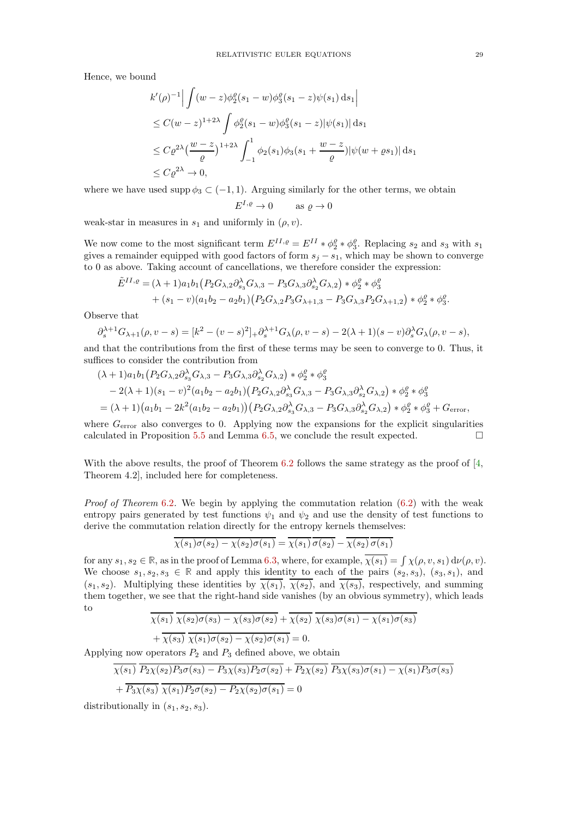Hence, we bound

$$
k'(\rho)^{-1} \Big| \int (w-z) \phi_2^{\rho} (s_1 - w) \phi_3^{\rho} (s_1 - z) \psi(s_1) ds_1 \Big|
$$
  
\n
$$
\leq C(w-z)^{1+2\lambda} \int \phi_2^{\rho} (s_1 - w) \phi_3^{\rho} (s_1 - z) |\psi(s_1)| ds_1
$$
  
\n
$$
\leq C \rho^{2\lambda} \left( \frac{w-z}{\rho} \right)^{1+2\lambda} \int_{-1}^1 \phi_2(s_1) \phi_3(s_1 + \frac{w-z}{\rho}) |\psi(w + \rho s_1)| ds_1
$$
  
\n
$$
\leq C \rho^{2\lambda} \to 0,
$$

where we have used supp  $\phi_3 \subset (-1, 1)$ . Arguing similarly for the other terms, we obtain

$$
E^{I,\varrho} \to 0 \qquad \text{as } \varrho \to 0
$$

weak-star in measures in  $s_1$  and uniformly in  $(\rho, v)$ .

We now come to the most significant term  $E^{II,g} = E^{II} * \phi_2^{\rho} * \phi_3^{\rho}$ . Replacing  $s_2$  and  $s_3$  with  $s_1$ gives a remainder equipped with good factors of form  $s_j - s_1$ , which may be shown to converge to 0 as above. Taking account of cancellations, we therefore consider the expression:

$$
\tilde{E}^{II,\varrho} = (\lambda + 1)a_1b_1(P_2G_{\lambda,2}\partial_{s_3}^{\lambda}G_{\lambda,3} - P_3G_{\lambda,3}\partial_{s_2}^{\lambda}G_{\lambda,2}) * \phi_2^{\varrho} * \phi_3^{\varrho} \n+ (s_1 - v)(a_1b_2 - a_2b_1)(P_2G_{\lambda,2}P_3G_{\lambda+1,3} - P_3G_{\lambda,3}P_2G_{\lambda+1,2}) * \phi_2^{\varrho} * \phi_3^{\varrho}.
$$

Observe that

$$
\partial_s^{\lambda+1} G_{\lambda+1}(\rho, v-s) = [k^2 - (v-s)^2]_+ \partial_s^{\lambda+1} G_{\lambda}(\rho, v-s) - 2(\lambda+1)(s-v) \partial_s^{\lambda} G_{\lambda}(\rho, v-s),
$$

and that the contributions from the first of these terms may be seen to converge to 0. Thus, it suffices to consider the contribution from

$$
(\lambda + 1)a_1b_1(P_2G_{\lambda,2}\partial_{s_3}^{\lambda}G_{\lambda,3} - P_3G_{\lambda,3}\partial_{s_2}^{\lambda}G_{\lambda,2}) * \phi_2^{\rho} * \phi_3^{\rho}
$$
  
- 2( $\lambda$  + 1)( $s_1 - v$ )<sup>2</sup>( $a_1b_2 - a_2b_1$ )( $P_2G_{\lambda,2}\partial_{s_3}^{\lambda}G_{\lambda,3} - P_3G_{\lambda,3}\partial_{s_2}^{\lambda}G_{\lambda,2}) * \phi_2^{\rho} * \phi_3^{\rho}$   
= ( $\lambda$  + 1)( $a_1b_1 - 2k^2(a_1b_2 - a_2b_1)$ )( $P_2G_{\lambda,2}\partial_{s_3}^{\lambda}G_{\lambda,3} - P_3G_{\lambda,3}\partial_{s_2}^{\lambda}G_{\lambda,2}) * \phi_2^{\rho} * \phi_3^{\rho} + G_{\text{error}},$ 

where  $G<sub>error</sub>$  also converges to 0. Applying now the expansions for the explicit singularities calculated in Proposition [5.5](#page-22-2) and Lemma [6.5,](#page-27-0) we conclude the result expected.  $\square$ 

With the above results, the proof of Theorem [6.2](#page-23-2) follows the same strategy as the proof of [\[4,](#page-36-18) Theorem 4.2], included here for completeness.

*Proof of Theorem* [6.2](#page-23-2). We begin by applying the commutation relation  $(6.2)$  with the weak entropy pairs generated by test functions  $\psi_1$  and  $\psi_2$  and use the density of test functions to derive the commutation relation directly for the entropy kernels themselves:

$$
\overline{\chi(s_1)\sigma(s_2) - \chi(s_2)\sigma(s_1)} = \overline{\chi(s_1)}\,\overline{\sigma(s_2)} - \overline{\chi(s_2)}\,\overline{\sigma(s_1)}
$$

for any  $s_1, s_2 \in \mathbb{R}$ , as in the proof of Lemma [6.3,](#page-24-2) where, for example,  $\overline{\chi(s_1)} = \int \chi(\rho, v, s_1) d\nu(\rho, v)$ . We choose  $s_1, s_2, s_3 \in \mathbb{R}$  and apply this identity to each of the pairs  $(s_2, s_3)$ ,  $(s_3, s_1)$ , and  $(s_1, s_2)$ . Multiplying these identities by  $\overline{\chi(s_1)}$ ,  $\overline{\chi(s_2)}$ , and  $\overline{\chi(s_3)}$ , respectively, and summing them together, we see that the right-hand side vanishes (by an obvious symmetry), which leads to

$$
\chi(s_1) \ \chi(s_2) \sigma(s_3) - \chi(s_3) \sigma(s_2) + \chi(s_2) \ \chi(s_3) \sigma(s_1) - \chi(s_1) \sigma(s_3)
$$

+ 
$$
\chi(s_3) \chi(s_1)\sigma(s_2) - \chi(s_2)\sigma(s_1) = 0.
$$

Applying now operators  $P_2$  and  $P_3$  defined above, we obtain

$$
\overline{\chi(s_1)} \ \overline{P_2 \chi(s_2) P_3 \sigma(s_3) - P_3 \chi(s_3) P_2 \sigma(s_2)} + \overline{P_2 \chi(s_2)} \ \overline{P_3 \chi(s_3) \sigma(s_1) - \chi(s_1) P_3 \sigma(s_3)}
$$
  
+ 
$$
\overline{P_3 \chi(s_3)} \ \overline{\chi(s_1) P_2 \sigma(s_2) - P_2 \chi(s_2) \sigma(s_1)} = 0
$$

distributionally in  $(s_1, s_2, s_3)$ .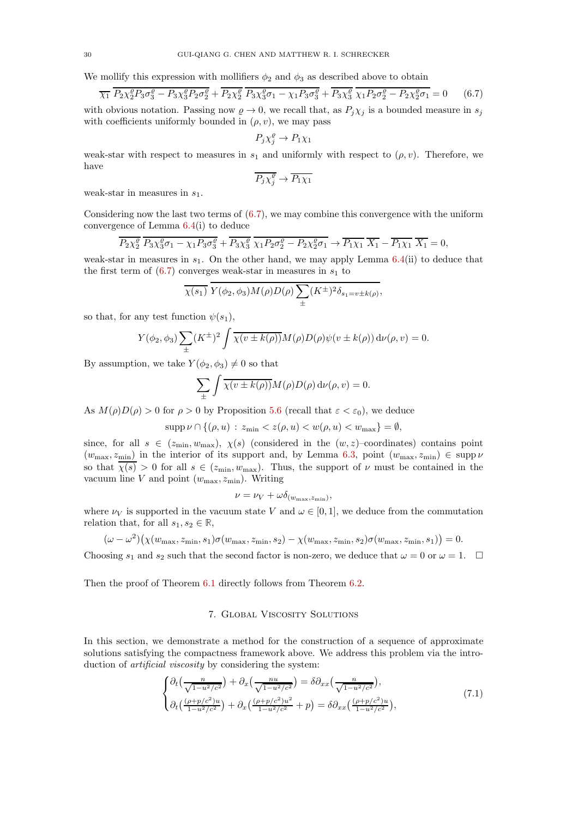We mollify this expression with mollifiers  $\phi_2$  and  $\phi_3$  as described above to obtain

<span id="page-29-1"></span>
$$
\overline{\chi_1} \overline{P_2 \chi_2^{\varrho} P_3 \sigma_3^{\varrho} - P_3 \chi_3^{\varrho} P_2 \sigma_2^{\varrho}} + \overline{P_2 \chi_2^{\varrho}} \overline{P_3 \chi_3^{\varrho} \sigma_1 - \chi_1 P_3 \sigma_3^{\varrho}} + \overline{P_3 \chi_3^{\varrho}} \overline{\chi_1 P_2 \sigma_2^{\varrho} - P_2 \chi_2^{\varrho} \sigma_1} = 0 \tag{6.7}
$$

with obvious notation. Passing now  $\rho \to 0$ , we recall that, as  $P_j \chi_j$  is a bounded measure in  $s_j$ with coefficients uniformly bounded in  $(\rho, v)$ , we may pass

$$
P_j \chi_j^{\varrho} \to P_1 \chi_1
$$

weak-star with respect to measures in  $s_1$  and uniformly with respect to  $(\rho, v)$ . Therefore, we have

$$
\overline{P_j \chi_j^{\varrho}} \to \overline{P_1 \chi_1}
$$

weak-star in measures in  $s_1$ .

Considering now the last two terms of [\(6.7\)](#page-29-1), we may combine this convergence with the uniform convergence of Lemma [6.4\(](#page-25-1)i) to deduce

$$
\overline{P_2 \chi_2^{\varrho}} \ \overline{P_3 \chi_3^{\varrho} \sigma_1 - \chi_1 P_3 \sigma_3^{\varrho}} + \overline{P_3 \chi_3^{\varrho}} \ \overline{\chi_1 P_2 \sigma_2^{\varrho}} - P_2 \chi_2^{\varrho} \sigma_1 \rightarrow \overline{P_1 \chi_1} \ \overline{X_1} - \overline{P_1 \chi_1} \ \overline{X_1} = 0,
$$

weak-star in measures in  $s_1$ . On the other hand, we may apply Lemma  $6.4(ii)$  $6.4(ii)$  to deduce that the first term of  $(6.7)$  converges weak-star in measures in  $s_1$  to

$$
\overline{\chi(s_1)} Y(\phi_2, \phi_3) M(\rho) D(\rho) \sum_{\pm} (K^{\pm})^2 \delta_{s_1 = v \pm k(\rho)},
$$

so that, for any test function  $\psi(s_1)$ ,

$$
Y(\phi_2, \phi_3) \sum_{\pm} (K^{\pm})^2 \int \overline{\chi(v \pm k(\rho))} M(\rho) D(\rho) \psi(v \pm k(\rho)) d\nu(\rho, v) = 0.
$$

By assumption, we take  $Y(\phi_2, \phi_3) \neq 0$  so that

$$
\sum_{\pm} \int \overline{\chi(v \pm k(\rho))} M(\rho) D(\rho) d\nu(\rho, v) = 0.
$$

As  $M(\rho)D(\rho) > 0$  for  $\rho > 0$  by Proposition [5.6](#page-22-1) (recall that  $\varepsilon < \varepsilon_0$ ), we deduce

$$
\operatorname{supp} \nu \cap \{(\rho, u) : z_{\min} < z(\rho, u) < w(\rho, u) < w_{\max}\} = \emptyset,
$$

since, for all  $s \in (z_{\min}, w_{\max}), \chi(s)$  (considered in the  $(w, z)$ -coordinates) contains point  $(w_{\text{max}}, z_{\text{min}})$  in the interior of its support and, by Lemma [6.3,](#page-24-2) point  $(w_{\text{max}}, z_{\text{min}}) \in \text{supp }\nu$ so that  $\chi(s) > 0$  for all  $s \in (z_{\min}, w_{\max})$ . Thus, the support of  $\nu$  must be contained in the vacuum line  $V$  and point  $(w_{\text{max}}, z_{\text{min}})$ . Writing

$$
\nu = \nu_V + \omega \delta_{(w_{\text{max}}, z_{\text{min}})},
$$

where  $\nu_V$  is supported in the vacuum state V and  $\omega \in [0, 1]$ , we deduce from the commutation relation that, for all  $s_1, s_2 \in \mathbb{R}$ ,

$$
(\omega - \omega^2)(\chi(w_{\max}, z_{\min}, s_1)\sigma(w_{\max}, z_{\min}, s_2) - \chi(w_{\max}, z_{\min}, s_2)\sigma(w_{\max}, z_{\min}, s_1)) = 0.
$$

Choosing  $s_1$  and  $s_2$  such that the second factor is non-zero, we deduce that  $\omega = 0$  or  $\omega = 1$ .  $\Box$ 

<span id="page-29-0"></span>Then the proof of Theorem [6.1](#page-23-1) directly follows from Theorem [6.2.](#page-23-2)

### 7. Global Viscosity Solutions

In this section, we demonstrate a method for the construction of a sequence of approximate solutions satisfying the compactness framework above. We address this problem via the introduction of *artificial viscosity* by considering the system:

<span id="page-29-2"></span>
$$
\begin{cases} \partial_t \left( \frac{n}{\sqrt{1 - u^2/c^2}} \right) + \partial_x \left( \frac{n u}{\sqrt{1 - u^2/c^2}} \right) = \delta \partial_{xx} \left( \frac{n}{\sqrt{1 - u^2/c^2}} \right), \\ \partial_t \left( \frac{(\rho + p/c^2) u}{1 - u^2/c^2} \right) + \partial_x \left( \frac{(\rho + p/c^2) u^2}{1 - u^2/c^2} + p \right) = \delta \partial_{xx} \left( \frac{(\rho + p/c^2) u}{1 - u^2/c^2} \right), \end{cases} \tag{7.1}
$$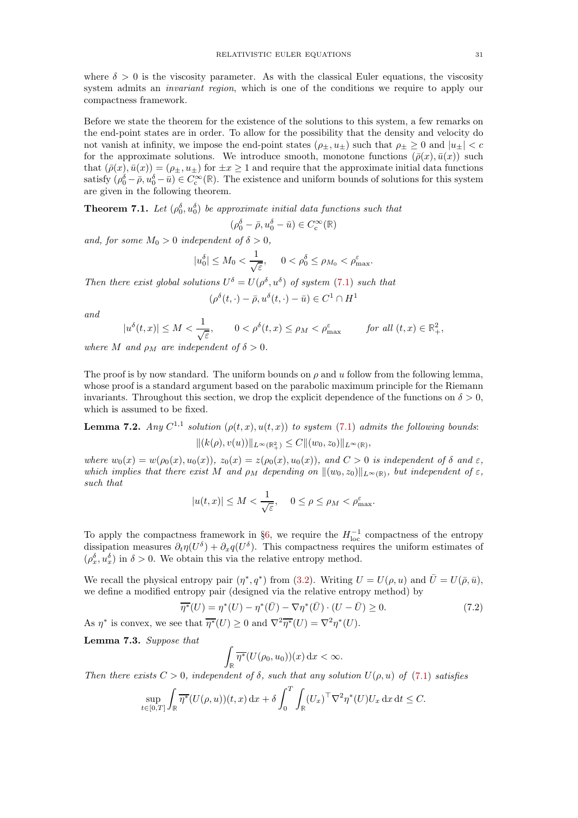where  $\delta > 0$  is the viscosity parameter. As with the classical Euler equations, the viscosity system admits an *invariant region*, which is one of the conditions we require to apply our compactness framework.

Before we state the theorem for the existence of the solutions to this system, a few remarks on the end-point states are in order. To allow for the possibility that the density and velocity do not vanish at infinity, we impose the end-point states  $(\rho_{\pm}, u_{\pm})$  such that  $\rho_{\pm} \geq 0$  and  $|u_{\pm}| < c$ for the approximate solutions. We introduce smooth, monotone functions  $(\bar{\rho}(x), \bar{u}(x))$  such that  $(\bar{\rho}(x), \bar{u}(x)) = (\rho_{\pm}, u_{\pm})$  for  $\pm x \ge 1$  and require that the approximate initial data functions satisfy  $(\rho_0^{\delta} - \bar{\rho}, u_0^{\delta} - \bar{u}) \in C_c^{\infty}(\mathbb{R})$ . The existence and uniform bounds of solutions for this system are given in the following theorem.

<span id="page-30-2"></span>**Theorem 7.1.** Let  $(\rho_0^{\delta}, u_0^{\delta})$  be approximate initial data functions such that

$$
(\rho_0^{\delta} - \bar{\rho}, u_0^{\delta} - \bar{u}) \in C_c^{\infty}(\mathbb{R})
$$

and, for some  $M_0 > 0$  independent of  $\delta > 0$ ,

$$
|u_0^{\delta}| \le M_0 < \frac{1}{\sqrt{\varepsilon}}, \quad 0 < \rho_0^{\delta} \le \rho_{M_0} < \rho_{\text{max}}^{\varepsilon}.
$$

Then there exist global solutions  $U^{\delta} = U(\rho^{\delta}, u^{\delta})$  of system [\(7.1\)](#page-29-2) such that

$$
(\rho^{\delta}(t,\cdot) - \bar{\rho}, u^{\delta}(t,\cdot) - \bar{u}) \in C^1 \cap H^1
$$

and

$$
|u^{\delta}(t,x)| \leq M < \frac{1}{\sqrt{\varepsilon}}, \qquad 0 < \rho^{\delta}(t,x) \leq \rho_M < \rho_{\max}^{\varepsilon} \qquad \text{for all } (t,x) \in \mathbb{R}_+^2,
$$

where M and  $\rho_M$  are independent of  $\delta > 0$ .

The proof is by now standard. The uniform bounds on  $\rho$  and  $u$  follow from the following lemma, whose proof is a standard argument based on the parabolic maximum principle for the Riemann invariants. Throughout this section, we drop the explicit dependence of the functions on  $\delta > 0$ , which is assumed to be fixed.

<span id="page-30-0"></span>**Lemma 7.2.** Any  $C^{1,1}$  solution  $(\rho(t,x), u(t,x))$  to system [\(7.1\)](#page-29-2) admits the following bounds:  $||(k(\rho), v(u))||_{L^{\infty}(\mathbb{R}^2_+)} \leq C||(w_0, z_0)||_{L^{\infty}(\mathbb{R})},$ 

where  $w_0(x) = w(\rho_0(x), u_0(x)), z_0(x) = z(\rho_0(x), u_0(x)),$  and  $C > 0$  is independent of  $\delta$  and  $\varepsilon$ , which implies that there exist M and  $\rho_M$  depending on  $\|(w_0, z_0)\|_{L^{\infty}(\mathbb{R})}$ , but independent of  $\varepsilon$ , such that

$$
|u(t,x)| \le M < \frac{1}{\sqrt{\varepsilon}}, \quad 0 \le \rho \le \rho_M < \rho_{\text{max}}^{\varepsilon}.
$$

To apply the compactness framework in §[6,](#page-22-0) we require the  $H_{\text{loc}}^{-1}$  compactness of the entropy dissipation measures  $\partial_t \eta(U^{\delta}) + \partial_x q(U^{\delta})$ . This compactness requires the uniform estimates of  $(\rho_x^{\delta}, u_x^{\delta})$  in  $\delta > 0$ . We obtain this via the relative entropy method.

We recall the physical entropy pair  $(\eta^*, q^*)$  from [\(3.2\)](#page-6-2). Writing  $U = U(\rho, u)$  and  $\overline{U} = U(\overline{\rho}, \overline{u})$ , we define a modified entropy pair (designed via the relative entropy method) by

$$
\overline{\eta^*}(U) = \eta^*(U) - \eta^*(\overline{U}) - \nabla \eta^*(\overline{U}) \cdot (U - \overline{U}) \ge 0. \tag{7.2}
$$

As  $\eta^*$  is convex, we see that  $\overline{\eta^*}(U) \ge 0$  and  $\nabla^2 \overline{\eta^*}(U) = \nabla^2 \eta^*(U)$ .

<span id="page-30-1"></span>Lemma 7.3. Suppose that

$$
\int_{\mathbb{R}} \overline{\eta^*} (U(\rho_0, u_0))(x) \, \mathrm{d}x < \infty.
$$

Then there exists  $C > 0$ , independent of  $\delta$ , such that any solution  $U(\rho, u)$  of [\(7.1\)](#page-29-2) satisfies

$$
\sup_{t \in [0,T]} \int_{\mathbb{R}} \overline{\eta^*} (U(\rho, u))(t, x) \, \mathrm{d}x + \delta \int_0^T \int_{\mathbb{R}} (U_x)^\top \nabla^2 \eta^*(U) U_x \, \mathrm{d}x \, \mathrm{d}t \le C.
$$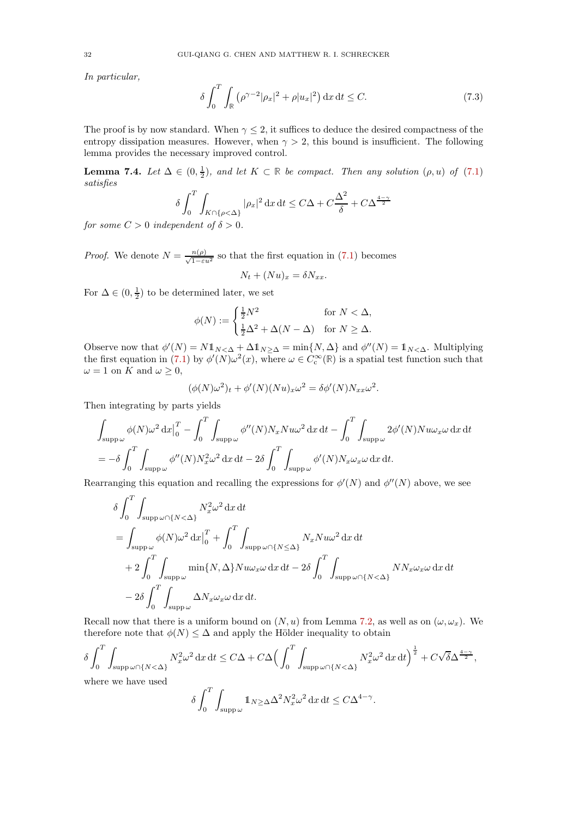In particular,

<span id="page-31-0"></span>
$$
\delta \int_0^T \int_{\mathbb{R}} \left( \rho^{\gamma - 2} |\rho_x|^2 + \rho |u_x|^2 \right) dx dt \le C. \tag{7.3}
$$

The proof is by now standard. When  $\gamma \leq 2$ , it suffices to deduce the desired compactness of the entropy dissipation measures. However, when  $\gamma > 2$ , this bound is insufficient. The following lemma provides the necessary improved control.

<span id="page-31-1"></span>**Lemma 7.4.** Let  $\Delta \in (0, \frac{1}{2})$ , and let  $K \subset \mathbb{R}$  be compact. Then any solution  $(\rho, u)$  of  $(7.1)$ satisfies

$$
\delta \int_0^T \int_{K \cap \{\rho < \Delta\}} |\rho_x|^2 \, \mathrm{d}x \, \mathrm{d}t \le C\Delta + C\frac{\Delta^2}{\delta} + C\Delta^{\frac{4-\gamma}{2}}
$$

for some  $C > 0$  independent of  $\delta > 0$ .

*Proof.* We denote  $N = \frac{n(\rho)}{\sqrt{1-\epsilon u^2}}$  so that the first equation in [\(7.1\)](#page-29-2) becomes  $N_t + (Nu)_x = \delta N_{xx}.$ 

For  $\Delta \in (0, \frac{1}{2})$  to be determined later, we set

$$
\phi(N):=\begin{cases} \frac{1}{2}N^2 & \text{for } N<\Delta,\\ \frac{1}{2}\Delta^2+\Delta(N-\Delta) & \text{for } N\geq \Delta. \end{cases}
$$

Observe now that  $\phi'(N) = N \mathbb{1}_{N \leq \Delta} + \Delta \mathbb{1}_{N \geq \Delta} = \min\{N, \Delta\}$  and  $\phi''(N) = \mathbb{1}_{N \leq \Delta}$ . Multiplying the first equation in [\(7.1\)](#page-29-2) by  $\phi'(N)\omega^2(x)$ , where  $\omega \in C_c^{\infty}(\mathbb{R})$  is a spatial test function such that  $\omega = 1$  on K and  $\omega \geq 0$ ,

$$
(\phi(N)\omega^2)_t + \phi'(N)(Nu)_x\omega^2 = \delta\phi'(N)N_{xx}\omega^2.
$$

Then integrating by parts yields

$$
\int_{\text{supp}\,\omega} \phi(N)\omega^2 \,dx \big|_0^T - \int_0^T \int_{\text{supp}\,\omega} \phi''(N)N_x N u \omega^2 \,dx \,dt - \int_0^T \int_{\text{supp}\,\omega} 2\phi'(N)N u \omega_x \omega \,dx \,dt
$$
  
= 
$$
-\delta \int_0^T \int_{\text{supp}\,\omega} \phi''(N)N_x^2 \omega^2 \,dx \,dt - 2\delta \int_0^T \int_{\text{supp}\,\omega} \phi'(N)N_x \omega_x \omega \,dx \,dt.
$$

Rearranging this equation and recalling the expressions for  $\phi'(N)$  and  $\phi''(N)$  above, we see

$$
\delta \int_0^T \int_{\text{supp }\omega \cap \{N < \Delta\}} N_x^2 \omega^2 \, dx \, dt
$$
\n
$$
= \int_{\text{supp }\omega} \phi(N) \omega^2 \, dx \Big|_0^T + \int_0^T \int_{\text{supp }\omega \cap \{N \le \Delta\}} N_x N u \omega^2 \, dx \, dt
$$
\n
$$
+ 2 \int_0^T \int_{\text{supp }\omega} \min\{N, \Delta\} N u \omega_x \omega \, dx \, dt - 2 \delta \int_0^T \int_{\text{supp }\omega \cap \{N < \Delta\}} N N_x \omega_x \omega \, dx \, dt
$$
\n
$$
- 2 \delta \int_0^T \int_{\text{supp }\omega} \Delta N_x \omega_x \omega \, dx \, dt.
$$

Recall now that there is a uniform bound on  $(N, u)$  from Lemma [7.2,](#page-30-0) as well as on  $(\omega, \omega_x)$ . We therefore note that  $\phi(N) \leq \Delta$  and apply the Hölder inequality to obtain

$$
\delta \int_0^T \int_{\text{supp }\omega \cap \{N < \Delta\}} N_x^2 \omega^2 \, \mathrm{d}x \, \mathrm{d}t \leq C \Delta + C \Delta \Big( \int_0^T \int_{\text{supp }\omega \cap \{N < \Delta\}} N_x^2 \omega^2 \, \mathrm{d}x \, \mathrm{d}t \Big)^{\frac{1}{2}} + C \sqrt{\delta} \Delta^{\frac{4 - \gamma}{2}},
$$
\n
$$
\text{where we have used}
$$
\n
$$
\delta \int_0^T \int_{\text{supp }\omega} \mathbb{1}_{N \geq \Delta} \Delta^2 N_x^2 \omega^2 \, \mathrm{d}x \, \mathrm{d}t \leq C \Delta^{4 - \gamma}.
$$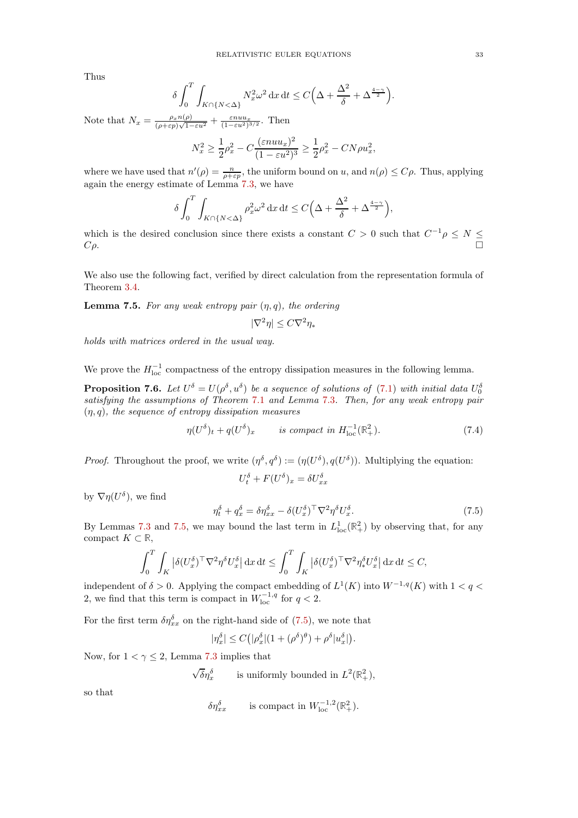Thus

$$
\delta \int_0^T \int_{K \cap \{N < \Delta\}} N_x^2 \omega^2 \, \mathrm{d}x \, \mathrm{d}t \le C \Big( \Delta + \frac{\Delta^2}{\delta} + \Delta^{\frac{4-\gamma}{2}} \Big).
$$

Note that  $N_x = \frac{\rho_x n(\rho)}{(\rho + \varepsilon)^{1/2}}$  $\frac{\rho_x n(\rho)}{(\rho + \varepsilon p)\sqrt{1-\varepsilon u^2}} + \frac{\varepsilon n u u_x}{(1-\varepsilon u^2)^{3/2}}$ . Then

$$
N_x^2 \ge \frac{1}{2}\rho_x^2 - C\frac{(\varepsilon n u u_x)^2}{(1 - \varepsilon u^2)^3} \ge \frac{1}{2}\rho_x^2 - C N \rho u_x^2,
$$

where we have used that  $n'(\rho) = \frac{n}{\rho + \varepsilon p}$ , the uniform bound on u, and  $n(\rho) \le C\rho$ . Thus, applying again the energy estimate of Lemma [7.3,](#page-30-1) we have

$$
\delta \int_0^T \int_{K \cap \{N < \Delta\}} \rho_x^2 \omega^2 \, \mathrm{d}x \, \mathrm{d}t \le C\Big(\Delta + \frac{\Delta^2}{\delta} + \Delta^{\frac{4-\gamma}{2}}\Big),
$$

which is the desired conclusion since there exists a constant  $C > 0$  such that  $C^{-1}\rho \leq N \leq$  $C\rho$ .

We also use the following fact, verified by direct calculation from the representation formula of Theorem [3.4.](#page-8-2)

<span id="page-32-0"></span>**Lemma 7.5.** For any weak entropy pair  $(\eta, q)$ , the ordering

$$
|\nabla^2\eta|\leq C\nabla^2\eta_*
$$

holds with matrices ordered in the usual way.

We prove the  $H_{\text{loc}}^{-1}$  compactness of the entropy dissipation measures in the following lemma.

**Proposition 7.6.** Let  $U^{\delta} = U(\rho^{\delta}, u^{\delta})$  be a sequence of solutions of [\(7.1\)](#page-29-2) with initial data  $U_0^{\delta}$ satisfying the assumptions of Theorem [7.1](#page-30-2) and Lemma [7.3](#page-30-1). Then, for any weak entropy pair  $(\eta, q)$ , the sequence of entropy dissipation measures

$$
\eta(U^{\delta})_t + q(U^{\delta})_x \qquad \text{is compact in } H^{-1}_{\text{loc}}(\mathbb{R}^2_+). \tag{7.4}
$$

*Proof.* Throughout the proof, we write  $(\eta^{\delta}, q^{\delta}) := (\eta(U^{\delta}), q(U^{\delta}))$ . Multiplying the equation:  $U_t^{\delta} + F(U^{\delta})_x = \delta U_{xx}^{\delta}$ 

by  $\nabla \eta(U^{\delta}),$  we find

<span id="page-32-1"></span>
$$
\eta_t^{\delta} + q_x^{\delta} = \delta \eta_{xx}^{\delta} - \delta (U_x^{\delta})^{\top} \nabla^2 \eta^{\delta} U_x^{\delta}.
$$
 (7.5)

By Lemmas [7.3](#page-31-0) and [7.5,](#page-32-0) we may bound the last term in  $L^1_{loc}(\mathbb{R}^2_+)$  by observing that, for any compact  $K \subset \mathbb{R}$ ,

$$
\int_0^T \int_K \left| \delta (U_x^{\delta})^\top \nabla^2 \eta^\delta U_x^{\delta} \right| \mathrm{d}x \, \mathrm{d}t \le \int_0^T \int_K \left| \delta (U_x^{\delta})^\top \nabla^2 \eta_*^{\delta} U_x^{\delta} \right| \mathrm{d}x \, \mathrm{d}t \le C,
$$

independent of  $\delta > 0$ . Applying the compact embedding of  $L^1(K)$  into  $W^{-1,q}(K)$  with  $1 < q <$ 2, we find that this term is compact in  $W_{\text{loc}}^{-1,q}$  for  $q < 2$ .

For the first term  $\delta \eta_{xx}^{\delta}$  on the right-hand side of [\(7.5\)](#page-32-1), we note that

$$
|\eta_x^{\delta}| \le C\big(|\rho_x^{\delta}|(1+(\rho^{\delta})^{\theta})+\rho^{\delta}|u_x^{\delta}|\big).
$$

Now, for  $1 < \gamma \leq 2$ , Lemma [7.3](#page-30-1) implies that

 $\sqrt{\delta} \eta_x^{\delta}$  is uniformly bounded in  $L^2(\mathbb{R}^2_+),$ 

so that

$$
\delta \eta_{xx}^{\delta} \qquad \text{ is compact in } W^{-1,2}_{\text{loc}}(\mathbb{R}^2_+).
$$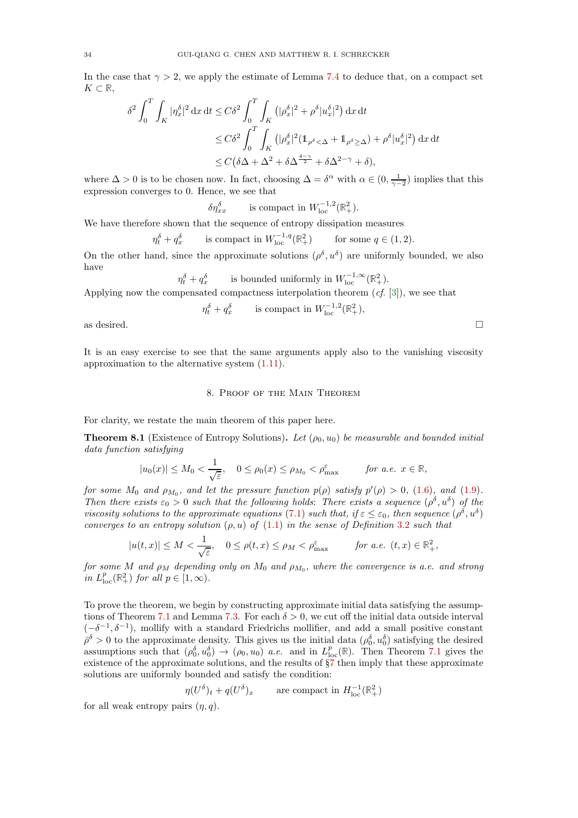In the case that  $\gamma > 2$ , we apply the estimate of Lemma [7.4](#page-31-1) to deduce that, on a compact set  $K$  ⊂ ℝ,

$$
\delta^2 \int_0^T \int_K |\eta_x^{\delta}|^2 \, \mathrm{d}x \, \mathrm{d}t \le C \delta^2 \int_0^T \int_K (|\rho_x^{\delta}|^2 + \rho^{\delta} |u_x^{\delta}|^2) \, \mathrm{d}x \, \mathrm{d}t
$$
  
\n
$$
\le C \delta^2 \int_0^T \int_K (|\rho_x^{\delta}|^2 (\mathbb{1}_{\rho^{\delta} < \Delta} + \mathbb{1}_{\rho^{\delta} \ge \Delta}) + \rho^{\delta} |u_x^{\delta}|^2) \, \mathrm{d}x \, \mathrm{d}t
$$
  
\n
$$
\le C (\delta \Delta + \Delta^2 + \delta \Delta^{\frac{4-\gamma}{2}} + \delta \Delta^{2-\gamma} + \delta),
$$

where  $\Delta > 0$  is to be chosen now. In fact, choosing  $\Delta = \delta^{\alpha}$  with  $\alpha \in (0, \frac{1}{\gamma - 2})$  implies that this expression converges to 0. Hence, we see that

$$
\delta \eta_{xx}^{\delta} \qquad \text{is compact in } W^{-1,2}_{\text{loc}}(\mathbb{R}^2_+).
$$

We have therefore shown that the sequence of entropy dissipation measures

$$
\eta_t^{\delta} + q_x^{\delta} \qquad \text{is compact in } W_{\text{loc}}^{-1,q}(\mathbb{R}_+^2) \qquad \text{for some } q \in (1,2).
$$

On the other hand, since the approximate solutions  $(\rho^{\delta}, u^{\delta})$  are uniformly bounded, we also have

$$
\eta_t^{\delta} + q_x^{\delta} \qquad \text{is bounded uniformly in } W^{-1,\infty}_{\text{loc}}(\mathbb{R}^2_+).
$$

Applying now the compensated compactness interpolation theorem  $(cf. [3])$  $(cf. [3])$  $(cf. [3])$ , we see that

$$
\eta_t^{\delta} + q_x^{\delta} \qquad \text{ is compact in } W^{-1,2}_{\text{loc}}(\mathbb{R}^2_+),
$$

as desired.  $\Box$ 

<span id="page-33-0"></span>It is an easy exercise to see that the same arguments apply also to the vanishing viscosity approximation to the alternative system [\(1.11\)](#page-3-0).

#### 8. Proof of the Main Theorem

For clarity, we restate the main theorem of this paper here.

**Theorem 8.1** (Existence of Entropy Solutions). Let  $(\rho_0, u_0)$  be measurable and bounded initial data function satisfying

$$
|u_0(x)| \le M_0 < \frac{1}{\sqrt{\varepsilon}}, \quad 0 \le \rho_0(x) \le \rho_{M_0} < \rho_{\max}^{\varepsilon} \qquad \text{for a.e. } x \in \mathbb{R},
$$

for some  $M_0$  and  $\rho_{M_0}$ , and let the pressure function  $p(\rho)$  satisfy  $p'(\rho) > 0$ , [\(1.6\)](#page-1-1), and [\(1.9\)](#page-2-0). Then there exists  $\varepsilon_0 > 0$  such that the following holds: There exists a sequence  $(\rho^{\delta}, u^{\delta})$  of the viscosity solutions to the approximate equations [\(7.1\)](#page-29-2) such that, if  $\varepsilon \leq \varepsilon_0$ , then sequence  $(\rho^{\delta}, u^{\delta})$ converges to an entropy solution  $(\rho, u)$  of  $(1.1)$  in the sense of Definition [3.2](#page-6-0) such that

$$
|u(t,x)| \le M < \frac{1}{\sqrt{\varepsilon}}, \quad 0 \le \rho(t,x) \le \rho_M < \rho_{\text{max}}^{\varepsilon} \qquad \text{for a.e. } (t,x) \in \mathbb{R}_+^2,
$$

for some M and  $\rho_M$  depending only on  $M_0$  and  $\rho_{M_0},$  where the convergence is a.e. and strong in  $L_{\text{loc}}^p(\mathbb{R}^2_+)$  for all  $p \in [1, \infty)$ .

To prove the theorem, we begin by constructing approximate initial data satisfying the assump-tions of Theorem [7.1](#page-30-2) and Lemma [7.3.](#page-30-1) For each  $\delta > 0$ , we cut off the initial data outside interval  $(-\delta^{-1}, \delta^{-1})$ , mollify with a standard Friedrichs mollifier, and add a small positive constant  $\bar{\rho}^{\delta} > 0$  to the approximate density. This gives us the initial data  $(\rho_0^{\delta}, u_0^{\delta})$  satisfying the desired assumptions such that  $(\rho_0^{\delta}, u_0^{\delta}) \to (\rho_0, u_0)$  *a.e.* and in  $L_{\text{loc}}^p(\mathbb{R})$ . Then Theorem [7.1](#page-30-2) gives the existence of the approximate solutions, and the results of §[7](#page-29-0) then imply that these approximate solutions are uniformly bounded and satisfy the condition:

$$
\eta(U^{\delta})_t + q(U^{\delta})_x
$$
 are compact in  $H^{-1}_{loc}(\mathbb{R}^2_+)$ 

for all weak entropy pairs  $(\eta, q)$ .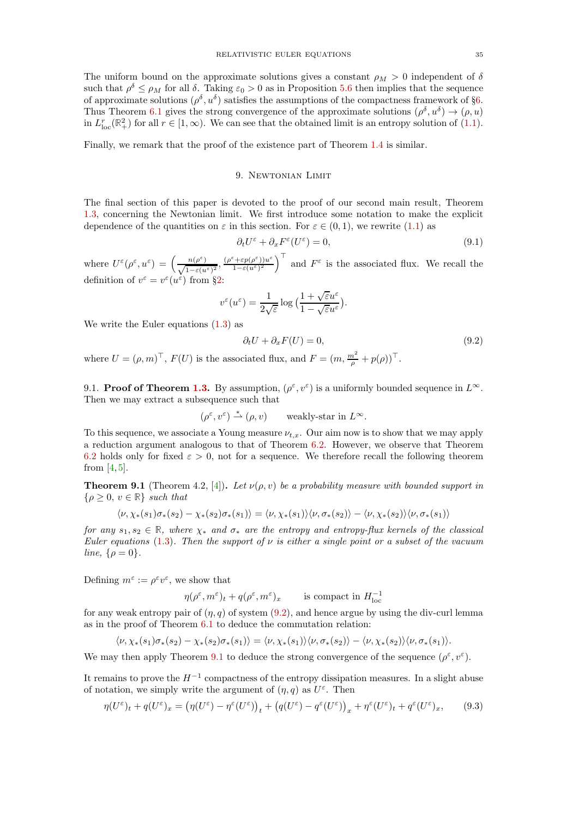The uniform bound on the approximate solutions gives a constant  $\rho_M > 0$  independent of  $\delta$ such that  $\rho^{\delta} \le \rho_M$  for all  $\delta$ . Taking  $\varepsilon_0 > 0$  as in Proposition [5.6](#page-22-1) then implies that the sequence of approximate solutions  $(\rho^{\delta}, u^{\delta})$  satisfies the assumptions of the compactness framework of §[6.](#page-22-0) Thus Theorem [6.1](#page-23-1) gives the strong convergence of the approximate solutions  $(\rho^{\delta}, u^{\delta}) \to (\rho, u)$ in  $L_{loc}^r(\mathbb{R}^2_+)$  for all  $r \in [1,\infty)$ . We can see that the obtained limit is an entropy solution of [\(1.1\)](#page-0-0).

<span id="page-34-0"></span>Finally, we remark that the proof of the existence part of Theorem [1.4](#page-3-1) is similar.

### 9. Newtonian Limit

The final section of this paper is devoted to the proof of our second main result, Theorem [1.3,](#page-2-4) concerning the Newtonian limit. We first introduce some notation to make the explicit dependence of the quantities on  $\varepsilon$  in this section. For  $\varepsilon \in (0,1)$ , we rewrite [\(1.1\)](#page-0-0) as

<span id="page-34-3"></span>
$$
\partial_t U^{\varepsilon} + \partial_x F^{\varepsilon}(U^{\varepsilon}) = 0, \tag{9.1}
$$

where  $U^{\varepsilon}(\rho^{\varepsilon}, u^{\varepsilon}) = \left(\frac{n(\rho^{\varepsilon})}{\sqrt{1-\varepsilon(u^{\varepsilon})}}\right)$  $\frac{n(\rho^{\varepsilon})}{1-\varepsilon(u^{\varepsilon})^2}, \frac{(\rho^{\varepsilon}+\varepsilon p(\rho^{\varepsilon}))u^{\varepsilon}}{1-\varepsilon(u^{\varepsilon})^2}$  $\frac{f^{\epsilon}+ \varepsilon p(\rho^{\epsilon}))u^{\epsilon}}{1-\varepsilon(u^{\epsilon})^2}$  and  $F^{\epsilon}$  is the associated flux. We recall the definition of  $v^{\varepsilon} = v^{\varepsilon}(u^{\varepsilon})$  from §[2:](#page-4-0)

$$
v^{\varepsilon}(u^{\varepsilon}) = \frac{1}{2\sqrt{\varepsilon}}\log\big(\frac{1+\sqrt{\varepsilon}u^{\varepsilon}}{1-\sqrt{\varepsilon}u^{\varepsilon}}\big).
$$

We write the Euler equations  $(1.3)$  as

<span id="page-34-1"></span>
$$
\partial_t U + \partial_x F(U) = 0,\t\t(9.2)
$$

where  $U = (\rho, m)^\top$ ,  $F(U)$  is the associated flux, and  $F = (m, \frac{m^2}{\rho} + p(\rho))^\top$ .

9.1. Proof of Theorem [1.3.](#page-2-4) By assumption,  $(\rho^{\varepsilon}, v^{\varepsilon})$  is a uniformly bounded sequence in  $L^{\infty}$ . Then we may extract a subsequence such that

$$
(\rho^{\varepsilon}, v^{\varepsilon}) \stackrel{*}{\rightharpoonup} (\rho, v)
$$
 weakly-star in  $L^{\infty}$ .

To this sequence, we associate a Young measure  $\nu_{t,x}$ . Our aim now is to show that we may apply a reduction argument analogous to that of Theorem [6.2.](#page-23-2) However, we observe that Theorem [6.2](#page-23-2) holds only for fixed  $\varepsilon > 0$ , not for a sequence. We therefore recall the following theorem from  $[4, 5]$  $[4, 5]$ .

<span id="page-34-2"></span>**Theorem 9.1** (Theorem 4.2, [\[4\]](#page-36-18)). Let  $\nu(\rho, v)$  be a probability measure with bounded support in  $\{\rho \geq 0, v \in \mathbb{R}\}\$  such that

$$
\langle \nu, \chi_*(s_1)\sigma_*(s_2) - \chi_*(s_2)\sigma_*(s_1) \rangle = \langle \nu, \chi_*(s_1) \rangle \langle \nu, \sigma_*(s_2) \rangle - \langle \nu, \chi_*(s_2) \rangle \langle \nu, \sigma_*(s_1) \rangle
$$

for any  $s_1, s_2 \in \mathbb{R}$ , where  $\chi_*$  and  $\sigma_*$  are the entropy and entropy-flux kernels of the classical Euler equations [\(1.3\)](#page-1-2). Then the support of  $\nu$  is either a single point or a subset of the vacuum line,  $\{\rho = 0\}$ .

Defining  $m^{\varepsilon} := \rho^{\varepsilon} v^{\varepsilon}$ , we show that

$$
\eta(\rho^{\varepsilon}, m^{\varepsilon})_t + q(\rho^{\varepsilon}, m^{\varepsilon})_x
$$
 is compact in  $H^{-1}_{loc}$ 

for any weak entropy pair of  $(\eta, q)$  of system [\(9.2\)](#page-34-1), and hence argue by using the div-curl lemma as in the proof of Theorem [6.1](#page-23-1) to deduce the commutation relation:

$$
\langle \nu, \chi_*(s_1)\sigma_*(s_2) - \chi_*(s_2)\sigma_*(s_1) \rangle = \langle \nu, \chi_*(s_1) \rangle \langle \nu, \sigma_*(s_2) \rangle - \langle \nu, \chi_*(s_2) \rangle \langle \nu, \sigma_*(s_1) \rangle.
$$

We may then apply Theorem [9.1](#page-34-2) to deduce the strong convergence of the sequence  $(\rho^{\varepsilon}, v^{\varepsilon})$ .

It remains to prove the  $H^{-1}$  compactness of the entropy dissipation measures. In a slight abuse of notation, we simply write the argument of  $(\eta, q)$  as  $U^{\varepsilon}$ . Then

<span id="page-34-4"></span>
$$
\eta(U^{\varepsilon})_t + q(U^{\varepsilon})_x = \left(\eta(U^{\varepsilon}) - \eta^{\varepsilon}(U^{\varepsilon})\right)_t + \left(q(U^{\varepsilon}) - q^{\varepsilon}(U^{\varepsilon})\right)_x + \eta^{\varepsilon}(U^{\varepsilon})_t + q^{\varepsilon}(U^{\varepsilon})_x,\tag{9.3}
$$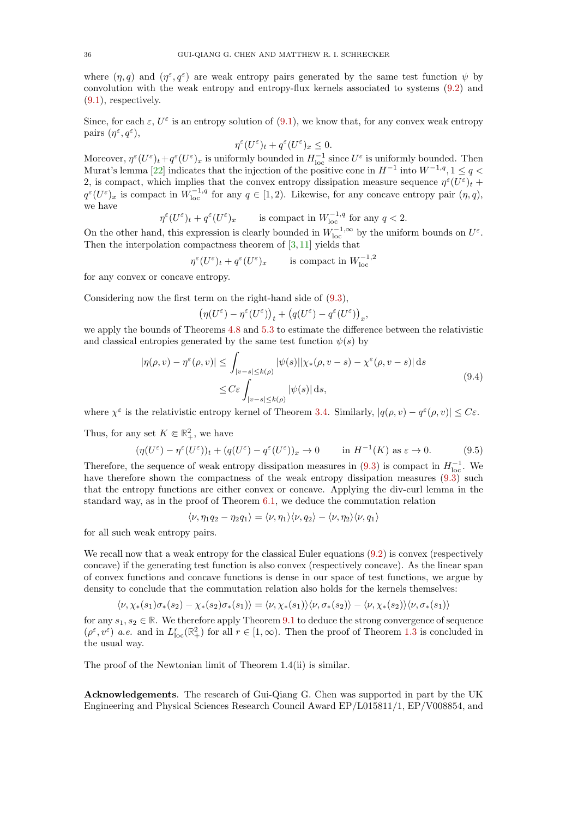where  $(\eta, q)$  and  $(\eta^{\varepsilon}, q^{\varepsilon})$  are weak entropy pairs generated by the same test function  $\psi$  by convolution with the weak entropy and entropy-flux kernels associated to systems [\(9.2\)](#page-34-1) and [\(9.1\)](#page-34-3), respectively.

Since, for each  $\varepsilon$ ,  $U^{\varepsilon}$  is an entropy solution of  $(9.1)$ , we know that, for any convex weak entropy pairs  $(\eta^{\varepsilon}, q^{\varepsilon}),$ 

$$
\eta^\varepsilon(U^\varepsilon)_t+q^\varepsilon(U^\varepsilon)_x\leq 0.
$$

Moreover,  $\eta^{\varepsilon}(U^{\varepsilon})_t+q^{\varepsilon}(U^{\varepsilon})_x$  is uniformly bounded in  $H^{-1}_{loc}$  since  $U^{\varepsilon}$  is uniformly bounded. Then Murat's lemma [\[22\]](#page-36-24) indicates that the injection of the positive cone in  $H^{-1}$  into  $W^{-1,q}$ ,  $1 \le q <$ 2, is compact, which implies that the convex entropy dissipation measure sequence  $\eta^{\varepsilon}(U^{\varepsilon})_t$  +  $q^{\varepsilon}(U^{\varepsilon})_x$  is compact in  $W_{\text{loc}}^{-1,q}$  for any  $q \in [1,2)$ . Likewise, for any concave entropy pair  $(\eta, q)$ , we have

$$
\eta^{\varepsilon}(U^{\varepsilon})_t + q^{\varepsilon}(U^{\varepsilon})_x \qquad \text{is compact in } W^{-1,q}_{\text{loc}} \text{ for any } q < 2.
$$

On the other hand, this expression is clearly bounded in  $W_{\text{loc}}^{-1,\infty}$  by the uniform bounds on  $U^{\varepsilon}$ . Then the interpolation compactness theorem of  $[3, 11]$  $[3, 11]$  yields that

$$
\eta^{\varepsilon}(U^{\varepsilon})_t + q^{\varepsilon}(U^{\varepsilon})_x \qquad \text{ is compact in } W^{-1,2}_{\text{loc}}
$$

for any convex or concave entropy.

Considering now the first term on the right-hand side of [\(9.3\)](#page-34-4),

$$
\left(\eta(U^\varepsilon)-\eta^\varepsilon(U^\varepsilon)\right)_t+\left(q(U^\varepsilon)-q^\varepsilon(U^\varepsilon)\right)_x,
$$

we apply the bounds of Theorems [4.8](#page-18-1) and [5.3](#page-21-1) to estimate the difference between the relativistic and classical entropies generated by the same test function  $\psi(s)$  by

$$
|\eta(\rho, v) - \eta^{\varepsilon}(\rho, v)| \leq \int_{|v-s| \leq k(\rho)} |\psi(s)| |\chi_{*}(\rho, v-s) - \chi^{\varepsilon}(\rho, v-s)| ds
$$
  

$$
\leq C\varepsilon \int_{|v-s| \leq k(\rho)} |\psi(s)| ds,
$$
\n(9.4)

where  $\chi^{\varepsilon}$  is the relativistic entropy kernel of Theorem [3.4.](#page-8-2) Similarly,  $|q(\rho, v) - q^{\varepsilon}(\rho, v)| \leq C_{\varepsilon}$ .

Thus, for any set  $K \in \mathbb{R}^2_+$ , we have

$$
(\eta(U^{\varepsilon}) - \eta^{\varepsilon}(U^{\varepsilon}))_t + (q(U^{\varepsilon}) - q^{\varepsilon}(U^{\varepsilon}))_x \to 0 \quad \text{in } H^{-1}(K) \text{ as } \varepsilon \to 0.
$$
 (9.5)

Therefore, the sequence of weak entropy dissipation measures in  $(9.3)$  is compact in  $H_{\text{loc}}^{-1}$ . We have therefore shown the compactness of the weak entropy dissipation measures  $(9.3)$  such that the entropy functions are either convex or concave. Applying the div-curl lemma in the standard way, as in the proof of Theorem [6.1,](#page-23-1) we deduce the commutation relation

$$
\langle \nu, \eta_1 q_2 - \eta_2 q_1 \rangle = \langle \nu, \eta_1 \rangle \langle \nu, q_2 \rangle - \langle \nu, \eta_2 \rangle \langle \nu, q_1 \rangle
$$

for all such weak entropy pairs.

We recall now that a weak entropy for the classical Euler equations  $(9.2)$  is convex (respectively concave) if the generating test function is also convex (respectively concave). As the linear span of convex functions and concave functions is dense in our space of test functions, we argue by density to conclude that the commutation relation also holds for the kernels themselves:

$$
\langle \nu, \chi_*(s_1)\sigma_*(s_2) - \chi_*(s_2)\sigma_*(s_1) \rangle = \langle \nu, \chi_*(s_1) \rangle \langle \nu, \sigma_*(s_2) \rangle - \langle \nu, \chi_*(s_2) \rangle \langle \nu, \sigma_*(s_1) \rangle
$$

for any  $s_1, s_2 \in \mathbb{R}$ . We therefore apply Theorem [9.1](#page-34-2) to deduce the strong convergence of sequence  $(\rho^{\varepsilon}, v^{\varepsilon})$  *a.e.* and in  $L_{\text{loc}}^r(\mathbb{R}^2_+)$  for all  $r \in [1, \infty)$ . Then the proof of Theorem [1.3](#page-2-4) is concluded in the usual way.

The proof of the Newtonian limit of Theorem 1.4(ii) is similar.

Acknowledgements. The research of Gui-Qiang G. Chen was supported in part by the UK Engineering and Physical Sciences Research Council Award EP/L015811/1, EP/V008854, and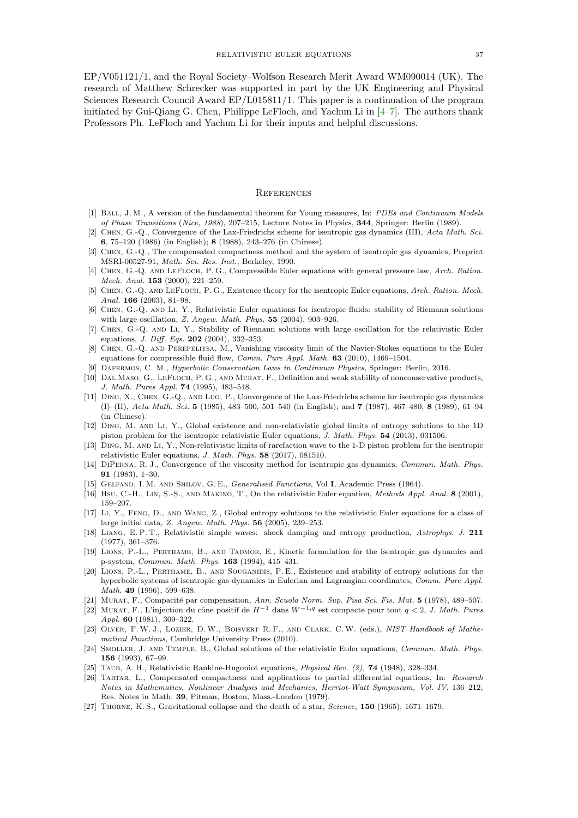EP/V051121/1, and the Royal Society–Wolfson Research Merit Award WM090014 (UK). The research of Matthew Schrecker was supported in part by the UK Engineering and Physical Sciences Research Council Award EP/L015811/1. This paper is a continuation of the program initiated by Gui-Qiang G. Chen, Philippe LeFloch, and Yachun Li in  $[4-7]$ . The authors thank Professors Ph. LeFloch and Yachun Li for their inputs and helpful discussions.

#### **REFERENCES**

- <span id="page-36-21"></span>[1] BALL, J. M., A version of the fundamental theorem for Young measures, In: PDEs and Continuum Models of Phase Transitions (Nice, 1988), 207–215, Lecture Notes in Physics, 344, Springer: Berlin (1989).
- <span id="page-36-14"></span>[2] Chen, G.-Q., Convergence of the Lax-Friedrichs scheme for isentropic gas dynamics (III), Acta Math. Sci. 6, 75–120 (1986) (in English); 8 (1988), 243–276 (in Chinese).
- <span id="page-36-23"></span>[3] Chen, G.-Q., The compensated compactness method and the system of isentropic gas dynamics, Preprint MSRI-00527-91, Math. Sci. Res. Inst., Berkeley, 1990.
- <span id="page-36-18"></span>[4] Chen, G.-Q. and LeFloch, P. G., Compressible Euler equations with general pressure law, Arch. Ration. Mech. Anal. 153 (2000), 221–259.
- <span id="page-36-10"></span>[5] Chen, G.-Q. and LeFloch, P. G., Existence theory for the isentropic Euler equations, Arch. Ration. Mech. Anal. 166 (2003), 81–98.
- <span id="page-36-7"></span>[6] Chen, G.-Q. and Li, Y., Relativistic Euler equations for isentropic fluids: stability of Riemann solutions with large oscillation, Z. Angew. Math. Phys. 55 (2004), 903–926.
- <span id="page-36-8"></span>[7] Chen, G.-Q. and Li, Y., Stability of Riemann solutions with large oscillation for the relativistic Euler equations, J. Diff. Eqs. 202 (2004), 332–353.
- [8] Chen, G.-Q. and Perepelitsa, M., Vanishing viscosity limit of the Navier-Stokes equations to the Euler equations for compressible fluid flow, Comm. Pure Appl. Math. 63 (2010), 1469–1504.
- <span id="page-36-22"></span>[9] Dafermos, C. M., Hyperbolic Conservation Laws in Continuum Physics, Springer: Berlin, 2016.
- [10] DAL MASO, G., LEFLOCH, P. G., AND MURAT, F., Definition and weak stability of nonconservative products, J. Math. Pures Appl. 74 (1995), 483–548.
- <span id="page-36-15"></span>[11] Ding, X., Chen, G.-Q., and Luo, P., Convergence of the Lax-Friedrichs scheme for isentropic gas dynamics (I)–(II), Acta Math. Sci. 5 (1985), 483–500, 501–540 (in English); and 7 (1987), 467–480; 8 (1989), 61–94 (in Chinese).
- <span id="page-36-3"></span>[12] Ding, M. and Li, Y., Global existence and non-relativistic global limits of entropy solutions to the 1D piston problem for the isentropic relativistic Euler equations, J. Math. Phys. 54 (2013), 031506.
- <span id="page-36-4"></span>[13] Ding, M. and Li, Y., Non-relativistic limits of rarefaction wave to the 1-D piston problem for the isentropic relativistic Euler equations, J. Math. Phys. 58 (2017), 081510.
- <span id="page-36-11"></span>[14] DiPerna, R. J., Convergence of the viscosity method for isentropic gas dynamics, Commun. Math. Phys. 91 (1983), 1–30.
- <span id="page-36-19"></span><span id="page-36-6"></span>[15] Gelfand, I. M. and Shilov, G. E., Generalised Functions, Vol I, Academic Press (1964).
- <span id="page-36-9"></span>[16] Hsu, C.-H., Lin, S.-S., and Makino, T., On the relativistic Euler equation, Methods Appl. Anal. 8 (2001), 159–207.
- [17] Li, Y., Feng, D., and Wang, Z., Global entropy solutions to the relativistic Euler equations for a class of large initial data, Z. Angew. Math. Phys. 56 (2005), 239–253.
- <span id="page-36-5"></span>[18] Liang, E. P. T., Relativistic simple waves: shock damping and entropy production, Astrophys. J. 211 (1977), 361–376.
- <span id="page-36-16"></span>[19] Lions, P.-L., Perthame, B., and Tadmor, E., Kinetic formulation for the isentropic gas dynamics and p-system, Commun. Math. Phys. 163 (1994), 415–431.
- <span id="page-36-17"></span>[20] Lions, P.-L., Perthame, B., and Souganidis, P. E., Existence and stability of entropy solutions for the hyperbolic systems of isentropic gas dynamics in Eulerian and Lagrangian coordinates, Comm. Pure Appl. Math. 49 (1996), 599–638.
- <span id="page-36-24"></span><span id="page-36-12"></span>[21] MURAT, F., Compacité par compensation, Ann. Scuola Norm. Sup. Pisa Sci. Fis. Mat. 5 (1978), 489-507.
- [22] MURAT, F., L'injection du cône positif de  $H^{-1}$  dans  $W^{-1,q}$  est compacte pour tout  $q < 2$ , J. Math. Pures Appl. 60 (1981), 309–322.
- <span id="page-36-20"></span>[23] OLVER, F. W. J., LOZIER, D. W., BOISVERT R. F., AND CLARK, C. W. (eds.), NIST Handbook of Mathematical Functions, Cambridge University Press (2010).
- <span id="page-36-2"></span>[24] Smoller, J. and Temple, B., Global solutions of the relativistic Euler equations, Commun. Math. Phys. 156 (1993), 67–99.
- <span id="page-36-13"></span><span id="page-36-0"></span>[25] TAUB, A. H., Relativistic Rankine-Hugoniot equations, *Physical Rev.* (2), **74** (1948), 328–334.
- [26] Tartar, L., Compensated compactness and applications to partial differential equations, In: Research Notes in Mathematics, Nonlinear Analysis and Mechanics, Herriot-Watt Symposium, Vol. IV, 136–212, Res. Notes in Math. 39, Pitman, Boston, Mass.-London (1979).
- <span id="page-36-1"></span>[27] Thorne, K. S., Gravitational collapse and the death of a star, Science, 150 (1965), 1671–1679.